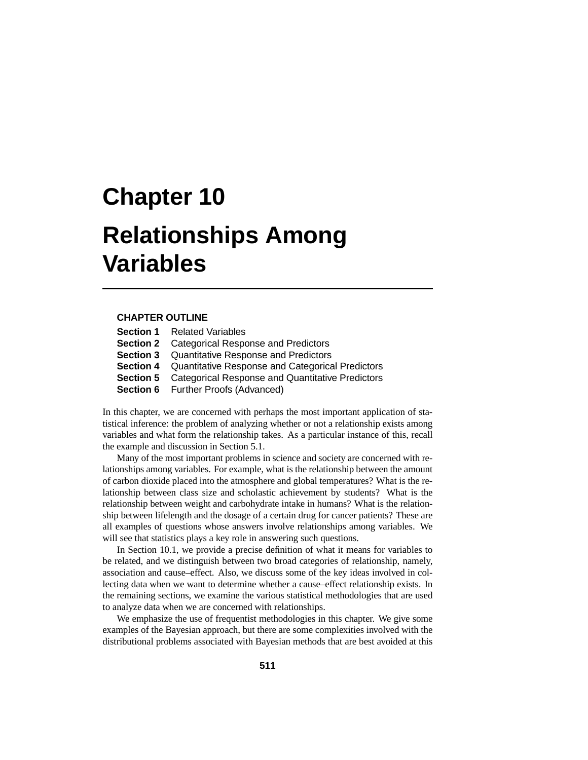# **Chapter 10 Relationships Among Variables**

### **CHAPTER OUTLINE**

| <b>Section 1</b> Related Variables                                |
|-------------------------------------------------------------------|
| <b>Section 2</b> Categorical Response and Predictors              |
| <b>Section 3</b> Quantitative Response and Predictors             |
| <b>Section 4</b> Quantitative Response and Categorical Predictors |
| <b>Section 5</b> Categorical Response and Quantitative Predictors |
| <b>Section 6</b> Further Proofs (Advanced)                        |
|                                                                   |

In this chapter, we are concerned with perhaps the most important application of statistical inference: the problem of analyzing whether or not a relationship exists among variables and what form the relationship takes. As a particular instance of this, recall the example and discussion in Section 5.1.

Many of the most important problems in science and society are concerned with relationships among variables. For example, what is the relationship between the amount of carbon dioxide placed into the atmosphere and global temperatures? What is the relationship between class size and scholastic achievement by students? What is the relationship between weight and carbohydrate intake in humans? What is the relationship between lifelength and the dosage of a certain drug for cancer patients? These are all examples of questions whose answers involve relationships among variables. We will see that statistics plays a key role in answering such questions.

In Section 10.1, we provide a precise definition of what it means for variables to be related, and we distinguish between two broad categories of relationship, namely, association and cause–effect. Also, we discuss some of the key ideas involved in collecting data when we want to determine whether a cause–effect relationship exists. In the remaining sections, we examine the various statistical methodologies that are used to analyze data when we are concerned with relationships.

We emphasize the use of frequentist methodologies in this chapter. We give some examples of the Bayesian approach, but there are some complexities involved with the distributional problems associated with Bayesian methods that are best avoided at this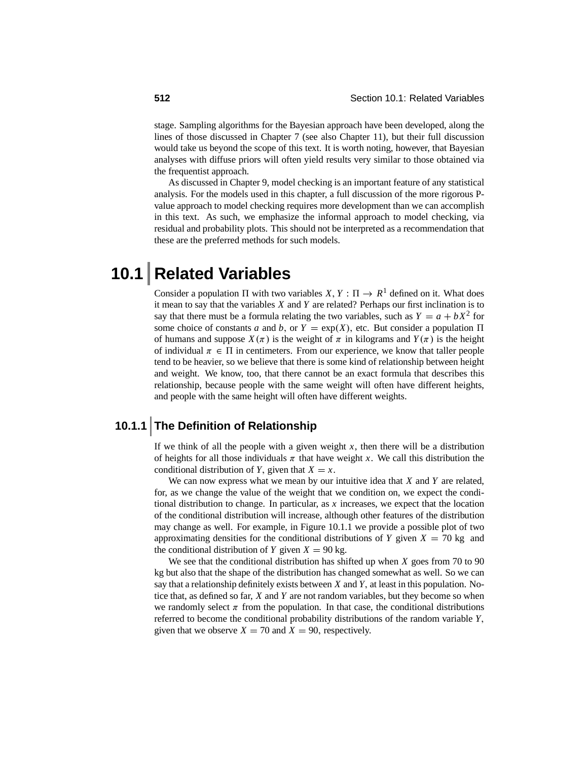stage. Sampling algorithms for the Bayesian approach have been developed, along the lines of those discussed in Chapter 7 (see also Chapter 11), but their full discussion would take us beyond the scope of this text. It is worth noting, however, that Bayesian analyses with diffuse priors will often yield results very similar to those obtained via the frequentist approach.

As discussed in Chapter 9, model checking is an important feature of any statistical analysis. For the models used in this chapter, a full discussion of the more rigorous Pvalue approach to model checking requires more development than we can accomplish in this text. As such, we emphasize the informal approach to model checking, via residual and probability plots. This should not be interpreted as a recommendation that these are the preferred methods for such models.

# **10.1 Related Variables**

Consider a population  $\Pi$  with two variables *X*,  $Y : \Pi \to R^1$  defined on it. What does it mean to say that the variables *X* and *Y* are related? Perhaps our first inclination is to say that there must be a formula relating the two variables, such as  $Y = a + bX^2$  for some choice of constants *a* and *b*, or  $Y = \exp(X)$ , etc. But consider a population  $\Pi$ of humans and suppose  $X(\pi)$  is the weight of  $\pi$  in kilograms and  $Y(\pi)$  is the height of individual  $\pi \in \Pi$  in centimeters. From our experience, we know that taller people tend to be heavier, so we believe that there is some kind of relationship between height and weight. We know, too, that there cannot be an exact formula that describes this relationship, because people with the same weight will often have different heights, and people with the same height will often have different weights.

### **10.1.1 The Definition of Relationship**

If we think of all the people with a given weight *x*, then there will be a distribution of heights for all those individuals  $\pi$  that have weight x. We call this distribution the conditional distribution of *Y*, given that  $X = x$ .

We can now express what we mean by our intuitive idea that *X* and *Y* are related, for, as we change the value of the weight that we condition on, we expect the conditional distribution to change. In particular, as *x* increases, we expect that the location of the conditional distribution will increase, although other features of the distribution may change as well. For example, in Figure 10.1.1 we provide a possible plot of two approximating densities for the conditional distributions of *Y* given  $X = 70$  kg and the conditional distribution of *Y* given  $X = 90$  kg.

We see that the conditional distribution has shifted up when *X* goes from 70 to 90 kg but also that the shape of the distribution has changed somewhat as well. So we can say that a relationship definitely exists between *X* and *Y*, at least in this population. Notice that, as defined so far, *X* and *Y* are not random variables, but they become so when we randomly select  $\pi$  from the population. In that case, the conditional distributions referred to become the conditional probability distributions of the random variable *Y*, given that we observe  $X = 70$  and  $X = 90$ , respectively.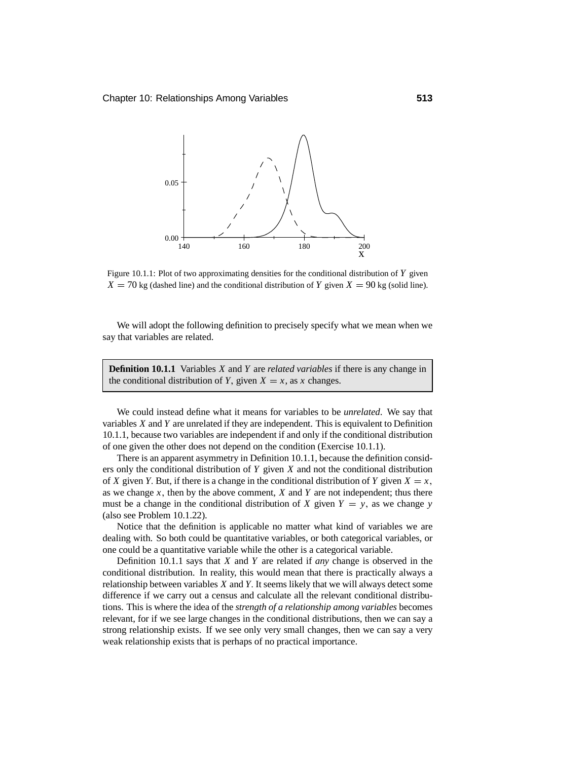

Figure 10.1.1: Plot of two approximating densities for the conditional distribution of *Y* given  $X = 70$  kg (dashed line) and the conditional distribution of *Y* given  $X = 90$  kg (solid line).

We will adopt the following definition to precisely specify what we mean when we say that variables are related.

**Definition 10.1.1** Variables *X* and *Y* are *related variables* if there is any change in the conditional distribution of *Y*, given  $X = x$ , as *x* changes.

We could instead define what it means for variables to be *unrelated*. We say that variables *X* and *Y* are unrelated if they are independent. This is equivalent to Definition 10.1.1, because two variables are independent if and only if the conditional distribution of one given the other does not depend on the condition (Exercise 10.1.1).

There is an apparent asymmetry in Definition 10.1.1, because the definition considers only the conditional distribution of *Y* given *X* and not the conditional distribution of *X* given *Y*. But, if there is a change in the conditional distribution of *Y* given  $X = x$ , as we change *x*, then by the above comment, *X* and *Y* are not independent; thus there must be a change in the conditional distribution of *X* given  $Y = y$ , as we change *y* (also see Problem 10.1.22).

Notice that the definition is applicable no matter what kind of variables we are dealing with. So both could be quantitative variables, or both categorical variables, or one could be a quantitative variable while the other is a categorical variable.

Definition 10.1.1 says that *X* and *Y* are related if *any* change is observed in the conditional distribution. In reality, this would mean that there is practically always a relationship between variables *X* and *Y*. It seems likely that we will always detect some difference if we carry out a census and calculate all the relevant conditional distributions. This is where the idea of the *strength of a relationship among variables* becomes relevant, for if we see large changes in the conditional distributions, then we can say a strong relationship exists. If we see only very small changes, then we can say a very weak relationship exists that is perhaps of no practical importance.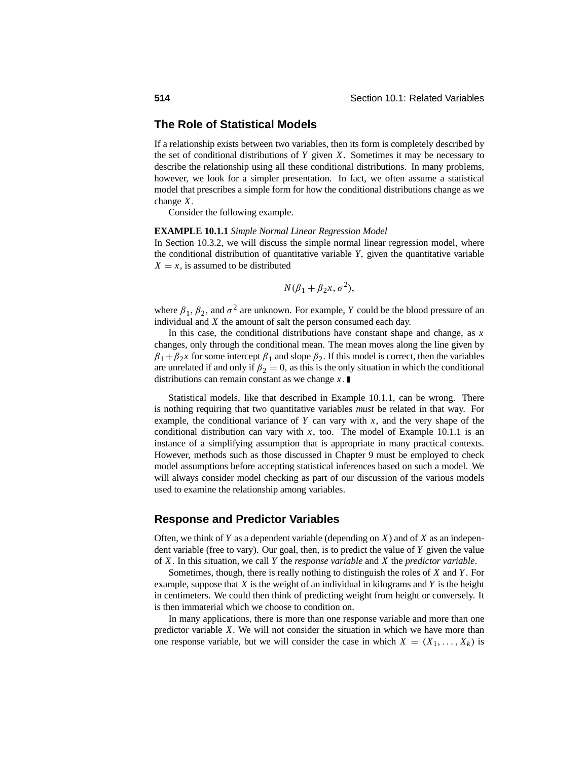### **The Role of Statistical Models**

If a relationship exists between two variables, then its form is completely described by the set of conditional distributions of *Y* given *X*. Sometimes it may be necessary to describe the relationship using all these conditional distributions. In many problems, however, we look for a simpler presentation. In fact, we often assume a statistical model that prescribes a simple form for how the conditional distributions change as we change *X*.

Consider the following example.

#### **EXAMPLE 10.1.1** *Simple Normal Linear Regression Model*

In Section 10.3.2, we will discuss the simple normal linear regression model, where the conditional distribution of quantitative variable *Y*, given the quantitative variable  $X = x$ , is assumed to be distributed

$$
N(\beta_1+\beta_2x,\sigma^2),
$$

where  $\beta_1$ ,  $\beta_2$ , and  $\sigma^2$  are unknown. For example, *Y* could be the blood pressure of an individual and *X* the amount of salt the person consumed each day.

In this case, the conditional distributions have constant shape and change, as *x* changes, only through the conditional mean. The mean moves along the line given by  $\beta_1 + \beta_2 x$  for some intercept  $\beta_1$  and slope  $\beta_2$ . If this model is correct, then the variables are unrelated if and only if  $\beta_2 = 0$ , as this is the only situation in which the conditional distributions can remain constant as we change  $x$ .

Statistical models, like that described in Example 10.1.1, can be wrong. There is nothing requiring that two quantitative variables *must* be related in that way. For example, the conditional variance of  $Y$  can vary with  $x$ , and the very shape of the conditional distribution can vary with *x*, too. The model of Example 10.1.1 is an instance of a simplifying assumption that is appropriate in many practical contexts. However, methods such as those discussed in Chapter 9 must be employed to check model assumptions before accepting statistical inferences based on such a model. We will always consider model checking as part of our discussion of the various models used to examine the relationship among variables.

### **Response and Predictor Variables**

Often, we think of *Y* as a dependent variable (depending on *X*) and of *X* as an independent variable (free to vary). Our goal, then, is to predict the value of *Y* given the value of *X*. In this situation, we call *Y* the *response variable* and *X* the *predictor variable*.

Sometimes, though, there is really nothing to distinguish the roles of *X* and *Y*. For example, suppose that *X* is the weight of an individual in kilograms and *Y* is the height in centimeters. We could then think of predicting weight from height or conversely. It is then immaterial which we choose to condition on.

In many applications, there is more than one response variable and more than one predictor variable *X*. We will not consider the situation in which we have more than one response variable, but we will consider the case in which  $X = (X_1, \ldots, X_k)$  is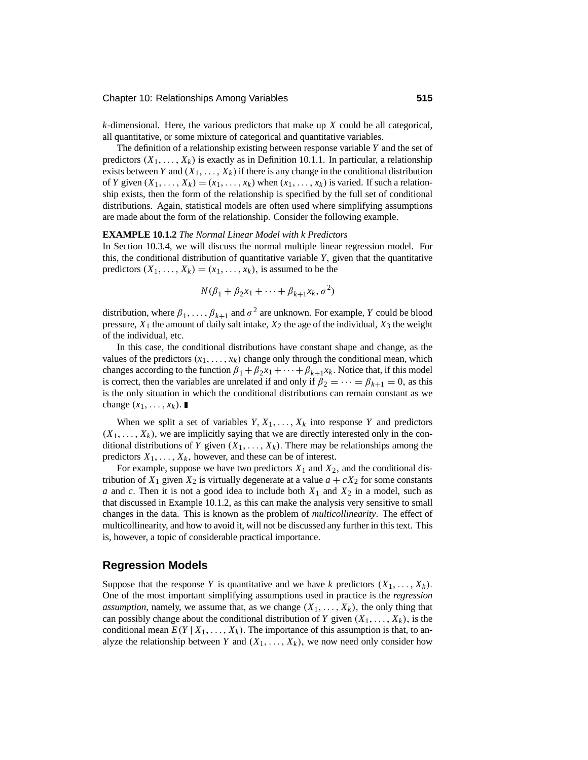*k*-dimensional. Here, the various predictors that make up *X* could be all categorical, all quantitative, or some mixture of categorical and quantitative variables.

The definition of a relationship existing between response variable *Y* and the set of predictors  $(X_1, \ldots, X_k)$  is exactly as in Definition 10.1.1. In particular, a relationship exists between *Y* and  $(X_1, \ldots, X_k)$  if there is any change in the conditional distribution of *Y* given  $(X_1, \ldots, X_k) = (x_1, \ldots, x_k)$  when  $(x_1, \ldots, x_k)$  is varied. If such a relationship exists, then the form of the relationship is specified by the full set of conditional distributions. Again, statistical models are often used where simplifying assumptions are made about the form of the relationship. Consider the following example.

#### **EXAMPLE 10.1.2** *The Normal Linear Model with k Predictors*

In Section 10.3.4, we will discuss the normal multiple linear regression model. For this, the conditional distribution of quantitative variable *Y*, given that the quantitative predictors  $(X_1, \ldots, X_k) = (x_1, \ldots, x_k)$ , is assumed to be the

$$
N(\beta_1+\beta_2x_1+\cdots+\beta_{k+1}x_k,\sigma^2)
$$

distribution, where  $\beta_1, \ldots, \beta_{k+1}$  and  $\sigma^2$  are unknown. For example, *Y* could be blood pressure,  $X_1$  the amount of daily salt intake,  $X_2$  the age of the individual,  $X_3$  the weight of the individual, etc.

In this case, the conditional distributions have constant shape and change, as the values of the predictors  $(x_1, \ldots, x_k)$  change only through the conditional mean, which changes according to the function  $\beta_1 + \beta_2 x_1 + \cdots + \beta_{k+1} x_k$ . Notice that, if this model is correct, then the variables are unrelated if and only if  $\beta_2 = \cdots = \beta_{k+1} = 0$ , as this is the only situation in which the conditional distributions can remain constant as we change  $(x_1, \ldots, x_k)$ .

When we split a set of variables  $Y, X_1, \ldots, X_k$  into response *Y* and predictors  $(X_1, \ldots, X_k)$ , we are implicitly saying that we are directly interested only in the conditional distributions of *Y* given  $(X_1, \ldots, X_k)$ . There may be relationships among the predictors  $X_1, \ldots, X_k$ , however, and these can be of interest.

For example, suppose we have two predictors  $X_1$  and  $X_2$ , and the conditional distribution of  $X_1$  given  $X_2$  is virtually degenerate at a value  $a + cX_2$  for some constants *a* and *c*. Then it is not a good idea to include both  $X_1$  and  $X_2$  in a model, such as that discussed in Example 10.1.2, as this can make the analysis very sensitive to small changes in the data. This is known as the problem of *multicollinearity*. The effect of multicollinearity, and how to avoid it, will not be discussed any further in this text. This is, however, a topic of considerable practical importance.

### **Regression Models**

Suppose that the response *Y* is quantitative and we have *k* predictors  $(X_1, \ldots, X_k)$ . One of the most important simplifying assumptions used in practice is the *regression assumption*, namely, we assume that, as we change  $(X_1, \ldots, X_k)$ , the only thing that can possibly change about the conditional distribution of *Y* given  $(X_1, \ldots, X_k)$ , is the conditional mean  $E(Y | X_1, \ldots, X_k)$ . The importance of this assumption is that, to analyze the relationship between *Y* and  $(X_1, \ldots, X_k)$ , we now need only consider how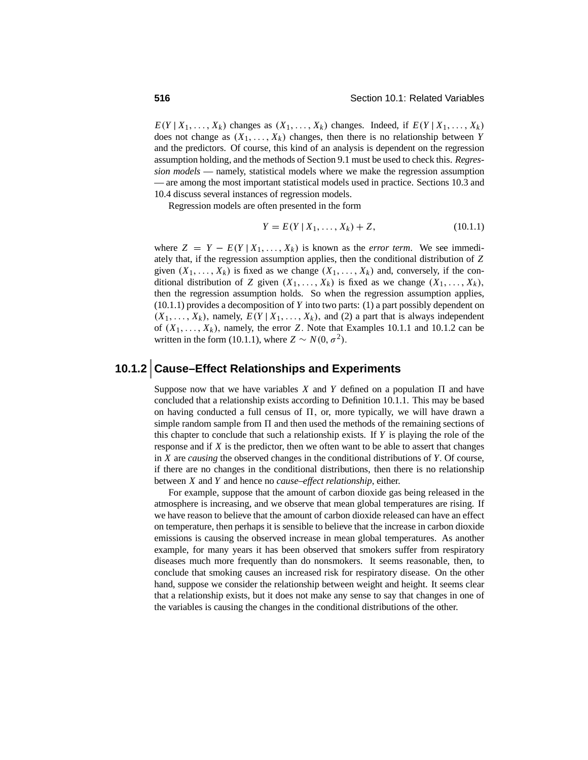$E(Y | X_1, \ldots, X_k)$  changes as  $(X_1, \ldots, X_k)$  changes. Indeed, if  $E(Y | X_1, \ldots, X_k)$ does not change as  $(X_1, \ldots, X_k)$  changes, then there is no relationship between *Y* and the predictors. Of course, this kind of an analysis is dependent on the regression assumption holding, and the methods of Section 9.1 must be used to check this. *Regression models* — namely, statistical models where we make the regression assumption — are among the most important statistical models used in practice. Sections 10.3 and 10.4 discuss several instances of regression models.

Regression models are often presented in the form

$$
Y = E(Y | X_1, \dots, X_k) + Z, \tag{10.1.1}
$$

where  $Z = Y - E(Y | X_1, \ldots, X_k)$  is known as the *error term*. We see immediately that, if the regression assumption applies, then the conditional distribution of *Z* given  $(X_1, \ldots, X_k)$  is fixed as we change  $(X_1, \ldots, X_k)$  and, conversely, if the conditional distribution of *Z* given  $(X_1, \ldots, X_k)$  is fixed as we change  $(X_1, \ldots, X_k)$ , then the regression assumption holds. So when the regression assumption applies, (10.1.1) provides a decomposition of *Y* into two parts: (1) a part possibly dependent on  $(X_1, \ldots, X_k)$ , namely,  $E(Y | X_1, \ldots, X_k)$ , and (2) a part that is always independent of  $(X_1, \ldots, X_k)$ , namely, the error *Z*. Note that Examples 10.1.1 and 10.1.2 can be written in the form (10.1.1), where  $Z \sim N(0, \sigma^2)$ .

# **10.1.2 Cause–Effect Relationships and Experiments**

Suppose now that we have variables  $X$  and  $Y$  defined on a population  $\Pi$  and have concluded that a relationship exists according to Definition 10.1.1. This may be based on having conducted a full census of  $\Pi$ , or, more typically, we will have drawn a simple random sample from  $\Pi$  and then used the methods of the remaining sections of this chapter to conclude that such a relationship exists. If *Y* is playing the role of the response and if *X* is the predictor, then we often want to be able to assert that changes in *X* are *causing* the observed changes in the conditional distributions of *Y*. Of course, if there are no changes in the conditional distributions, then there is no relationship between *X* and *Y* and hence no *cause–effect relationship*, either.

For example, suppose that the amount of carbon dioxide gas being released in the atmosphere is increasing, and we observe that mean global temperatures are rising. If we have reason to believe that the amount of carbon dioxide released can have an effect on temperature, then perhaps it is sensible to believe that the increase in carbon dioxide emissions is causing the observed increase in mean global temperatures. As another example, for many years it has been observed that smokers suffer from respiratory diseases much more frequently than do nonsmokers. It seems reasonable, then, to conclude that smoking causes an increased risk for respiratory disease. On the other hand, suppose we consider the relationship between weight and height. It seems clear that a relationship exists, but it does not make any sense to say that changes in one of the variables is causing the changes in the conditional distributions of the other.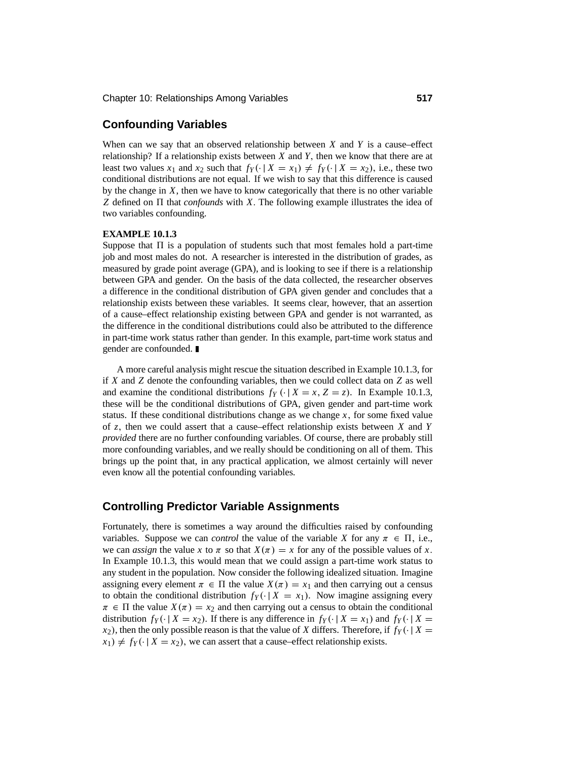### **Confounding Variables**

When can we say that an observed relationship between *X* and *Y* is a cause–effect relationship? If a relationship exists between *X* and *Y*, then we know that there are at least two values  $x_1$  and  $x_2$  such that  $f_Y(\cdot | X = x_1) \neq f_Y(\cdot | X = x_2)$ , i.e., these two conditional distributions are not equal. If we wish to say that this difference is caused by the change in *X*, then we have to know categorically that there is no other variable  $Z$  defined on  $\Pi$  that *confounds* with  $X$ . The following example illustrates the idea of two variables confounding.

### **EXAMPLE 10.1.3**

Suppose that  $\Pi$  is a population of students such that most females hold a part-time job and most males do not. A researcher is interested in the distribution of grades, as measured by grade point average (GPA), and is looking to see if there is a relationship between GPA and gender. On the basis of the data collected, the researcher observes a difference in the conditional distribution of GPA given gender and concludes that a relationship exists between these variables. It seems clear, however, that an assertion of a cause–effect relationship existing between GPA and gender is not warranted, as the difference in the conditional distributions could also be attributed to the difference in part-time work status rather than gender. In this example, part-time work status and gender are confounded.

A more careful analysis might rescue the situation described in Example 10.1.3, for if *X* and *Z* denote the confounding variables, then we could collect data on *Z* as well and examine the conditional distributions  $f_Y(\cdot | X = x, Z = z)$ . In Example 10.1.3, these will be the conditional distributions of GPA, given gender and part-time work status. If these conditional distributions change as we change  $x$ , for some fixed value of *z*, then we could assert that a cause–effect relationship exists between *X* and *Y provided* there are no further confounding variables. Of course, there are probably still more confounding variables, and we really should be conditioning on all of them. This brings up the point that, in any practical application, we almost certainly will never even know all the potential confounding variables.

### **Controlling Predictor Variable Assignments**

Fortunately, there is sometimes a way around the difficulties raised by confounding variables. Suppose we can *control* the value of the variable *X* for any  $\pi \in \Pi$ , i.e., we can *assign* the value *x* to  $\pi$  so that  $X(\pi) = x$  for any of the possible values of *x*. In Example 10.1.3, this would mean that we could assign a part-time work status to any student in the population. Now consider the following idealized situation. Imagine assigning every element  $\pi \in \Pi$  the value  $X(\pi) = x_1$  and then carrying out a census to obtain the conditional distribution  $f_Y(\cdot | X = x_1)$ . Now imagine assigning every  $\pi \in \Pi$  the value  $X(\pi) = x_2$  and then carrying out a census to obtain the conditional distribution  $f_Y(\cdot | X = x_2)$ . If there is any difference in  $f_Y(\cdot | X = x_1)$  and  $f_Y(\cdot | X = x_2)$  $x_2$ ), then the only possible reason is that the value of *X* differs. Therefore, if  $f_Y(\cdot | X =$  $x_1$ )  $\neq f_Y(\cdot | X = x_2)$ , we can assert that a cause–effect relationship exists.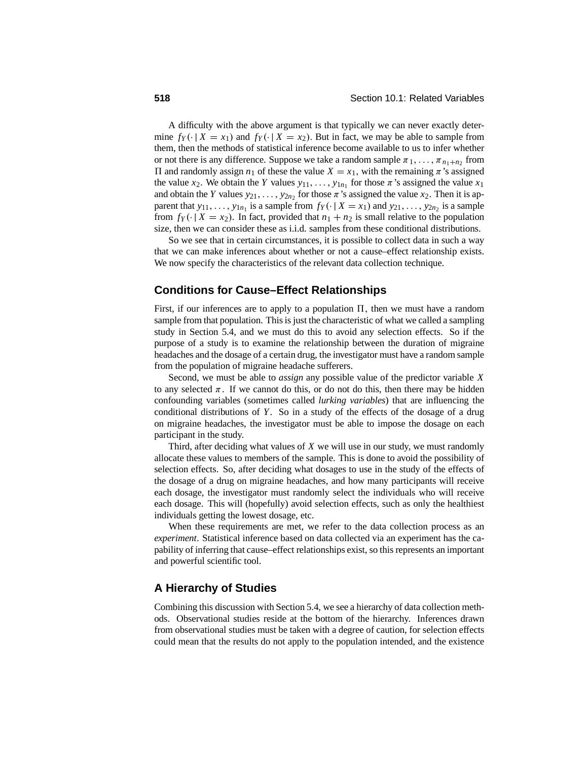A difficulty with the above argument is that typically we can never exactly determine  $f_Y(\cdot | X = x_1)$  and  $f_Y(\cdot | X = x_2)$ . But in fact, we may be able to sample from them, then the methods of statistical inference become available to us to infer whether or not there is any difference. Suppose we take a random sample  $\pi_1, \ldots, \pi_{n_1+n_2}$  from II and randomly assign *n*<sub>1</sub> of these the value *X* = *x*<sub>1</sub>, with the remaining *π*'s assigned the value  $x_2$ . We obtain the *Y* values  $y_{11}, \ldots, y_{1n_1}$  for those  $\pi$ 's assigned the value  $x_1$ and obtain the *Y* values  $y_{21}, \ldots, y_{2n_2}$  for those  $\pi$ 's assigned the value  $x_2$ . Then it is apparent that  $y_{11}, \ldots, y_{1n_1}$  is a sample from  $f_Y(\cdot | X = x_1)$  and  $y_{21}, \ldots, y_{2n_2}$  is a sample from  $f_Y(\cdot | X = x_2)$ . In fact, provided that  $n_1 + n_2$  is small relative to the population size, then we can consider these as i.i.d. samples from these conditional distributions.

So we see that in certain circumstances, it is possible to collect data in such a way that we can make inferences about whether or not a cause–effect relationship exists. We now specify the characteristics of the relevant data collection technique.

### **Conditions for Cause–Effect Relationships**

First, if our inferences are to apply to a population  $\Pi$ , then we must have a random sample from that population. This is just the characteristic of what we called a sampling study in Section 5.4, and we must do this to avoid any selection effects. So if the purpose of a study is to examine the relationship between the duration of migraine headaches and the dosage of a certain drug, the investigator must have a random sample from the population of migraine headache sufferers.

Second, we must be able to *assign* any possible value of the predictor variable *X* to any selected  $\pi$ . If we cannot do this, or do not do this, then there may be hidden confounding variables (sometimes called *lurking variables*) that are influencing the conditional distributions of *Y*. So in a study of the effects of the dosage of a drug on migraine headaches, the investigator must be able to impose the dosage on each participant in the study.

Third, after deciding what values of *X* we will use in our study, we must randomly allocate these values to members of the sample. This is done to avoid the possibility of selection effects. So, after deciding what dosages to use in the study of the effects of the dosage of a drug on migraine headaches, and how many participants will receive each dosage, the investigator must randomly select the individuals who will receive each dosage. This will (hopefully) avoid selection effects, such as only the healthiest individuals getting the lowest dosage, etc.

When these requirements are met, we refer to the data collection process as an *experiment*. Statistical inference based on data collected via an experiment has the capability of inferring that cause–effect relationships exist, so this represents an important and powerful scientific tool.

### **A Hierarchy of Studies**

Combining this discussion with Section 5.4, we see a hierarchy of data collection methods. Observational studies reside at the bottom of the hierarchy. Inferences drawn from observational studies must be taken with a degree of caution, for selection effects could mean that the results do not apply to the population intended, and the existence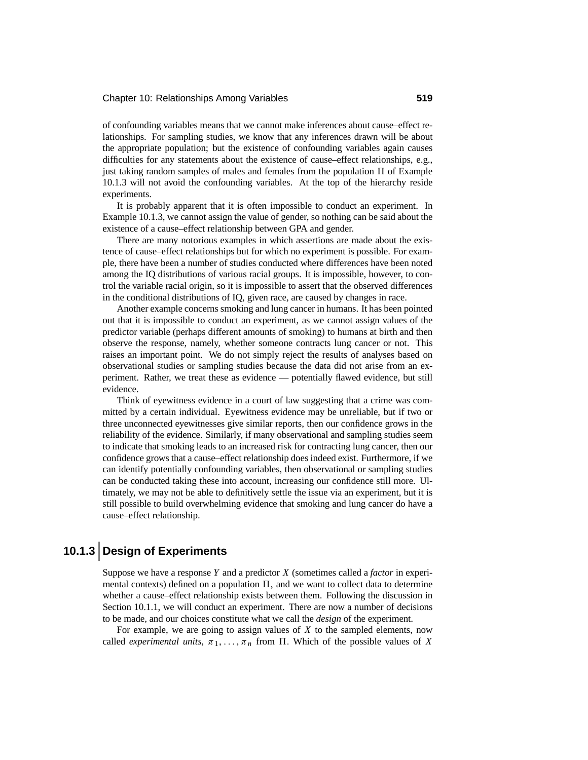### Chapter 10: Relationships Among Variables **519**

of confounding variables means that we cannot make inferences about cause–effect relationships. For sampling studies, we know that any inferences drawn will be about the appropriate population; but the existence of confounding variables again causes difficulties for any statements about the existence of cause–effect relationships, e.g., just taking random samples of males and females from the population  $\Pi$  of Example 10.1.3 will not avoid the confounding variables. At the top of the hierarchy reside experiments.

It is probably apparent that it is often impossible to conduct an experiment. In Example 10.1.3, we cannot assign the value of gender, so nothing can be said about the existence of a cause–effect relationship between GPA and gender.

There are many notorious examples in which assertions are made about the existence of cause–effect relationships but for which no experiment is possible. For example, there have been a number of studies conducted where differences have been noted among the IQ distributions of various racial groups. It is impossible, however, to control the variable racial origin, so it is impossible to assert that the observed differences in the conditional distributions of IQ, given race, are caused by changes in race.

Another example concerns smoking and lung cancer in humans. It has been pointed out that it is impossible to conduct an experiment, as we cannot assign values of the predictor variable (perhaps different amounts of smoking) to humans at birth and then observe the response, namely, whether someone contracts lung cancer or not. This raises an important point. We do not simply reject the results of analyses based on observational studies or sampling studies because the data did not arise from an experiment. Rather, we treat these as evidence — potentially flawed evidence, but still evidence.

Think of eyewitness evidence in a court of law suggesting that a crime was committed by a certain individual. Eyewitness evidence may be unreliable, but if two or three unconnected eyewitnesses give similar reports, then our confidence grows in the reliability of the evidence. Similarly, if many observational and sampling studies seem to indicate that smoking leads to an increased risk for contracting lung cancer, then our confidence grows that a cause–effect relationship does indeed exist. Furthermore, if we can identify potentially confounding variables, then observational or sampling studies can be conducted taking these into account, increasing our confidence still more. Ultimately, we may not be able to definitively settle the issue via an experiment, but it is still possible to build overwhelming evidence that smoking and lung cancer do have a cause–effect relationship.

### **10.1.3 Design of Experiments**

Suppose we have a response *Y* and a predictor *X* (sometimes called a *factor* in experimental contexts) defined on a population  $\Pi$ , and we want to collect data to determine whether a cause–effect relationship exists between them. Following the discussion in Section 10.1.1, we will conduct an experiment. There are now a number of decisions to be made, and our choices constitute what we call the *design* of the experiment.

For example, we are going to assign values of *X* to the sampled elements, now called *experimental units*,  $\pi_1, \ldots, \pi_n$  from  $\Pi$ . Which of the possible values of *X*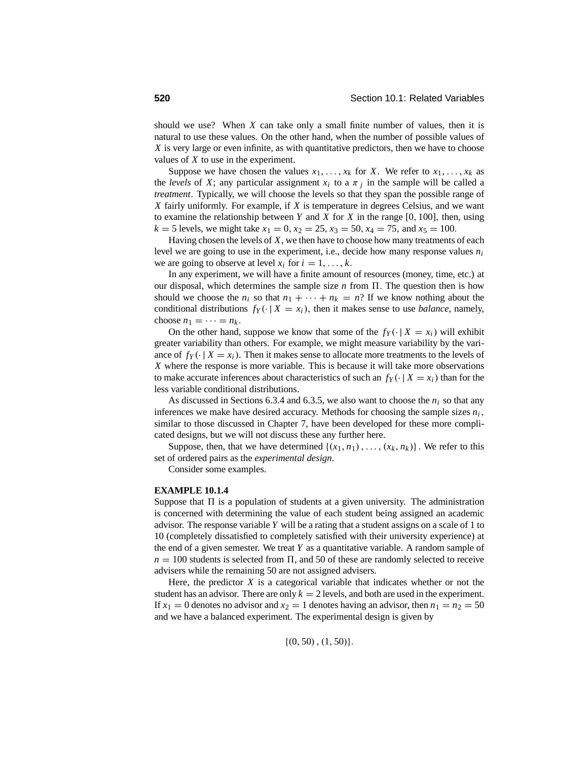should we use? When *X* can take only a small finite number of values, then it is natural to use these values. On the other hand, when the number of possible values of *X* is very large or even infinite, as with quantitative predictors, then we have to choose values of *X* to use in the experiment.

Suppose we have chosen the values  $x_1, \ldots, x_k$  for *X*. We refer to  $x_1, \ldots, x_k$  as the *levels* of *X*; any particular assignment  $x_i$  to a  $\pi_j$  in the sample will be called a *treatment*. Typically, we will choose the levels so that they span the possible range of *X* fairly uniformly. For example, if *X* is temperature in degrees Celsius, and we want to examine the relationship between *Y* and *X* for *X* in the range [0, 100], then, using  $k = 5$  levels, we might take  $x_1 = 0$ ,  $x_2 = 25$ ,  $x_3 = 50$ ,  $x_4 = 75$ , and  $x_5 = 100$ .

Having chosen the levels of *X*, we then have to choose how many treatments of each level we are going to use in the experiment, i.e., decide how many response values *ni* we are going to observe at level  $x_i$  for  $i = 1, \ldots, k$ .

In any experiment, we will have a finite amount of resources (money, time, etc.) at our disposal, which determines the sample size  $n$  from  $\Pi$ . The question then is how should we choose the  $n_i$  so that  $n_1 + \cdots + n_k = n$ ? If we know nothing about the conditional distributions  $f_Y(\cdot | X = x_i)$ , then it makes sense to use *balance*, namely, choose  $n_1 = \cdots = n_k$ .

On the other hand, suppose we know that some of the  $f_Y(\cdot | X = x_i)$  will exhibit greater variability than others. For example, we might measure variability by the variance of  $f_Y(\cdot | X = x_i)$ . Then it makes sense to allocate more treatments to the levels of *X* where the response is more variable. This is because it will take more observations to make accurate inferences about characteristics of such an  $f_Y(\cdot | X = x_i)$  than for the less variable conditional distributions.

As discussed in Sections 6.3.4 and 6.3.5, we also want to choose the  $n_i$  so that any inferences we make have desired accuracy. Methods for choosing the sample sizes *ni*, similar to those discussed in Chapter 7, have been developed for these more complicated designs, but we will not discuss these any further here.

Suppose, then, that we have determined  $\{(x_1, n_1), \ldots, (x_k, n_k)\}\)$ . We refer to this set of ordered pairs as the *experimental design*.

Consider some examples.

#### **EXAMPLE 10.1.4**

Suppose that  $\Pi$  is a population of students at a given university. The administration is concerned with determining the value of each student being assigned an academic advisor. The response variable *Y* will be a rating that a student assigns on a scale of 1 to 10 (completely dissatisfied to completely satisfied with their university experience) at the end of a given semester. We treat *Y* as a quantitative variable. A random sample of  $n = 100$  students is selected from  $\Pi$ , and 50 of these are randomly selected to receive advisers while the remaining 50 are not assigned advisers.

Here, the predictor *X* is a categorical variable that indicates whether or not the student has an advisor. There are only  $k = 2$  levels, and both are used in the experiment. If  $x_1 = 0$  denotes no advisor and  $x_2 = 1$  denotes having an advisor, then  $n_1 = n_2 = 50$ and we have a balanced experiment. The experimental design is given by

 $\{(0, 50), (1, 50)\}.$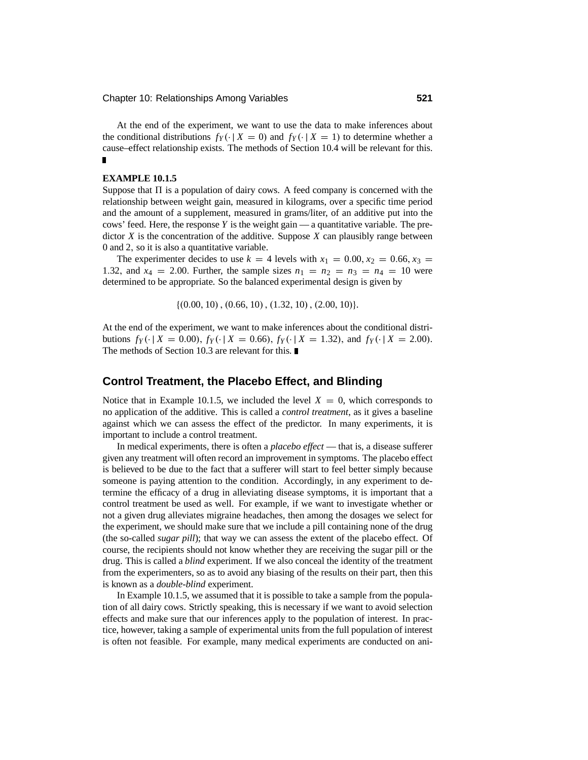At the end of the experiment, we want to use the data to make inferences about the conditional distributions  $f_Y(\cdot | X = 0)$  and  $f_Y(\cdot | X = 1)$  to determine whether a cause–effect relationship exists. The methods of Section 10.4 will be relevant for this.

#### **EXAMPLE 10.1.5**

Suppose that  $\Pi$  is a population of dairy cows. A feed company is concerned with the relationship between weight gain, measured in kilograms, over a specific time period and the amount of a supplement, measured in grams/liter, of an additive put into the cows' feed. Here, the response *Y* is the weight gain — a quantitative variable. The predictor *X* is the concentration of the additive. Suppose *X* can plausibly range between 0 and 2, so it is also a quantitative variable.

The experimenter decides to use  $k = 4$  levels with  $x_1 = 0.00, x_2 = 0.66, x_3 = 1$ 1.32, and  $x_4 = 2.00$ . Further, the sample sizes  $n_1 = n_2 = n_3 = n_4 = 10$  were determined to be appropriate. So the balanced experimental design is given by

$$
\{(0.00, 10), (0.66, 10), (1.32, 10), (2.00, 10)\}.
$$

At the end of the experiment, we want to make inferences about the conditional distributions  $f_Y(\cdot | X = 0.00)$ ,  $f_Y(\cdot | X = 0.66)$ ,  $f_Y(\cdot | X = 1.32)$ , and  $f_Y(\cdot | X = 2.00)$ . The methods of Section 10.3 are relevant for this.

### **Control Treatment, the Placebo Effect, and Blinding**

Notice that in Example 10.1.5, we included the level  $X = 0$ , which corresponds to no application of the additive. This is called a *control treatment*, as it gives a baseline against which we can assess the effect of the predictor. In many experiments, it is important to include a control treatment.

In medical experiments, there is often a *placebo effect* — that is, a disease sufferer given any treatment will often record an improvement in symptoms. The placebo effect is believed to be due to the fact that a sufferer will start to feel better simply because someone is paying attention to the condition. Accordingly, in any experiment to determine the efficacy of a drug in alleviating disease symptoms, it is important that a control treatment be used as well. For example, if we want to investigate whether or not a given drug alleviates migraine headaches, then among the dosages we select for the experiment, we should make sure that we include a pill containing none of the drug (the so-called *sugar pill*); that way we can assess the extent of the placebo effect. Of course, the recipients should not know whether they are receiving the sugar pill or the drug. This is called a *blind* experiment. If we also conceal the identity of the treatment from the experimenters, so as to avoid any biasing of the results on their part, then this is known as a *double-blind* experiment.

In Example 10.1.5, we assumed that it is possible to take a sample from the population of all dairy cows. Strictly speaking, this is necessary if we want to avoid selection effects and make sure that our inferences apply to the population of interest. In practice, however, taking a sample of experimental units from the full population of interest is often not feasible. For example, many medical experiments are conducted on ani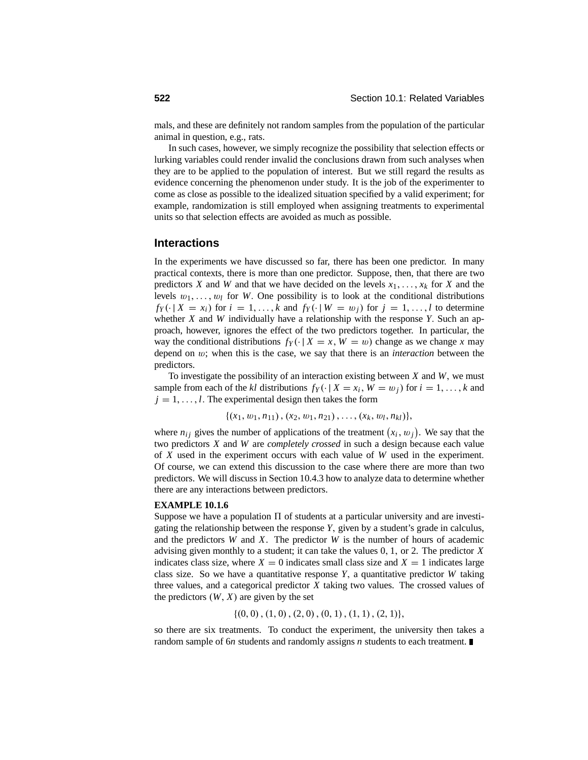mals, and these are definitely not random samples from the population of the particular animal in question, e.g., rats.

In such cases, however, we simply recognize the possibility that selection effects or lurking variables could render invalid the conclusions drawn from such analyses when they are to be applied to the population of interest. But we still regard the results as evidence concerning the phenomenon under study. It is the job of the experimenter to come as close as possible to the idealized situation specified by a valid experiment; for example, randomization is still employed when assigning treatments to experimental units so that selection effects are avoided as much as possible.

### **Interactions**

In the experiments we have discussed so far, there has been one predictor. In many practical contexts, there is more than one predictor. Suppose, then, that there are two predictors *X* and *W* and that we have decided on the levels  $x_1, \ldots, x_k$  for *X* and the levels  $w_1, \ldots, w_l$  for *W*. One possibility is to look at the conditional distributions  $f_Y(\cdot | X = x_i)$  for  $i = 1, ..., k$  and  $f_Y(\cdot | W = w_i)$  for  $j = 1, ..., l$  to determine whether *X* and *W* individually have a relationship with the response *Y*. Such an approach, however, ignores the effect of the two predictors together. In particular, the way the conditional distributions  $f_Y(\cdot | X = x, W = w)$  change as we change x may depend on w; when this is the case, we say that there is an *interaction* between the predictors.

To investigate the possibility of an interaction existing between *X* and *W*, we must sample from each of the *kl* distributions  $f_Y(\cdot | X = x_i, W = w_i)$  for  $i = 1, \ldots, k$  and  $j = 1, \ldots, l$ . The experimental design then takes the form

$$
\{(x_1, w_1, n_{11}), (x_2, w_1, n_{21}), \ldots, (x_k, w_l, n_{kl})\},\
$$

where  $n_{ij}$  gives the number of applications of the treatment  $(x_i, w_j)$ . We say that the two predictors *X* and *W* are *completely crossed* in such a design because each value of *X* used in the experiment occurs with each value of *W* used in the experiment. Of course, we can extend this discussion to the case where there are more than two predictors. We will discuss in Section 10.4.3 how to analyze data to determine whether there are any interactions between predictors.

### **EXAMPLE 10.1.6**

Suppose we have a population  $\Pi$  of students at a particular university and are investigating the relationship between the response *Y*, given by a student's grade in calculus, and the predictors *W* and *X*. The predictor *W* is the number of hours of academic advising given monthly to a student; it can take the values 0, 1, or 2. The predictor *X* indicates class size, where  $X = 0$  indicates small class size and  $X = 1$  indicates large class size. So we have a quantitative response *Y*, a quantitative predictor *W* taking three values, and a categorical predictor *X* taking two values. The crossed values of the predictors  $(W, X)$  are given by the set

 $\{(0, 0), (1, 0), (2, 0), (0, 1), (1, 1), (2, 1)\},\$ 

so there are six treatments. To conduct the experiment, the university then takes a random sample of 6*n* students and randomly assigns *n* students to each treatment.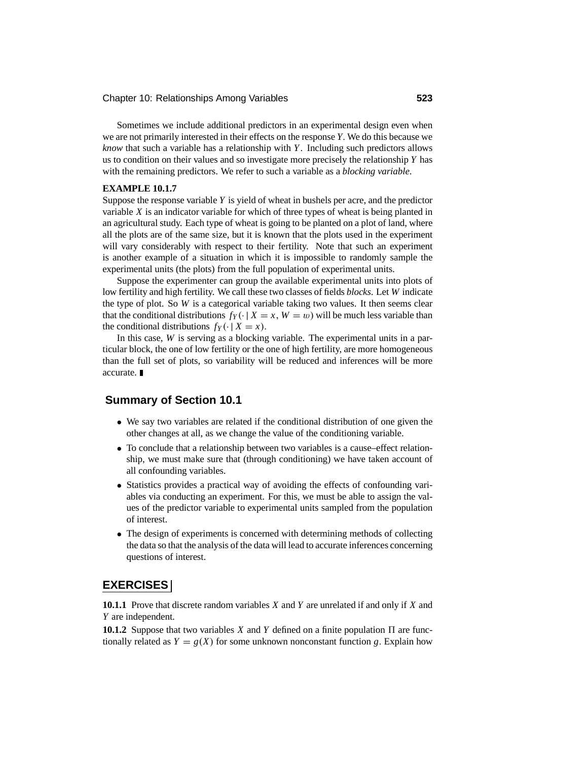Sometimes we include additional predictors in an experimental design even when we are not primarily interested in their effects on the response *Y*. We do this because we *know* that such a variable has a relationship with *Y*. Including such predictors allows us to condition on their values and so investigate more precisely the relationship *Y* has with the remaining predictors. We refer to such a variable as a *blocking variable*.

### **EXAMPLE 10.1.7**

Suppose the response variable *Y* is yield of wheat in bushels per acre, and the predictor variable *X* is an indicator variable for which of three types of wheat is being planted in an agricultural study. Each type of wheat is going to be planted on a plot of land, where all the plots are of the same size, but it is known that the plots used in the experiment will vary considerably with respect to their fertility. Note that such an experiment is another example of a situation in which it is impossible to randomly sample the experimental units (the plots) from the full population of experimental units.

Suppose the experimenter can group the available experimental units into plots of low fertility and high fertility. We call these two classes of fields *blocks*. Let *W* indicate the type of plot. So *W* is a categorical variable taking two values. It then seems clear that the conditional distributions  $f_Y(\cdot | X = x, W = w)$  will be much less variable than the conditional distributions  $f_Y(\cdot | X = x)$ .

In this case, *W* is serving as a blocking variable. The experimental units in a particular block, the one of low fertility or the one of high fertility, are more homogeneous than the full set of plots, so variability will be reduced and inferences will be more accurate.

### **Summary of Section 10.1**

- We say two variables are related if the conditional distribution of one given the other changes at all, as we change the value of the conditioning variable.
- To conclude that a relationship between two variables is a cause–effect relationship, we must make sure that (through conditioning) we have taken account of all confounding variables.
- Statistics provides a practical way of avoiding the effects of confounding variables via conducting an experiment. For this, we must be able to assign the values of the predictor variable to experimental units sampled from the population of interest.
- The design of experiments is concerned with determining methods of collecting the data so that the analysis of the data will lead to accurate inferences concerning questions of interest.

### **EXERCISES**

**10.1.1** Prove that discrete random variables *X* and *Y* are unrelated if and only if *X* and *Y* are independent.

**10.1.2** Suppose that two variables *X* and *Y* defined on a finite population  $\Pi$  are functionally related as  $Y = g(X)$  for some unknown nonconstant function g. Explain how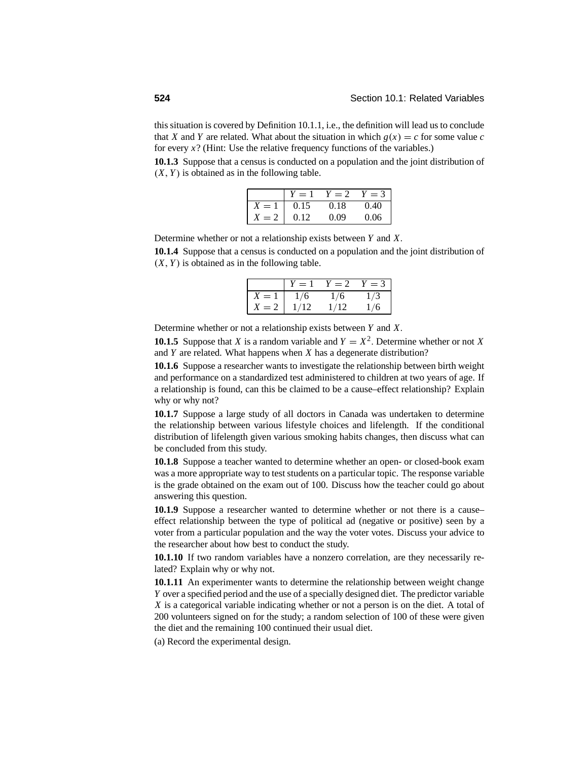this situation is covered by Definition 10.1.1, i.e., the definition will lead us to conclude that *X* and *Y* are related. What about the situation in which  $g(x) = c$  for some value *c* for every *x*? (Hint: Use the relative frequency functions of the variables.)

**10.1.3** Suppose that a census is conducted on a population and the joint distribution of  $(X, Y)$  is obtained as in the following table.

|       | $x = 1$ | $Y=2$ |      |
|-------|---------|-------|------|
| $X=1$ | 0.15    | 0.18  |      |
|       | 0.12    | 0.09  | 0.06 |

Determine whether or not a relationship exists between *Y* and *X*.

**10.1.4** Suppose that a census is conducted on a population and the joint distribution of  $(X, Y)$  is obtained as in the following table.

|       | $=$  | $Y=2$ | $=$ 3 |
|-------|------|-------|-------|
| $X =$ | 1/6  | 1/6   |       |
| $X=2$ | 1/12 | 1/12  | /6    |

Determine whether or not a relationship exists between *Y* and *X*.

**10.1.5** Suppose that *X* is a random variable and  $Y = X^2$ . Determine whether or not *X* and *Y* are related. What happens when *X* has a degenerate distribution?

**10.1.6** Suppose a researcher wants to investigate the relationship between birth weight and performance on a standardized test administered to children at two years of age. If a relationship is found, can this be claimed to be a cause–effect relationship? Explain why or why not?

**10.1.7** Suppose a large study of all doctors in Canada was undertaken to determine the relationship between various lifestyle choices and lifelength. If the conditional distribution of lifelength given various smoking habits changes, then discuss what can be concluded from this study.

**10.1.8** Suppose a teacher wanted to determine whether an open- or closed-book exam was a more appropriate way to test students on a particular topic. The response variable is the grade obtained on the exam out of 100. Discuss how the teacher could go about answering this question.

**10.1.9** Suppose a researcher wanted to determine whether or not there is a cause– effect relationship between the type of political ad (negative or positive) seen by a voter from a particular population and the way the voter votes. Discuss your advice to the researcher about how best to conduct the study.

**10.1.10** If two random variables have a nonzero correlation, are they necessarily related? Explain why or why not.

**10.1.11** An experimenter wants to determine the relationship between weight change *Y* over a specified period and the use of a specially designed diet. The predictor variable *X* is a categorical variable indicating whether or not a person is on the diet. A total of 200 volunteers signed on for the study; a random selection of 100 of these were given the diet and the remaining 100 continued their usual diet.

(a) Record the experimental design.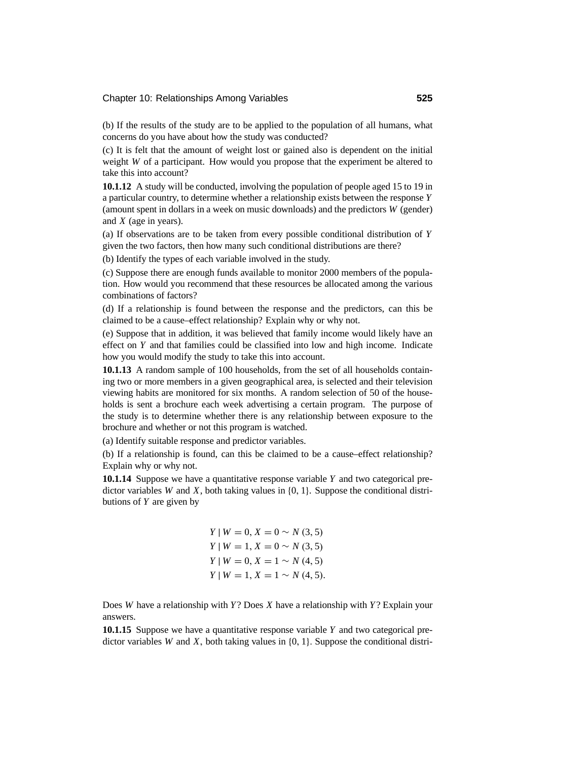(b) If the results of the study are to be applied to the population of all humans, what concerns do you have about how the study was conducted?

(c) It is felt that the amount of weight lost or gained also is dependent on the initial weight *W* of a participant. How would you propose that the experiment be altered to take this into account?

**10.1.12** A study will be conducted, involving the population of people aged 15 to 19 in a particular country, to determine whether a relationship exists between the response *Y* (amount spent in dollars in a week on music downloads) and the predictors *W* (gender) and *X* (age in years).

(a) If observations are to be taken from every possible conditional distribution of *Y* given the two factors, then how many such conditional distributions are there?

(b) Identify the types of each variable involved in the study.

(c) Suppose there are enough funds available to monitor 2000 members of the population. How would you recommend that these resources be allocated among the various combinations of factors?

(d) If a relationship is found between the response and the predictors, can this be claimed to be a cause–effect relationship? Explain why or why not.

(e) Suppose that in addition, it was believed that family income would likely have an effect on *Y* and that families could be classified into low and high income. Indicate how you would modify the study to take this into account.

**10.1.13** A random sample of 100 households, from the set of all households containing two or more members in a given geographical area, is selected and their television viewing habits are monitored for six months. A random selection of 50 of the households is sent a brochure each week advertising a certain program. The purpose of the study is to determine whether there is any relationship between exposure to the brochure and whether or not this program is watched.

(a) Identify suitable response and predictor variables.

(b) If a relationship is found, can this be claimed to be a cause–effect relationship? Explain why or why not.

**10.1.14** Suppose we have a quantitative response variable *Y* and two categorical predictor variables *<sup>W</sup>* and *<sup>X</sup>*, both taking values in {0, <sup>1</sup>}. Suppose the conditional distributions of *Y* are given by

$$
Y | W = 0, X = 0 \sim N (3, 5)
$$
  
 
$$
Y | W = 1, X = 0 \sim N (3, 5)
$$
  
 
$$
Y | W = 0, X = 1 \sim N (4, 5)
$$
  
 
$$
Y | W = 1, X = 1 \sim N (4, 5).
$$

Does *W* have a relationship with *Y*? Does *X* have a relationship with *Y*? Explain your answers.

**10.1.15** Suppose we have a quantitative response variable *Y* and two categorical predictor variables *<sup>W</sup>* and *<sup>X</sup>*, both taking values in {0, <sup>1</sup>}. Suppose the conditional distri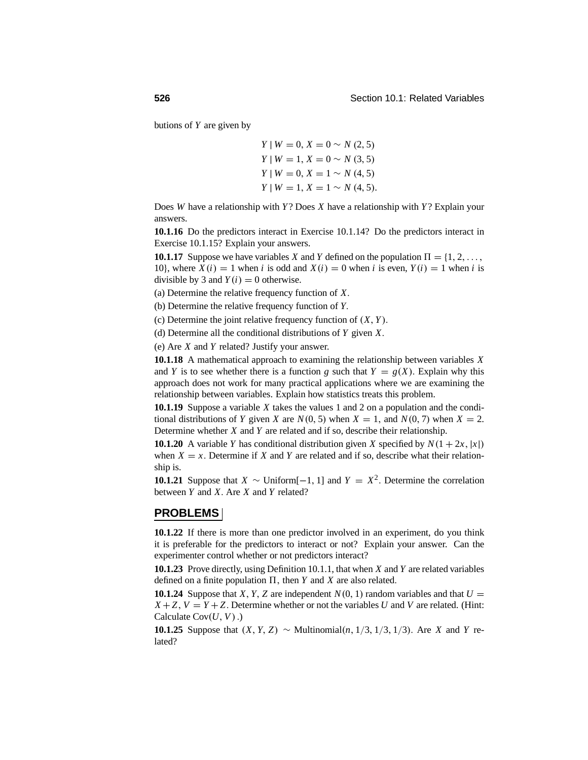butions of *Y* are given by

 $Y$  |  $W = 0$ ,  $X = 0 \sim N(2, 5)$ *Y* | *W* = 1, *X* = 0 ∼ *N* (3, 5) *Y* | *W* = 0, *X* = 1 ∼ *N* (4, 5) *Y*  $|W = 1, X = 1 ~ ∨ N$  (4, 5).

Does *W* have a relationship with *Y*? Does *X* have a relationship with *Y*? Explain your answers.

**10.1.16** Do the predictors interact in Exercise 10.1.14? Do the predictors interact in Exercise 10.1.15? Explain your answers.

**10.1.17** Suppose we have variables *X* and *Y* defined on the population  $\Pi = \{1, 2, \ldots, \}$ 10}, where  $X(i) = 1$  when *i* is odd and  $X(i) = 0$  when *i* is even,  $Y(i) = 1$  when *i* is divisible by 3 and  $Y(i) = 0$  otherwise.

(a) Determine the relative frequency function of *X*.

(b) Determine the relative frequency function of *Y*.

(c) Determine the joint relative frequency function of (*X*, *Y*).

(d) Determine all the conditional distributions of *Y* given *X*.

(e) Are *X* and *Y* related? Justify your answer.

**10.1.18** A mathematical approach to examining the relationship between variables *X* and *Y* is to see whether there is a function *g* such that  $Y = g(X)$ . Explain why this approach does not work for many practical applications where we are examining the relationship between variables. Explain how statistics treats this problem.

**10.1.19** Suppose a variable *X* takes the values 1 and 2 on a population and the conditional distributions of *Y* given *X* are  $N(0, 5)$  when  $X = 1$ , and  $N(0, 7)$  when  $X = 2$ . Determine whether *X* and *Y* are related and if so, describe their relationship.

**10.1.20** A variable *Y* has conditional distribution given *X* specified by  $N(1 + 2x, |x|)$ when  $X = x$ . Determine if X and Y are related and if so, describe what their relationship is.

**10.1.21** Suppose that *X* ∼ Uniform[−1, 1] and *Y* =  $X^2$ . Determine the correlation between *Y* and *X*. Are *X* and *Y* related?

### **PROBLEMS**

**10.1.22** If there is more than one predictor involved in an experiment, do you think it is preferable for the predictors to interact or not? Explain your answer. Can the experimenter control whether or not predictors interact?

**10.1.23** Prove directly, using Definition 10.1.1, that when *X* and *Y* are related variables defined on a finite population  $\Pi$ , then *Y* and *X* are also related.

**10.1.24** Suppose that *X*, *Y*, *Z* are independent  $N(0, 1)$  random variables and that  $U =$  $X + Z$ ,  $V = Y + Z$ . Determine whether or not the variables *U* and *V* are related. (Hint: Calculate Cov(*U*, *V*) .)

**10.1.25** Suppose that  $(X, Y, Z)$  ∼ Multinomial $(n, 1/3, 1/3, 1/3)$ . Are *X* and *Y* related?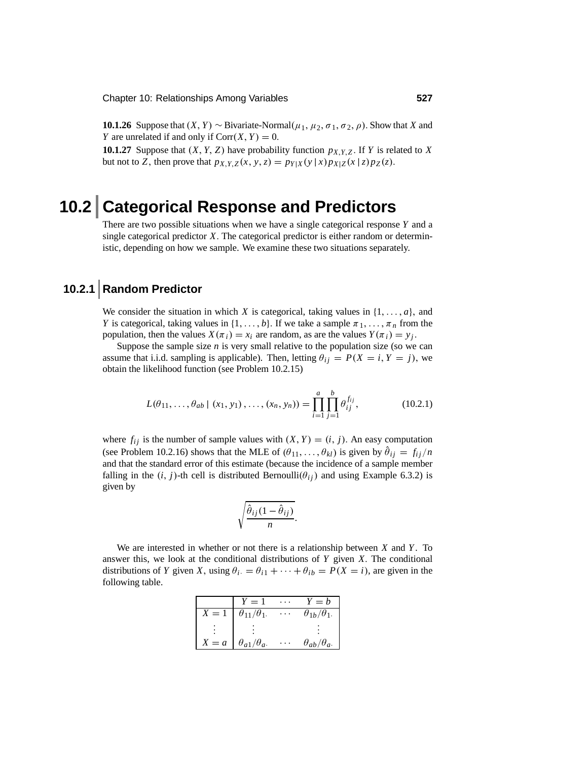Chapter 10: Relationships Among Variables **527**

**10.1.26** Suppose that  $(X, Y)$  ∼ Bivariate-Normal $(\mu_1, \mu_2, \sigma_1, \sigma_2, \rho)$ . Show that *X* and *Y* are unrelated if and only if  $Corr(X, Y) = 0$ .

**10.1.27** Suppose that  $(X, Y, Z)$  have probability function  $p_{X,Y,Z}$ . If *Y* is related to *X* but not to *Z*, then prove that  $p_{X,Y,Z}(x, y, z) = p_{Y|X}(y|x)p_{X|Z}(x|z)p_Z(z)$ .

# **10.2 Categorical Response and Predictors**

There are two possible situations when we have a single categorical response *Y* and a single categorical predictor *X*. The categorical predictor is either random or deterministic, depending on how we sample. We examine these two situations separately.

### **10.2.1 Random Predictor**

We consider the situation in which *X* is categorical, taking values in  $\{1, \ldots, a\}$ , and *Y* is categorical, taking values in  $\{1, \ldots, b\}$ . If we take a sample  $\pi_1, \ldots, \pi_n$  from the population, then the values  $X(\pi_i) = x_i$  are random, as are the values  $Y(\pi_i) = y_i$ .

Suppose the sample size *n* is very small relative to the population size (so we can assume that i.i.d. sampling is applicable). Then, letting  $\theta_{ij} = P(X = i, Y = j)$ , we obtain the likelihood function (see Problem 10.2.15)

$$
L(\theta_{11},\ldots,\theta_{ab} \mid (x_1, y_1),\ldots,(x_n, y_n)) = \prod_{i=1}^a \prod_{j=1}^b \theta_{ij}^{f_{ij}},
$$
 (10.2.1)

where  $f_{ij}$  is the number of sample values with  $(X, Y) = (i, j)$ . An easy computation (see Problem 10.2.16) shows that the MLE of  $(\theta_{11}, \ldots, \theta_{kl})$  is given by  $\hat{\theta}_{ij} = f_{ij}/n$ and that the standard error of this estimate (because the incidence of a sample member falling in the  $(i, j)$ -th cell is distributed Bernoulli $(\theta_{ij})$  and using Example 6.3.2) is given by

$$
\sqrt{\frac{\hat{\theta}_{ij}(1-\hat{\theta}_{ij})}{n}}.
$$

We are interested in whether or not there is a relationship between *X* and *Y*. To answer this, we look at the conditional distributions of *Y* given *X*. The conditional distributions of *Y* given *X*, using  $\theta_i = \theta_{i1} + \cdots + \theta_{ib} = P(X = i)$ , are given in the following table.

|       | $Y=1$                               |          | $Y = b$                  |
|-------|-------------------------------------|----------|--------------------------|
| $X=1$ | $\theta_{11}/\theta_{1}$ .          | $\cdots$ | $\theta_{1b}/\theta_1$ . |
|       |                                     |          |                          |
|       | $X = a \mid \theta_{a1}/\theta_{a}$ |          | $\theta_{ab}/\theta_a$ . |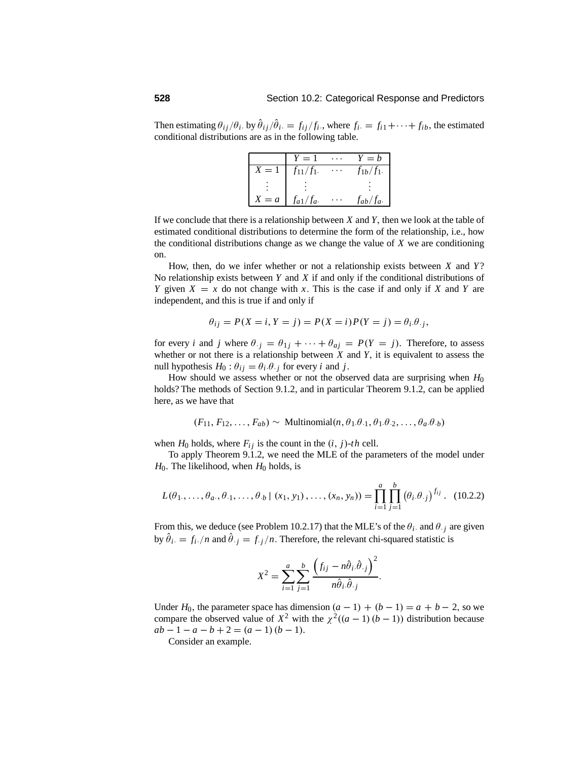Then estimating  $\theta_{ij}/\theta_i$ . by  $\hat{\theta}_{ij}/\hat{\theta}_i = f_{ij}/f_i$ , where  $f_i = f_{i1} + \cdots + f_{ib}$ , the estimated conditional distributions are as in the following table.

|         | $Y=1$            |   | $Y = b$        |
|---------|------------------|---|----------------|
| $X=1$   | $f_{11}/f_1$ .   | . | $f_{1b}/f_1$ . |
|         |                  |   |                |
| $X = a$ | $f_{a1}/f_{a}$ . |   | $f_{ab}/f_a$ . |

If we conclude that there is a relationship between *X* and *Y*, then we look at the table of estimated conditional distributions to determine the form of the relationship, i.e., how the conditional distributions change as we change the value of *X* we are conditioning on.

How, then, do we infer whether or not a relationship exists between *X* and *Y*? No relationship exists between *Y* and *X* if and only if the conditional distributions of *Y* given  $X = x$  do not change with *x*. This is the case if and only if *X* and *Y* are independent, and this is true if and only if

$$
\theta_{ij} = P(X = i, Y = j) = P(X = i)P(Y = j) = \theta_i \theta_{ij},
$$

for every *i* and *j* where  $\theta_{\cdot j} = \theta_{1j} + \cdots + \theta_{aj} = P(Y = j)$ . Therefore, to assess whether or not there is a relationship between *X* and *Y*, it is equivalent to assess the null hypothesis  $H_0: \theta_{ij} = \theta_i \theta_{ij}$  for every *i* and *j*.

How should we assess whether or not the observed data are surprising when  $H_0$ holds? The methods of Section 9.1.2, and in particular Theorem 9.1.2, can be applied here, as we have that

$$
(F_{11}, F_{12}, \ldots, F_{ab}) \sim \text{Multinomial}(n, \theta_1, \theta_1, \theta_1, \theta_2, \ldots, \theta_a, \theta_b)
$$

when  $H_0$  holds, where  $F_{ij}$  is the count in the  $(i, j)$ -th cell.

To apply Theorem 9.1.2, we need the MLE of the parameters of the model under  $H_0$ . The likelihood, when  $H_0$  holds, is

$$
L(\theta_1, \ldots, \theta_a, \theta_{\cdot 1}, \ldots, \theta_{\cdot b} | (x_1, y_1), \ldots, (x_n, y_n)) = \prod_{i=1}^a \prod_{j=1}^b (\theta_i \theta_{\cdot j})^{f_{ij}}.
$$
 (10.2.2)

From this, we deduce (see Problem 10.2.17) that the MLE's of the  $\theta_i$  and  $\theta_{\cdot j}$  are given by  $\hat{\theta}_i = f_i / n$  and  $\hat{\theta}_{\cdot j} = f_{\cdot j} / n$ . Therefore, the relevant chi-squared statistic is

$$
X^{2} = \sum_{i=1}^{a} \sum_{j=1}^{b} \frac{\left(f_{ij} - n\hat{\theta}_{i}.\hat{\theta}_{.j}\right)^{2}}{n\hat{\theta}_{i}.\hat{\theta}_{.j}}.
$$

Under  $H_0$ , the parameter space has dimension  $(a - 1) + (b - 1) = a + b - 2$ , so we compare the observed value of  $X^2$  with the  $\chi^2((a-1)(b-1))$  distribution because  $ab-1-a-b+2=(a-1)(b-1).$ 

Consider an example.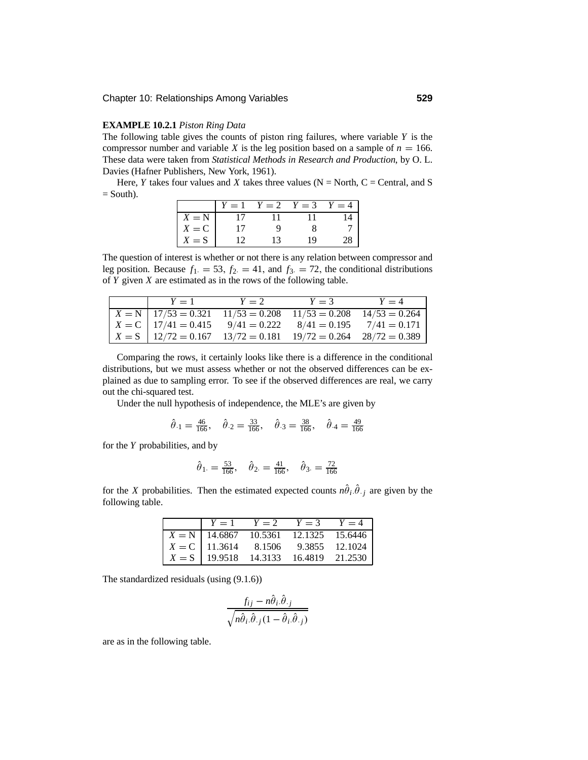#### **EXAMPLE 10.2.1** *Piston Ring Data*

The following table gives the counts of piston ring failures, where variable *Y* is the compressor number and variable *X* is the leg position based on a sample of  $n = 166$ . These data were taken from *Statistical Methods in Research and Production*, by O. L. Davies (Hafner Publishers, New York, 1961).

Here, *Y* takes four values and *X* takes three values ( $N = North$ ,  $C = Central$ , and *S*  $=$  South).

|             | $=$ $\overline{ }$ | $Y=2$ | $Y=3$ | $=$ |
|-------------|--------------------|-------|-------|-----|
| $X = N$     |                    |       |       |     |
| $X = C$     |                    |       |       |     |
| $\zeta = S$ | ר ו                |       | 19    |     |

The question of interest is whether or not there is any relation between compressor and leg position. Because  $f_1 = 53$ ,  $f_2 = 41$ , and  $f_3 = 72$ , the conditional distributions of *Y* given *X* are estimated as in the rows of the following table.

| $Y=1$                                                             | $Y=2$ | $Y = 3$ | $Y=4$ |
|-------------------------------------------------------------------|-------|---------|-------|
| $X = N$   17/53 = 0.321 11/53 = 0.208 11/53 = 0.208 14/53 = 0.264 |       |         |       |
| $X = C$   17/41 = 0.415 9/41 = 0.222 8/41 = 0.195 7/41 = 0.171    |       |         |       |
| $X = S$   12/72 = 0.167 13/72 = 0.181 19/72 = 0.264 28/72 = 0.389 |       |         |       |

Comparing the rows, it certainly looks like there is a difference in the conditional distributions, but we must assess whether or not the observed differences can be explained as due to sampling error. To see if the observed differences are real, we carry out the chi-squared test.

Under the null hypothesis of independence, the MLE's are given by

$$
\hat{\theta}_{.1} = \frac{46}{166}, \quad \hat{\theta}_{.2} = \frac{33}{166}, \quad \hat{\theta}_{.3} = \frac{38}{166}, \quad \hat{\theta}_{.4} = \frac{49}{166}
$$

for the *Y* probabilities, and by

$$
\hat{\theta}_{1} = \frac{53}{166}, \quad \hat{\theta}_{2} = \frac{41}{166}, \quad \hat{\theta}_{3} = \frac{72}{166}
$$

for the *X* probabilities. Then the estimated expected counts  $n\hat{\theta}_i \cdot \hat{\theta}_i$  are given by the following table.

|                                         |  | $Y = 1$ $Y = 2$ $Y = 3$ $Y = 4$ |
|-----------------------------------------|--|---------------------------------|
| $X = N$ 14.6867 10.5361 12.1325 15.6446 |  |                                 |
| $X = C$ 11.3614 8.1506 9.3855 12.1024   |  |                                 |
| $X = S$ 19.9518 14.3133 16.4819 21.2530 |  |                                 |

The standardized residuals (using (9.1.6))

$$
\frac{f_{ij} - n\hat{\theta}_i \cdot \hat{\theta}_{.j}}{\sqrt{n\hat{\theta}_i \cdot \hat{\theta}_{.j}(1 - \hat{\theta}_i \cdot \hat{\theta}_{.j})}}
$$

 $\overline{\phantom{a}}$ 

are as in the following table.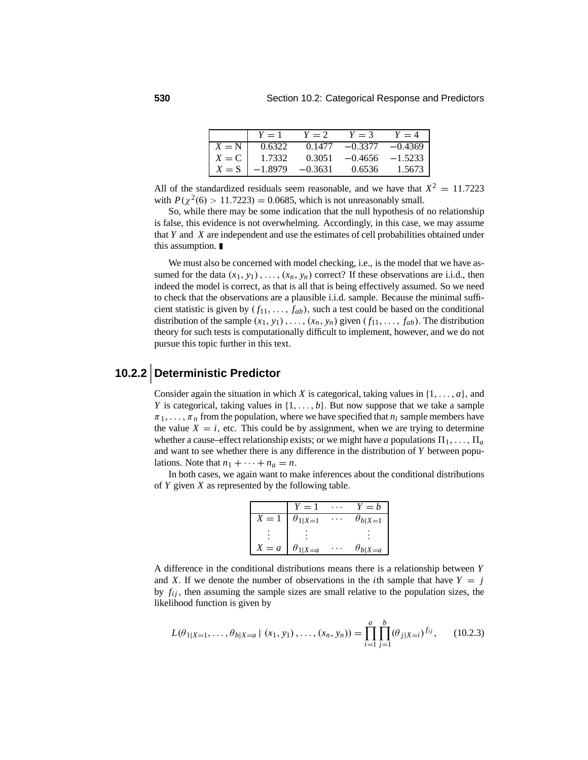|         | $Y=1$     | $Y=2$     | $Y = 3$   | $Y = 4$   |
|---------|-----------|-----------|-----------|-----------|
| $X = N$ | 0.6322    | 0.1477    | $-0.3377$ | $-0.4369$ |
| $X = C$ | 1.7332    | 0.3051    | $-0.4656$ | $-1.5233$ |
| $X = S$ | $-1.8979$ | $-0.3631$ | 0.6536    | 1.5673    |

All of the standardized residuals seem reasonable, and we have that  $X^2 = 11.7223$ with  $P(\chi^2(6) > 11.7223) = 0.0685$ , which is not unreasonably small.

So, while there may be some indication that the null hypothesis of no relationship is false, this evidence is not overwhelming. Accordingly, in this case, we may assume that *Y* and *X* are independent and use the estimates of cell probabilities obtained under this assumption.

We must also be concerned with model checking, i.e., is the model that we have assumed for the data  $(x_1, y_1), \ldots, (x_n, y_n)$  correct? If these observations are i.i.d., then indeed the model is correct, as that is all that is being effectively assumed. So we need to check that the observations are a plausible i.i.d. sample. Because the minimal sufficient statistic is given by  $(f_{11},..., f_{ab})$ , such a test could be based on the conditional distribution of the sample  $(x_1, y_1), \ldots, (x_n, y_n)$  given  $(f_{11}, \ldots, f_{ab})$ . The distribution theory for such tests is computationally difficult to implement, however, and we do not pursue this topic further in this text.

# **10.2.2 Deterministic Predictor**

Consider again the situation in which *X* is categorical, taking values in  $\{1, \ldots, a\}$ , and *Y* is categorical, taking values in  $\{1, \ldots, b\}$ . But now suppose that we take a sample  $\pi_1, \ldots, \pi_n$  from the population, where we have specified that  $n_i$  sample members have the value  $X = i$ , etc. This could be by assignment, when we are trying to determine whether a cause–effect relationship exists; or we might have *a* populations  $\Pi_1, \ldots, \Pi_a$ and want to see whether there is any difference in the distribution of *Y* between populations. Note that  $n_1 + \cdots + n_a = n$ .

In both cases, we again want to make inferences about the conditional distributions of *Y* given *X* as represented by the following table.

|             | $Y=1$            | $Y = b$          |
|-------------|------------------|------------------|
| $\zeta = 1$ | $\theta_{1 X=1}$ | $\theta_{b X=1}$ |
|             |                  |                  |
| $X = a$     | $\theta_{1 X=a}$ | $\theta_{b X=a}$ |

A difference in the conditional distributions means there is a relationship between *Y* and *X*. If we denote the number of observations in the *i*th sample that have  $Y = j$ by  $f_{ij}$ , then assuming the sample sizes are small relative to the population sizes, the likelihood function is given by

$$
L(\theta_{1|X=1},\ldots,\theta_{b|X=a} | (x_1, y_1),\ldots,(x_n, y_n)) = \prod_{i=1}^a \prod_{j=1}^b (\theta_{j|X=i})^{f_{ij}},\qquad(10.2.3)
$$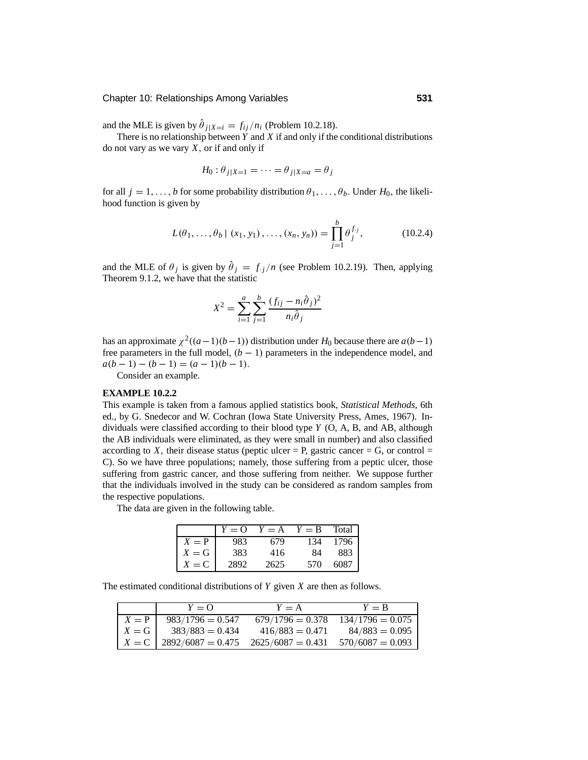### Chapter 10: Relationships Among Variables **531**

and the MLE is given by  $\hat{\theta}_{j|X=i} = f_{ij}/n_i$  (Problem 10.2.18).

There is no relationship between  $\ddot{Y}$  and  $\ddot{X}$  if and only if the conditional distributions do not vary as we vary *X*, or if and only if

$$
H_0: \theta_{j|X=1} = \cdots = \theta_{j|X=a} = \theta_j
$$

for all  $j = 1, \ldots, b$  for some probability distribution  $\theta_1, \ldots, \theta_b$ . Under  $H_0$ , the likelihood function is given by

$$
L(\theta_1, ..., \theta_b \mid (x_1, y_1), ..., (x_n, y_n)) = \prod_{j=1}^b \theta_j^{f_j},
$$
 (10.2.4)

and the MLE of  $\theta_j$  is given by  $\hat{\theta}_j = f_{\cdot j}/n$  (see Problem 10.2.19). Then, applying Theorem 9.1.2, we have that the statistic

$$
X^{2} = \sum_{i=1}^{a} \sum_{j=1}^{b} \frac{(f_{ij} - n_{i} \hat{\theta}_{j})^{2}}{n_{i} \hat{\theta}_{j}}
$$

has an approximate  $\chi^2((a-1)(b-1))$  distribution under  $H_0$  because there are  $a(b-1)$ free parameters in the full model,  $(b - 1)$  parameters in the independence model, and  $a(b-1) - (b-1) = (a-1)(b-1).$ 

Consider an example.

### **EXAMPLE 10.2.2**

This example is taken from a famous applied statistics book, *Statistical Methods,* 6th ed.*,* by G. Snedecor and W. Cochran (Iowa State University Press, Ames, 1967). Individuals were classified according to their blood type *Y* (O, A, B, and AB, although the AB individuals were eliminated, as they were small in number) and also classified according to *X*, their disease status (peptic ulcer  $=$  P, gastric cancer  $=$  G, or control  $=$ C). So we have three populations; namely, those suffering from a peptic ulcer, those suffering from gastric cancer, and those suffering from neither. We suppose further that the individuals involved in the study can be considered as random samples from the respective populations.

The data are given in the following table.

|         | $=$ $\Omega$ | $Y = A$ | $Y = B$ | Total |
|---------|--------------|---------|---------|-------|
| $X = P$ | 983          | 679     |         | 1796  |
| $X = G$ | 383          | 416     | 84      | 883   |
| $X = C$ | 2892         | 2625    | 570     | 6087  |

The estimated conditional distributions of *Y* given *X* are then as follows.

|         | $Y = \Omega$                | $Y = A$             | $Y = B$            |
|---------|-----------------------------|---------------------|--------------------|
| $X = P$ | $983/1796 = 0.547$          | $679/1796 = 0.378$  | $134/1796 = 0.075$ |
| $X = G$ | $383/883 = 0.434$           | $416/883 = 0.471$   | $84/883 = 0.095$   |
|         | $X = C$   2892/6087 = 0.475 | $2625/6087 = 0.431$ | $570/6087 = 0.093$ |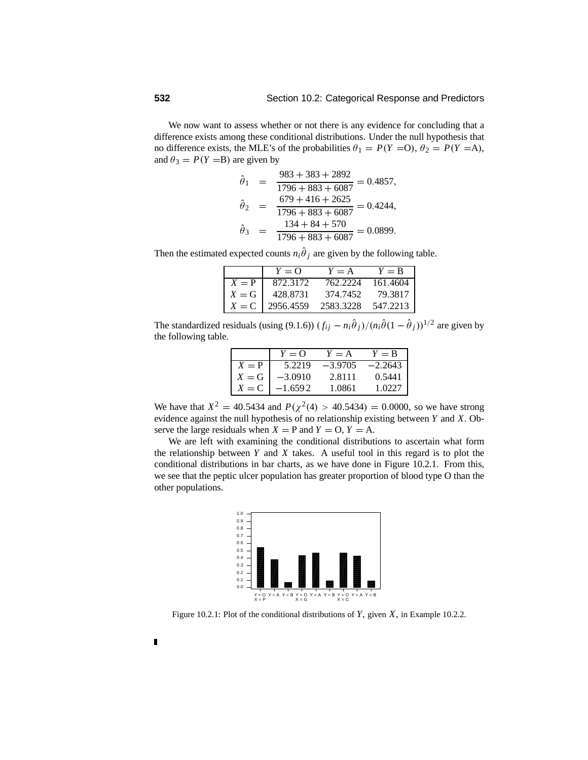We now want to assess whether or not there is any evidence for concluding that a difference exists among these conditional distributions. Under the null hypothesis that no difference exists, the MLE's of the probabilities  $\theta_1 = P(Y = 0)$ ,  $\theta_2 = P(Y = A)$ , and  $\theta_3 = P(Y = B)$  are given by

$$
\hat{\theta}_1 = \frac{983 + 383 + 2892}{1796 + 883 + 6087} = 0.4857,
$$
  
\n
$$
\hat{\theta}_2 = \frac{679 + 416 + 2625}{1796 + 883 + 6087} = 0.4244,
$$
  
\n
$$
\hat{\theta}_3 = \frac{134 + 84 + 570}{1796 + 883 + 6087} = 0.0899.
$$

Then the estimated expected counts  $n_i \hat{\theta}_j$  are given by the following table.

|         | $Y = \Omega$ | $Y = A$   | $Y = R$  |
|---------|--------------|-----------|----------|
| $X = P$ | 872 3172     | 762.2224  | 161 4604 |
| $X = G$ | 428 8731     | 374.7452  | 79.3817  |
| $X = C$ | 2956.4559    | 2583.3228 | 547 2213 |

The standardized residuals (using (9.1.6))  $(f_{ij} - n_i \hat{\theta}_j)/(n_i \hat{\theta}(1 - \hat{\theta}_j))^{1/2}$  are given by the following table.

|         | $Y = \Omega$ | $Y = A$   | $Y = B$   |
|---------|--------------|-----------|-----------|
| $X = P$ | 5.2219       | $-3.9705$ | $-2.2643$ |
| $X = G$ | $-3.0910$    | 2.8111    | 0.5441    |
| $X = C$ | $-1.6592$    | 1.0861    | 1.0227    |

We have that  $X^2 = 40.5434$  and  $P(\chi^2(4) > 40.5434) = 0.0000$ , so we have strong evidence against the null hypothesis of no relationship existing between *Y* and *X*. Observe the large residuals when  $X = P$  and  $Y = O$ ,  $Y = A$ .

We are left with examining the conditional distributions to ascertain what form the relationship between *Y* and *X* takes. A useful tool in this regard is to plot the conditional distributions in bar charts, as we have done in Figure 10.2.1. From this, we see that the peptic ulcer population has greater proportion of blood type O than the other populations.



Figure 10.2.1: Plot of the conditional distributions of *Y*, given *X*, in Example 10.2.2.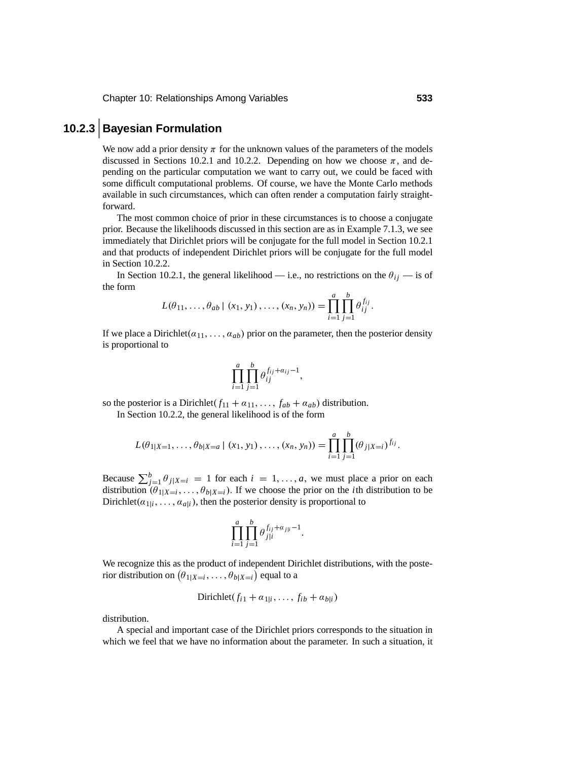## **10.2.3 Bayesian Formulation**

We now add a prior density  $\pi$  for the unknown values of the parameters of the models discussed in Sections 10.2.1 and 10.2.2. Depending on how we choose  $\pi$ , and depending on the particular computation we want to carry out, we could be faced with some difficult computational problems. Of course, we have the Monte Carlo methods available in such circumstances, which can often render a computation fairly straightforward.

The most common choice of prior in these circumstances is to choose a conjugate prior. Because the likelihoods discussed in this section are as in Example 7.1.3, we see immediately that Dirichlet priors will be conjugate for the full model in Section 10.2.1 and that products of independent Dirichlet priors will be conjugate for the full model in Section 10.2.2.

In Section 10.2.1, the general likelihood — i.e., no restrictions on the  $\theta_{ij}$  — is of the form

$$
L(\theta_{11},\ldots,\theta_{ab} \mid (x_1,y_1),\ldots,(x_n,y_n)) = \prod_{i=1}^a \prod_{j=1}^b \theta_{ij}^{f_{ij}}.
$$

If we place a Dirichlet( $\alpha_{11}, \ldots, \alpha_{ab}$ ) prior on the parameter, then the posterior density is proportional to

$$
\prod_{i=1}^a \prod_{j=1}^b \theta_{ij}^{f_{ij}+a_{ij}-1},
$$

so the posterior is a Dirichlet( $f_{11} + \alpha_{11}, \ldots, f_{ab} + \alpha_{ab}$ ) distribution.

In Section 10.2.2, the general likelihood is of the form

$$
L(\theta_{1|X=1},\ldots,\theta_{b|X=a} | (x_1,y_1),\ldots,(x_n,y_n)) = \prod_{i=1}^a \prod_{j=1}^b (\theta_{j|X=i})^{f_{ij}}.
$$

Because  $\sum_{j=1}^{b} \theta_{j|X=i} = 1$  for each  $i = 1, ..., a$ , we must place a prior on each distribution  $(\theta_{1|X=i}, \ldots, \theta_{b|X=i})$ . If we choose the prior on the *i*th distribution to be Dirichlet( $\alpha_{1|i}, \ldots, \alpha_{q|i}$ ), then the posterior density is proportional to

$$
\prod_{i=1}^a \prod_{j=1}^b \theta_{j|i}^{f_{ij} + \alpha_{j|i} - 1}.
$$

We recognize this as the product of independent Dirichlet distributions, with the posterior distribution on  $(\theta_{1|X=i}, \ldots, \theta_{b|X=i})$  equal to a

Dirichlet
$$
(f_{i1} + a_{1|i}, \ldots, f_{ib} + a_{b|i})
$$

distribution.

A special and important case of the Dirichlet priors corresponds to the situation in which we feel that we have no information about the parameter. In such a situation, it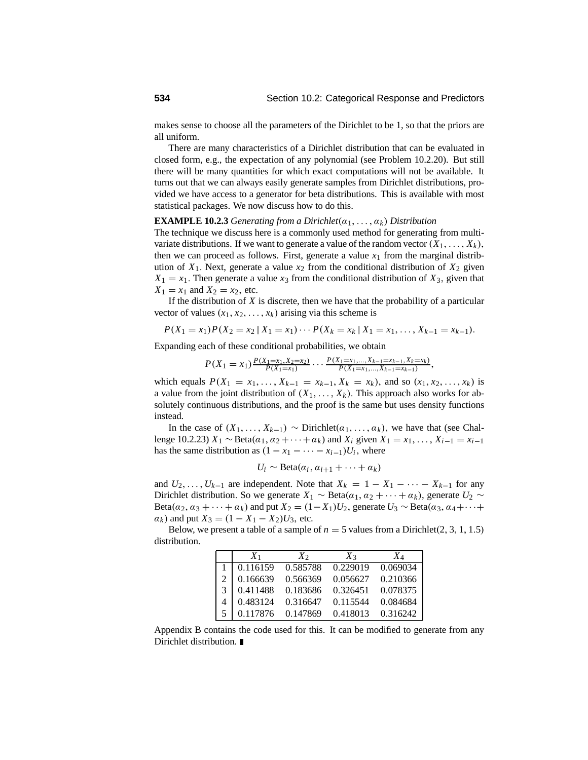makes sense to choose all the parameters of the Dirichlet to be 1, so that the priors are all uniform.

There are many characteristics of a Dirichlet distribution that can be evaluated in closed form, e.g., the expectation of any polynomial (see Problem 10.2.20). But still there will be many quantities for which exact computations will not be available. It turns out that we can always easily generate samples from Dirichlet distributions, provided we have access to a generator for beta distributions. This is available with most statistical packages. We now discuss how to do this.

### **EXAMPLE 10.2.3** *Generating from a Dirichlet* $(a_1, \ldots, a_k)$  *Distribution*

The technique we discuss here is a commonly used method for generating from multivariate distributions. If we want to generate a value of the random vector  $(X_1, \ldots, X_k)$ , then we can proceed as follows. First, generate a value  $x_1$  from the marginal distribution of  $X_1$ . Next, generate a value  $x_2$  from the conditional distribution of  $X_2$  given  $X_1 = x_1$ . Then generate a value  $x_3$  from the conditional distribution of  $X_3$ , given that  $X_1 = x_1$  and  $X_2 = x_2$ , etc.

If the distribution of *X* is discrete, then we have that the probability of a particular vector of values  $(x_1, x_2, \ldots, x_k)$  arising via this scheme is

$$
P(X_1 = x_1)P(X_2 = x_2 | X_1 = x_1) \cdots P(X_k = x_k | X_1 = x_1, \ldots, X_{k-1} = x_{k-1}).
$$

Expanding each of these conditional probabilities, we obtain

$$
P(X_1 = x_1) \frac{P(X_1 = x_1, X_2 = x_2)}{P(X_1 = x_1)} \cdots \frac{P(X_1 = x_1, ..., X_{k-1} = x_{k-1}, X_k = x_k)}{P(X_1 = x_1, ..., X_{k-1} = x_{k-1})},
$$

which equals  $P(X_1 = x_1, ..., X_{k-1} = x_{k-1}, X_k = x_k)$ , and so  $(x_1, x_2, ..., x_k)$  is a value from the joint distribution of  $(X_1, \ldots, X_k)$ . This approach also works for absolutely continuous distributions, and the proof is the same but uses density functions instead.

In the case of  $(X_1, \ldots, X_{k-1}) \sim$  Dirichlet $(a_1, \ldots, a_k)$ , we have that (see Challenge 10.2.23)  $X_1 \sim \text{Beta}(\alpha_1, \alpha_2 + \cdots + \alpha_k)$  and  $X_i$  given  $X_1 = x_1, \ldots, X_{i-1} = x_{i-1}$ has the same distribution as  $(1 - x_1 - \cdots - x_{i-1})U_i$ , where

$$
U_i \sim \text{Beta}(\alpha_i, \alpha_{i+1} + \cdots + \alpha_k)
$$

and  $U_2, \ldots, U_{k-1}$  are independent. Note that  $X_k = 1 - X_1 - \cdots - X_{k-1}$  for any Dirichlet distribution. So we generate *X*<sub>1</sub> ∼ Beta( $\alpha_1, \alpha_2 + \cdots + \alpha_k$ ), generate *U*<sub>2</sub> ∼ Beta $(\alpha_2, \alpha_3 + \cdots + \alpha_k)$  and put  $X_2 = (1 - X_1)U_2$ , generate  $U_3 \sim \text{Beta}(\alpha_3, \alpha_4 + \cdots + \alpha_k)$  $\alpha_k$ ) and put  $X_3 = (1 - X_1 - X_2)U_3$ , etc.

Below, we present a table of a sample of  $n = 5$  values from a Dirichlet(2, 3, 1, 1.5) distribution.

|  | $X_1$    | $X_2$    | $X_3$    | $X_{\it \Delta}$ |
|--|----------|----------|----------|------------------|
|  | 0.116159 | 0.585788 | 0.229019 | 0.069034         |
|  | 0.166639 | 0.566369 | 0.056627 | 0.210366         |
|  | 0.411488 | 0.183686 | 0.326451 | 0.078375         |
|  | 0.483124 | 0.316647 | 0.115544 | 0.084684         |
|  | 0.117876 | 0.147869 | 0.418013 | 0.316242         |

Appendix B contains the code used for this. It can be modified to generate from any Dirichlet distribution.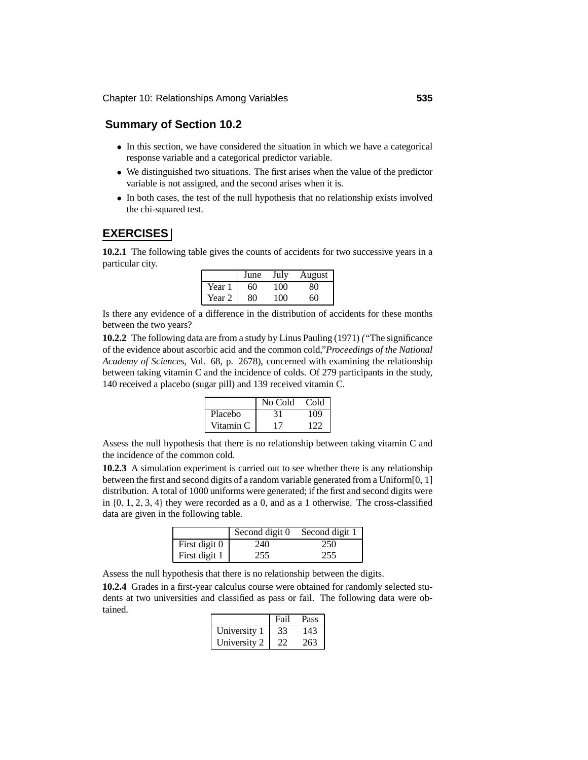### **Summary of Section 10.2**

- In this section, we have considered the situation in which we have a categorical response variable and a categorical predictor variable.
- We distinguished two situations. The first arises when the value of the predictor variable is not assigned, and the second arises when it is.
- In both cases, the test of the null hypothesis that no relationship exists involved the chi-squared test.

### **EXERCISES**

**10.2.1** The following table gives the counts of accidents for two successive years in a particular city.

|        | June | July | August |
|--------|------|------|--------|
| Year 1 | 60   | 100  | 80     |
| Year 2 | 80   | 100  | 60     |

Is there any evidence of a difference in the distribution of accidents for these months between the two years?

**10.2.2** The following data are from a study by Linus Pauling (1971) *("*The significance of the evidence about ascorbic acid and the common cold,"*Proceedings of the National Academy of Sciences*, Vol. 68, p. 2678), concerned with examining the relationship between taking vitamin C and the incidence of colds. Of 279 participants in the study, 140 received a placebo (sugar pill) and 139 received vitamin C.

|           | No Cold | Cold |
|-----------|---------|------|
| Placebo   | 31      | 109  |
| Vitamin C | l 7     | 177  |

Assess the null hypothesis that there is no relationship between taking vitamin C and the incidence of the common cold.

**10.2.3** A simulation experiment is carried out to see whether there is any relationship between the first and second digits of a random variable generated from a Uniform[0, 1] distribution. A total of 1000 uniforms were generated; if the first and second digits were in  $\{0, 1, 2, 3, 4\}$  they were recorded as a 0, and as a 1 otherwise. The cross-classified data are given in the following table.

|               | Second digit 0 | Second digit 1 |
|---------------|----------------|----------------|
| First digit 0 | 240            | 250            |
| First digit 1 | 255            | 255            |

Assess the null hypothesis that there is no relationship between the digits.

**10.2.4** Grades in a first-year calculus course were obtained for randomly selected students at two universities and classified as pass or fail. The following data were obtained.

|              | Fail | Pass |
|--------------|------|------|
| University 1 | 33   | 143  |
| University 2 |      | 263  |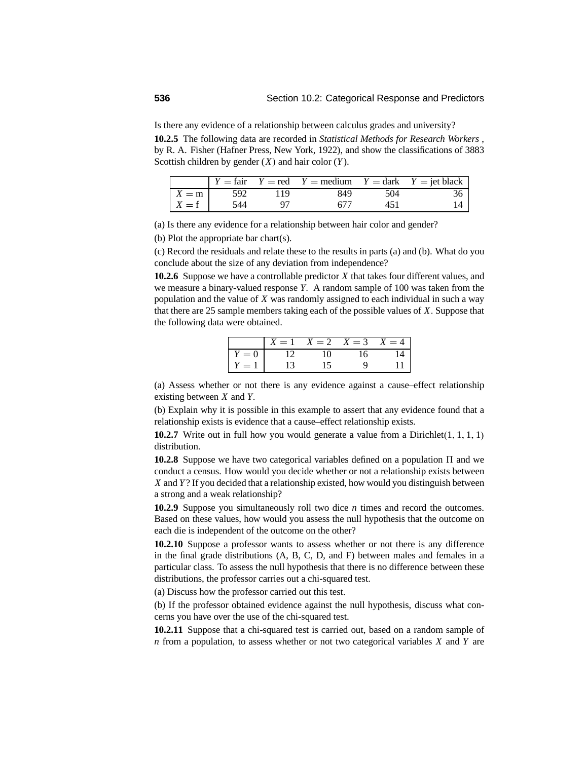Is there any evidence of a relationship between calculus grades and university?

**10.2.5** The following data are recorded in *Statistical Methods for Research Workers* , by R. A. Fisher (Hafner Press, New York, 1922), and show the classifications of 3883 Scottish children by gender (*X*) and hair color (*Y*).

|         |     |     | $Y = \text{fair } Y = \text{red } Y = \text{medium } Y = \text{dark } Y = \text{jet black }$ |     |  |
|---------|-----|-----|----------------------------------------------------------------------------------------------|-----|--|
| $X = m$ | 592 | 119 | 849                                                                                          | 504 |  |
| $X = f$ | 544 |     | 677                                                                                          | 451 |  |

(a) Is there any evidence for a relationship between hair color and gender?

(b) Plot the appropriate bar chart(s).

(c) Record the residuals and relate these to the results in parts (a) and (b). What do you conclude about the size of any deviation from independence?

**10.2.6** Suppose we have a controllable predictor *X* that takes four different values, and we measure a binary-valued response *Y*. A random sample of 100 was taken from the population and the value of *X* was randomly assigned to each individual in such a way that there are 25 sample members taking each of the possible values of *X*. Suppose that the following data were obtained.

|       | $X=1$ | $X = 2$ $X = 3$ | $X=4$ |
|-------|-------|-----------------|-------|
| $Y=0$ |       | 16              |       |
| $Y=1$ | 13    |                 |       |

(a) Assess whether or not there is any evidence against a cause–effect relationship existing between *X* and *Y*.

(b) Explain why it is possible in this example to assert that any evidence found that a relationship exists is evidence that a cause–effect relationship exists.

**10.2.7** Write out in full how you would generate a value from a Dirichlet(1, 1, 1, 1) distribution.

**10.2.8** Suppose we have two categorical variables defined on a population  $\Pi$  and we conduct a census. How would you decide whether or not a relationship exists between *X* and *Y*? If you decided that a relationship existed, how would you distinguish between a strong and a weak relationship?

**10.2.9** Suppose you simultaneously roll two dice *n* times and record the outcomes. Based on these values, how would you assess the null hypothesis that the outcome on each die is independent of the outcome on the other?

**10.2.10** Suppose a professor wants to assess whether or not there is any difference in the final grade distributions (A, B, C, D, and F) between males and females in a particular class. To assess the null hypothesis that there is no difference between these distributions, the professor carries out a chi-squared test.

(a) Discuss how the professor carried out this test.

(b) If the professor obtained evidence against the null hypothesis, discuss what concerns you have over the use of the chi-squared test.

**10.2.11** Suppose that a chi-squared test is carried out, based on a random sample of *n* from a population, to assess whether or not two categorical variables *X* and *Y* are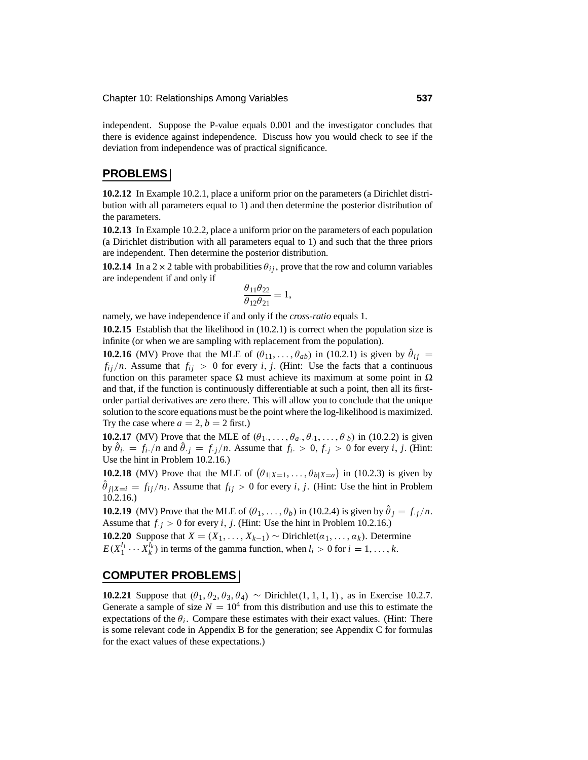independent. Suppose the P-value equals 0.001 and the investigator concludes that there is evidence against independence. Discuss how you would check to see if the deviation from independence was of practical significance.

### **PROBLEMS**

**10.2.12** In Example 10.2.1, place a uniform prior on the parameters (a Dirichlet distribution with all parameters equal to 1) and then determine the posterior distribution of the parameters.

**10.2.13** In Example 10.2.2, place a uniform prior on the parameters of each population (a Dirichlet distribution with all parameters equal to 1) and such that the three priors are independent. Then determine the posterior distribution.

**10.2.14** In a 2  $\times$  2 table with probabilities  $\theta_{ij}$ , prove that the row and column variables are independent if and only if

$$
\frac{\theta_{11}\theta_{22}}{\theta_{12}\theta_{21}} = 1,
$$

namely, we have independence if and only if the *cross-ratio* equals 1.

**10.2.15** Establish that the likelihood in (10.2.1) is correct when the population size is infinite (or when we are sampling with replacement from the population).

**10.2.16** (MV) Prove that the MLE of  $(\theta_{11}, \ldots, \theta_{ab})$  in (10.2.1) is given by  $\hat{\theta}_{ij}$  =  $f_{ij}/n$ . Assume that  $f_{ij} > 0$  for every *i*, *j*. (Hint: Use the facts that a continuous function on this parameter space  $\Omega$  must achieve its maximum at some point in  $\Omega$ and that, if the function is continuously differentiable at such a point, then all its firstorder partial derivatives are zero there. This will allow you to conclude that the unique solution to the score equations must be the point where the log-likelihood is maximized. Try the case where  $a = 2$ ,  $b = 2$  first.)

**10.2.17** (MV) Prove that the MLE of  $(\theta_1, \ldots, \theta_a, \theta_1, \ldots, \theta_b)$  in (10.2.2) is given by  $\hat{\theta}_i = f_i / n$  and  $\hat{\theta}_{\cdot j} = f_{\cdot j} / n$ . Assume that  $f_i > 0$ ,  $f_{\cdot j} > 0$  for every *i*, *j*. (Hint: Use the hint in Problem 10.2.16.)

**10.2.18** (MV) Prove that the MLE of  $(\theta_{1|X=1},..., \theta_{b|X=a})$  in (10.2.3) is given by  $\hat{\theta}_{j|X=i} = f_{ij}/n_i$ . Assume that  $f_{ij} > 0$  for every *i*, *j*. (Hint: Use the hint in Problem 10.2.16.)

**10.2.19** (MV) Prove that the MLE of  $(\theta_1, \ldots, \theta_b)$  in (10.2.4) is given by  $\hat{\theta}_i = f_i/n$ . Assume that  $f_{\cdot j} > 0$  for every *i*, *j*. (Hint: Use the hint in Problem 10.2.16.)

**10.2.20** Suppose that  $X = (X_1, \ldots, X_{k-1}) \sim$  Dirichlet $(\alpha_1, \ldots, \alpha_k)$ . Determine  $E(X_1^{l_1} \cdots X_k^{l_k})$  in terms of the gamma function, when  $l_i > 0$  for  $i = 1, ..., k$ .

### **COMPUTER PROBLEMS**

**10.2.21** Suppose that  $(\theta_1, \theta_2, \theta_3, \theta_4) \sim$  Dirichlet $(1, 1, 1, 1)$ , as in Exercise 10.2.7. Generate a sample of size  $N = 10^4$  from this distribution and use this to estimate the expectations of the  $\theta_i$ . Compare these estimates with their exact values. (Hint: There is some relevant code in Appendix B for the generation; see Appendix C for formulas for the exact values of these expectations.)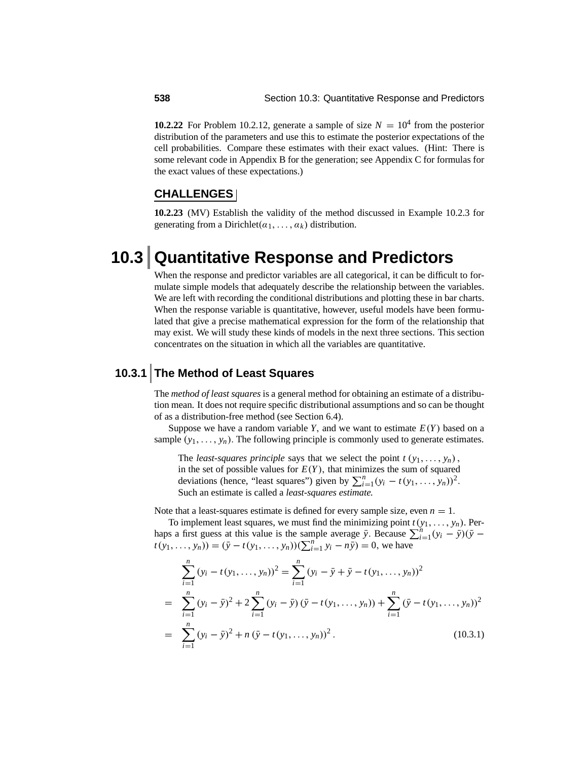**10.2.22** For Problem 10.2.12, generate a sample of size  $N = 10^4$  from the posterior distribution of the parameters and use this to estimate the posterior expectations of the cell probabilities. Compare these estimates with their exact values. (Hint: There is some relevant code in Appendix B for the generation; see Appendix C for formulas for the exact values of these expectations.)

### **CHALLENGES**

**10.2.23** (MV) Establish the validity of the method discussed in Example 10.2.3 for generating from a Dirichlet $(\alpha_1, \ldots, \alpha_k)$  distribution.

# **10.3 Quantitative Response and Predictors**

When the response and predictor variables are all categorical, it can be difficult to formulate simple models that adequately describe the relationship between the variables. We are left with recording the conditional distributions and plotting these in bar charts. When the response variable is quantitative, however, useful models have been formulated that give a precise mathematical expression for the form of the relationship that may exist. We will study these kinds of models in the next three sections. This section concentrates on the situation in which all the variables are quantitative.

### **10.3.1 The Method of Least Squares**

The *method of least squares* is a general method for obtaining an estimate of a distribution mean. It does not require specific distributional assumptions and so can be thought of as a distribution-free method (see Section 6.4).

Suppose we have a random variable  $Y$ , and we want to estimate  $E(Y)$  based on a sample  $(y_1, \ldots, y_n)$ . The following principle is commonly used to generate estimates.

The *least-squares principle* says that we select the point  $t$  ( $y_1, \ldots, y_n$ ), in the set of possible values for  $E(Y)$ , that minimizes the sum of squared deviations (hence, "least squares") given by  $\sum_{i=1}^{n} (y_i - t(y_1, \ldots, y_n))^2$ . Such an estimate is called a *least-squares estimate.*

Note that a least-squares estimate is defined for every sample size, even  $n = 1$ .

To implement least squares, we must find the minimizing point  $t(y_1, \ldots, y_n)$ . Perhaps a first guess at this value is the sample average  $\bar{y}$ . Because  $\sum_{i=1}^{n} (y_i - \bar{y})(\bar{y} - \bar{y})(\bar{y} - \bar{y})$  $t(y_1,..., y_n)) = (\bar{y} - t(y_1,..., y_n))(\sum_{i=1}^n y_i - n\bar{y}) = 0$ , we have

$$
\sum_{i=1}^{n} (y_i - t(y_1, \dots, y_n))^2 = \sum_{i=1}^{n} (y_i - \bar{y} + \bar{y} - t(y_1, \dots, y_n))^2
$$
  
= 
$$
\sum_{i=1}^{n} (y_i - \bar{y})^2 + 2 \sum_{i=1}^{n} (y_i - \bar{y}) (\bar{y} - t(y_1, \dots, y_n)) + \sum_{i=1}^{n} (\bar{y} - t(y_1, \dots, y_n))^2
$$
  
= 
$$
\sum_{i=1}^{n} (y_i - \bar{y})^2 + n (\bar{y} - t(y_1, \dots, y_n))^2.
$$
 (10.3.1)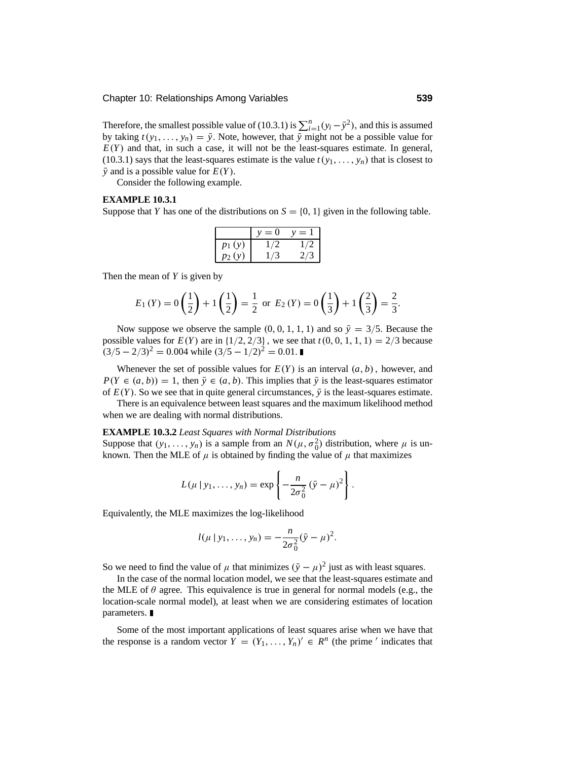Therefore, the smallest possible value of (10.3.1) is  $\sum_{i=1}^{n} (y_i - \bar{y}^2)$ , and this is assumed by taking  $t(y_1,..., y_n) = \bar{y}$ . Note, however, that  $\bar{y}$  might not be a possible value for  $E(Y)$  and that, in such a case, it will not be the least-squares estimate. In general, (10.3.1) says that the least-squares estimate is the value  $t(y_1, \ldots, y_n)$  that is closest to  $\bar{y}$  and is a possible value for  $E(Y)$ .

Consider the following example.

### **EXAMPLE 10.3.1**

Suppose that *Y* has one of the distributions on  $S = \{0, 1\}$  given in the following table.

|          | $= 0$ | $=$ |
|----------|-------|-----|
| $p_1(y)$ | 1/2   | 1/2 |
| $p_2(y)$ | 173   | 2/3 |

Then the mean of *Y* is given by

$$
E_1(Y) = 0\left(\frac{1}{2}\right) + 1\left(\frac{1}{2}\right) = \frac{1}{2}
$$
 or  $E_2(Y) = 0\left(\frac{1}{3}\right) + 1\left(\frac{2}{3}\right) = \frac{2}{3}$ .

Now suppose we observe the sample  $(0, 0, 1, 1, 1)$  and so  $\overline{y} = 3/5$ . Because the possible values for  $E(Y)$  are in  $\{1/2, 2/3\}$ , we see that  $t(0, 0, 1, 1, 1) = 2/3$  because  $(3/5 - 2/3)^2 = 0.004$  while  $(3/5 - 1/2)^2 = 0.01$ .

Whenever the set of possible values for  $E(Y)$  is an interval  $(a, b)$ , however, and  $P(Y \in (a, b)) = 1$ , then  $\bar{y} \in (a, b)$ . This implies that  $\bar{y}$  is the least-squares estimator of  $E(Y)$ . So we see that in quite general circumstances,  $\bar{y}$  is the least-squares estimate.

There is an equivalence between least squares and the maximum likelihood method when we are dealing with normal distributions.

### **EXAMPLE 10.3.2** *Least Squares with Normal Distributions*

Suppose that  $(y_1, \ldots, y_n)$  is a sample from an  $N(\mu, \sigma_0^2)$  distribution, where  $\mu$  is unknown. Then the MLE of  $\mu$  is obtained by finding the value of  $\mu$  that maximizes

$$
L(\mu | y_1, ..., y_n) = \exp \left\{ -\frac{n}{2\sigma_0^2} (\bar{y} - \mu)^2 \right\}.
$$

Equivalently, the MLE maximizes the log-likelihood

$$
l(\mu \mid y_1, \ldots, y_n) = -\frac{n}{2\sigma_0^2} (\bar{y} - \mu)^2
$$

.

So we need to find the value of  $\mu$  that minimizes  $(\bar{y} - \mu)^2$  just as with least squares.

In the case of the normal location model, we see that the least-squares estimate and the MLE of  $\theta$  agree. This equivalence is true in general for normal models (e.g., the location-scale normal model), at least when we are considering estimates of location parameters.

Some of the most important applications of least squares arise when we have that the response is a random vector  $\overline{Y} = (Y_1, \ldots, Y_n)' \in \mathbb{R}^n$  (the prime ' indicates that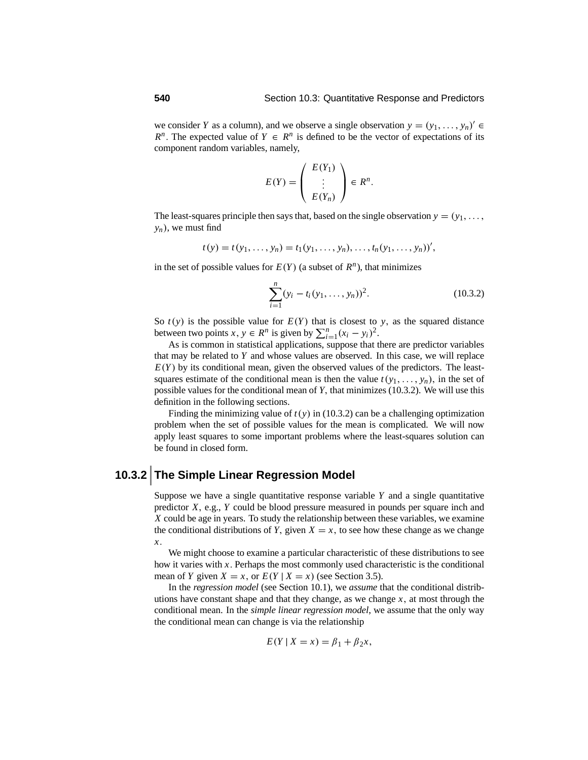we consider *Y* as a column), and we observe a single observation  $y = (y_1, \ldots, y_n)' \in \mathbb{R}^n$ .  $R^n$ . The expected value of  $Y \in R^n$  is defined to be the vector of expectations of its component random variables, namely,

$$
E(Y) = \left(\begin{array}{c} E(Y_1) \\ \vdots \\ E(Y_n) \end{array}\right) \in R^n.
$$

The least-squares principle then says that, based on the single observation  $y = (y_1, \ldots, y_n)$ *yn*), we must find

$$
t(y) = t(y_1, ..., y_n) = t_1(y_1, ..., y_n), ..., t_n(y_1, ..., y_n)'
$$

in the set of possible values for  $E(Y)$  (a subset of  $R^n$ ), that minimizes

$$
\sum_{i=1}^{n} (y_i - t_i(y_1, \dots, y_n))^2.
$$
 (10.3.2)

So  $t(y)$  is the possible value for  $E(Y)$  that is closest to *y*, as the squared distance between two points  $x, y \in \mathbb{R}^n$  is given by  $\sum_{i=1}^n (x_i - y_i)^2$ .

As is common in statistical applications, suppose that there are predictor variables that may be related to *Y* and whose values are observed. In this case, we will replace  $E(Y)$  by its conditional mean, given the observed values of the predictors. The leastsquares estimate of the conditional mean is then the value  $t(y_1, \ldots, y_n)$ , in the set of possible values for the conditional mean of *Y*, that minimizes (10.3.2). We will use this definition in the following sections.

Finding the minimizing value of  $t(y)$  in (10.3.2) can be a challenging optimization problem when the set of possible values for the mean is complicated. We will now apply least squares to some important problems where the least-squares solution can be found in closed form.

### **10.3.2 The Simple Linear Regression Model**

Suppose we have a single quantitative response variable *Y* and a single quantitative predictor *X*, e.g., *Y* could be blood pressure measured in pounds per square inch and *X* could be age in years. To study the relationship between these variables, we examine the conditional distributions of *Y*, given  $X = x$ , to see how these change as we change *x*.

We might choose to examine a particular characteristic of these distributions to see how it varies with *x*. Perhaps the most commonly used characteristic is the conditional mean of *Y* given  $X = x$ , or  $E(Y | X = x)$  (see Section 3.5).

In the *regression model* (see Section 10.1), we *assume* that the conditional distributions have constant shape and that they change, as we change  $x$ , at most through the conditional mean. In the *simple linear regression model*, we assume that the only way the conditional mean can change is via the relationship

$$
E(Y \mid X = x) = \beta_1 + \beta_2 x,
$$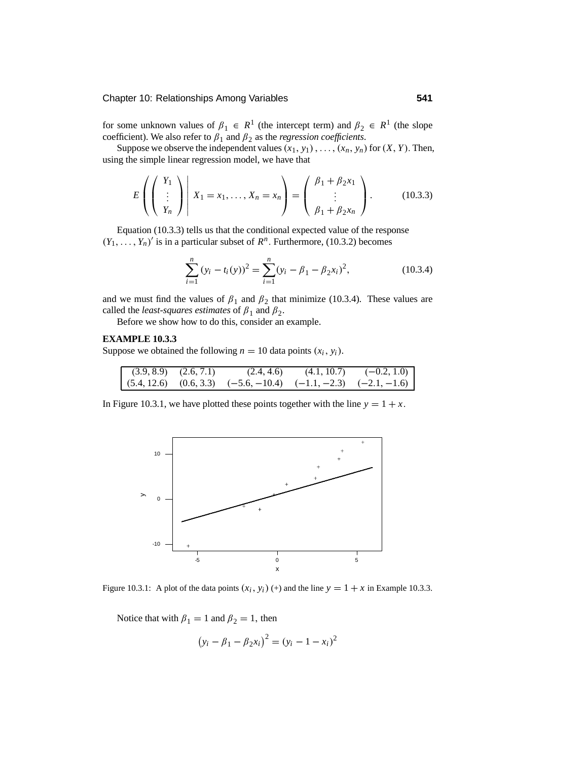Chapter 10: Relationships Among Variables **541**

for some unknown values of  $\beta_1 \in R^1$  (the intercept term) and  $\beta_2 \in R^1$  (the slope coefficient). We also refer to  $\beta_1$  and  $\beta_2$  as the *regression coefficients*.

Suppose we observe the independent values  $(x_1, y_1), \ldots, (x_n, y_n)$  for  $(X, Y)$ . Then, using the simple linear regression model, we have that

$$
E\left(\left(\begin{array}{c} Y_1 \\ \vdots \\ Y_n \end{array}\right)\middle| \ X_1 = x_1, \dots, X_n = x_n\right) = \left(\begin{array}{c} \beta_1 + \beta_2 x_1 \\ \vdots \\ \beta_1 + \beta_2 x_n \end{array}\right). \tag{10.3.3}
$$

Equation (10.3.3) tells us that the conditional expected value of the response  $(Y_1, \ldots, Y_n)'$  is in a particular subset of  $R^n$ . Furthermore, (10.3.2) becomes

$$
\sum_{i=1}^{n} (y_i - t_i(y))^2 = \sum_{i=1}^{n} (y_i - \beta_1 - \beta_2 x_i)^2,
$$
 (10.3.4)

and we must find the values of  $\beta_1$  and  $\beta_2$  that minimize (10.3.4). These values are called the *least-squares estimates* of  $\beta_1$  and  $\beta_2$ .

Before we show how to do this, consider an example.

### **EXAMPLE 10.3.3**

Suppose we obtained the following  $n = 10$  data points  $(x_i, y_i)$ .

| $(3.9, 8.9)$ $(2.6, 7.1)$ | (2.4, 4.6)                                                               | $(4.1, 10.7)$ $(-0.2, 1.0)$ |
|---------------------------|--------------------------------------------------------------------------|-----------------------------|
|                           | $(5.4, 12.6)$ $(0.6, 3.3)$ $(-5.6, -10.4)$ $(-1.1, -2.3)$ $(-2.1, -1.6)$ |                             |

In Figure 10.3.1, we have plotted these points together with the line  $y = 1 + x$ .



Figure 10.3.1: A plot of the data points  $(x_i, y_i)$  (+) and the line  $y = 1 + x$  in Example 10.3.3.

Notice that with  $\beta_1 = 1$  and  $\beta_2 = 1$ , then

$$
(y_i - \beta_1 - \beta_2 x_i)^2 = (y_i - 1 - x_i)^2
$$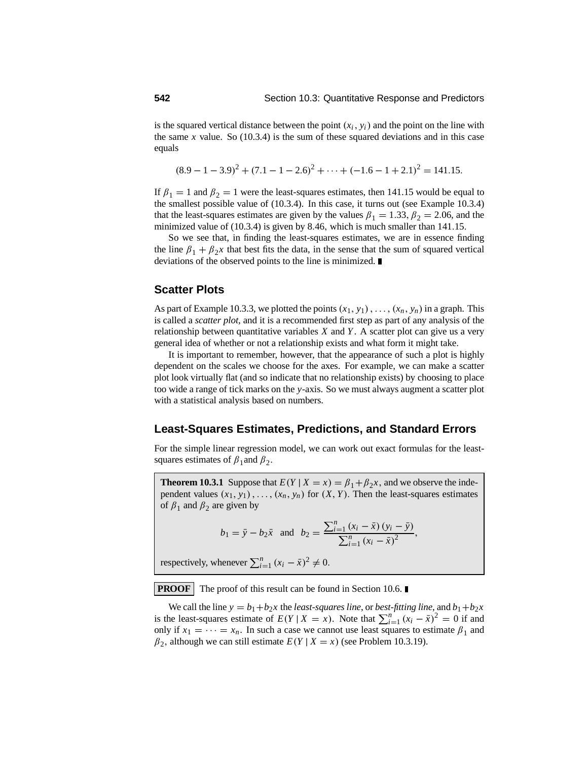is the squared vertical distance between the point  $(x_i, y_i)$  and the point on the line with the same *x* value. So  $(10.3.4)$  is the sum of these squared deviations and in this case equals

$$
(8.9 - 1 - 3.9)^2 + (7.1 - 1 - 2.6)^2 + \dots + (-1.6 - 1 + 2.1)^2 = 141.15.
$$

If  $\beta_1 = 1$  and  $\beta_2 = 1$  were the least-squares estimates, then 141.15 would be equal to the smallest possible value of (10.3.4). In this case, it turns out (see Example 10.3.4) that the least-squares estimates are given by the values  $\beta_1 = 1.33$ ,  $\beta_2 = 2.06$ , and the minimized value of (10.3.4) is given by 8.46, which is much smaller than 141.15.

So we see that, in finding the least-squares estimates, we are in essence finding the line  $\beta_1 + \beta_2 x$  that best fits the data, in the sense that the sum of squared vertical deviations of the observed points to the line is minimized.

### **Scatter Plots**

As part of Example 10.3.3, we plotted the points  $(x_1, y_1), \ldots, (x_n, y_n)$  in a graph. This is called a *scatter plot,* and it is a recommended first step as part of any analysis of the relationship between quantitative variables *X* and *Y*. A scatter plot can give us a very general idea of whether or not a relationship exists and what form it might take.

It is important to remember, however, that the appearance of such a plot is highly dependent on the scales we choose for the axes. For example, we can make a scatter plot look virtually flat (and so indicate that no relationship exists) by choosing to place too wide a range of tick marks on the *y*-axis. So we must always augment a scatter plot with a statistical analysis based on numbers.

### **Least-Squares Estimates, Predictions, and Standard Errors**

For the simple linear regression model, we can work out exact formulas for the leastsquares estimates of  $\beta_1$  and  $\beta_2$ .

**Theorem 10.3.1** Suppose that  $E(Y | X = x) = \beta_1 + \beta_2 x$ , and we observe the independent values  $(x_1, y_1), \ldots, (x_n, y_n)$  for  $(X, Y)$ . Then the least-squares estimates of  $\beta_1$  and  $\beta_2$  are given by

$$
b_1 = \bar{y} - b_2 \bar{x}
$$
 and  $b_2 = \frac{\sum_{i=1}^{n} (x_i - \bar{x}) (y_i - \bar{y})}{\sum_{i=1}^{n} (x_i - \bar{x})^2}$ ,

respectively, whenever  $\sum_{i=1}^{n} (x_i - \bar{x})^2 \neq 0$ .

**PROOF** The proof of this result can be found in Section 10.6.

We call the line  $y = b_1 + b_2x$  the *least-squares line*, or *best-fitting line*, and  $b_1 + b_2x$ is the least-squares estimate of  $E(Y | X = x)$ . Note that  $\sum_{i=1}^{n} (x_i - \bar{x})^2 = 0$  if and only if  $x_1 = \cdots = x_n$ . In such a case we cannot use least squares to estimate  $\beta_1$  and  $\beta_2$ , although we can still estimate  $E(Y | X = x)$  (see Problem 10.3.19).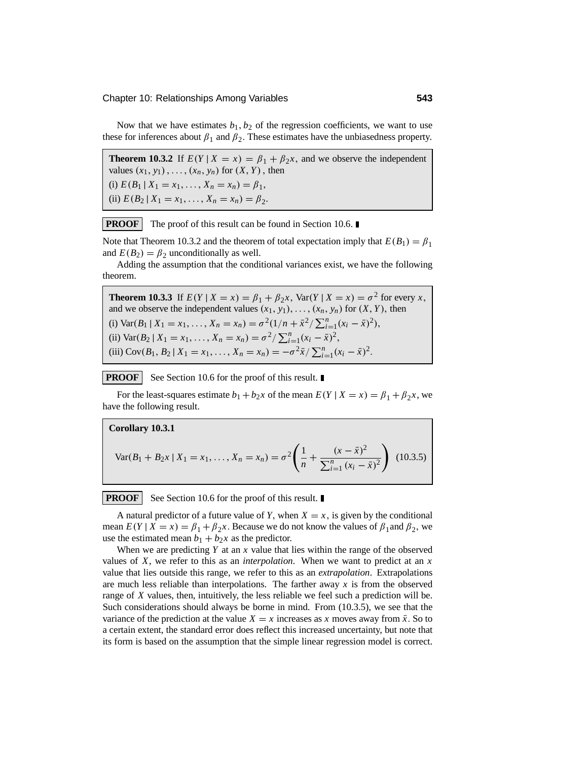Chapter 10: Relationships Among Variables **543**

Now that we have estimates  $b_1, b_2$  of the regression coefficients, we want to use these for inferences about  $\beta_1$  and  $\beta_2$ . These estimates have the unbiasedness property.

**Theorem 10.3.2** If  $E(Y | X = x) = \beta_1 + \beta_2 x$ , and we observe the independent values  $(x_1, y_1), \ldots, (x_n, y_n)$  for  $(X, Y)$ , then (i)  $E(B_1 | X_1 = x_1, \ldots, X_n = x_n) = \beta_1$ , (ii)  $E(B_2 | X_1 = x_1, \ldots, X_n = x_n) = \beta_2$ .

**PROOF** The proof of this result can be found in Section 10.6.

Note that Theorem 10.3.2 and the theorem of total expectation imply that  $E(B_1) = \beta_1$ and  $E(B_2) = \beta_2$  unconditionally as well.

Adding the assumption that the conditional variances exist, we have the following theorem.

**Theorem 10.3.3** If  $E(Y | X = x) = \beta_1 + \beta_2 x$ ,  $Var(Y | X = x) = \sigma^2$  for every *x*, and we observe the independent values  $(x_1, y_1), \ldots, (x_n, y_n)$  for  $(X, Y)$ , then (i)  $\text{Var}(B_1 | X_1 = x_1, \ldots, X_n = x_n) = \sigma^2 \left( \frac{1}{n} + \bar{x}^2 / \sum_{i=1}^n (x_i - \bar{x})^2 \right),$ (ii)  $\text{Var}(B_2 | X_1 = x_1, \ldots, X_n = x_n) = \sigma^2 / \sum_{i=1}^n (x_i - \bar{x})^2$ , (iii)  $Cov(B_1, B_2 | X_1 = x_1, ..., X_n = x_n) = -\sigma^2 \bar{x} / \sum_{i=1}^n (x_i - \bar{x})^2$ .

**PROOF** See Section 10.6 for the proof of this result.

For the least-squares estimate  $b_1 + b_2x$  of the mean  $E(Y | X = x) = \beta_1 + \beta_2x$ , we have the following result.

**Corollary 10.3.1**

$$
\text{Var}(B_1 + B_2 x \mid X_1 = x_1, \dots, X_n = x_n) = \sigma^2 \left( \frac{1}{n} + \frac{(x - \bar{x})^2}{\sum_{i=1}^n (x_i - \bar{x})^2} \right) \tag{10.3.5}
$$

**PROOF** See Section 10.6 for the proof of this result.

A natural predictor of a future value of *Y*, when  $X = x$ , is given by the conditional mean  $E(Y | X = x) = \beta_1 + \beta_2 x$ . Because we do not know the values of  $\beta_1$  and  $\beta_2$ , we use the estimated mean  $b_1 + b_2x$  as the predictor.

When we are predicting *Y* at an *x* value that lies within the range of the observed values of *X*, we refer to this as an *interpolation*. When we want to predict at an *x* value that lies outside this range, we refer to this as an *extrapolation*. Extrapolations are much less reliable than interpolations. The farther away  $x$  is from the observed range of *X* values, then, intuitively, the less reliable we feel such a prediction will be. Such considerations should always be borne in mind. From (10.3.5), we see that the variance of the prediction at the value  $X = x$  increases as x moves away from  $\bar{x}$ . So to a certain extent, the standard error does reflect this increased uncertainty, but note that its form is based on the assumption that the simple linear regression model is correct.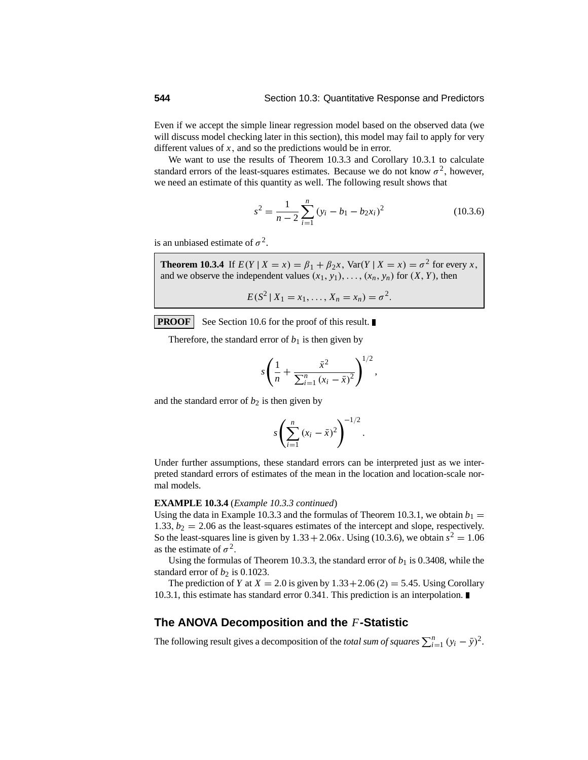Even if we accept the simple linear regression model based on the observed data (we will discuss model checking later in this section), this model may fail to apply for very different values of *x*, and so the predictions would be in error.

We want to use the results of Theorem 10.3.3 and Corollary 10.3.1 to calculate standard errors of the least-squares estimates. Because we do not know  $\sigma^2$ , however, we need an estimate of this quantity as well. The following result shows that

$$
s^{2} = \frac{1}{n-2} \sum_{i=1}^{n} (y_{i} - b_{1} - b_{2}x_{i})^{2}
$$
 (10.3.6)

is an unbiased estimate of  $\sigma^2$ .

**Theorem 10.3.4** If  $E(Y | X = x) = \beta_1 + \beta_2 x$ ,  $Var(Y | X = x) = \sigma^2$  for every *x*, and we observe the independent values  $(x_1, y_1), \ldots, (x_n, y_n)$  for  $(X, Y)$ , then

$$
E(S^2 | X_1 = x_1, ..., X_n = x_n) = \sigma^2.
$$

**PROOF** See Section 10.6 for the proof of this result.

Therefore, the standard error of  $b_1$  is then given by

$$
s\left(\frac{1}{n}+\frac{\bar{x}^2}{\sum_{i=1}^n(x_i-\bar{x})^2}\right)^{1/2},\,
$$

and the standard error of  $b_2$  is then given by

$$
s\left(\sum_{i=1}^n\,(x_i-\bar{x})^2\right)^{-1/2}.
$$

Under further assumptions, these standard errors can be interpreted just as we interpreted standard errors of estimates of the mean in the location and location-scale normal models.

#### **EXAMPLE 10.3.4** (*Example 10.3.3 continued*)

Using the data in Example 10.3.3 and the formulas of Theorem 10.3.1, we obtain  $b_1 =$ 1.33,  $b_2 = 2.06$  as the least-squares estimates of the intercept and slope, respectively. So the least-squares line is given by  $1.33 + 2.06x$ . Using (10.3.6), we obtain  $s^2 = 1.06$ as the estimate of  $\sigma^2$ .

Using the formulas of Theorem 10.3.3, the standard error of  $b_1$  is 0.3408, while the standard error of  $b_2$  is 0.1023.

The prediction of *Y* at  $X = 2.0$  is given by  $1.33 + 2.06$  (2) = 5.45. Using Corollary 10.3.1, this estimate has standard error 0.341. This prediction is an interpolation.

### **The ANOVA Decomposition and the** *F***-Statistic**

The following result gives a decomposition of the *total sum of squares*  $\sum_{i=1}^{n} (y_i - \bar{y})^2$ .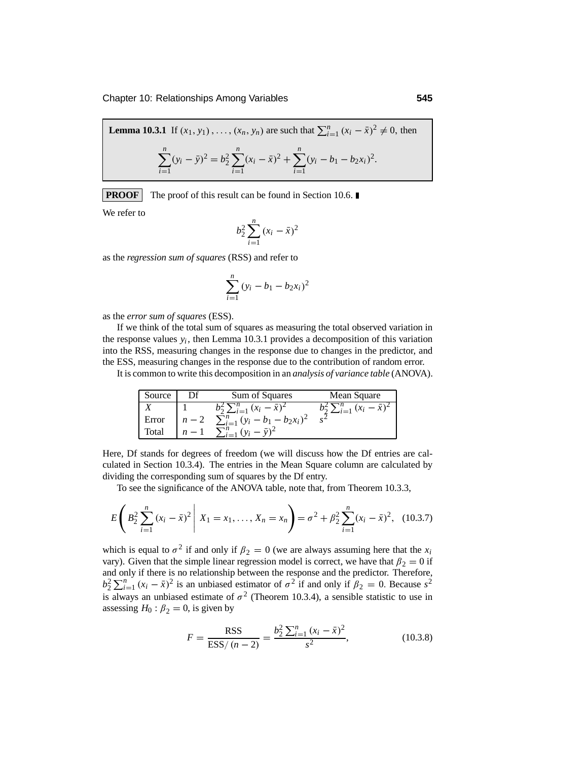Chapter 10: Relationships Among Variables **545**

**Lemma 10.3.1** If 
$$
(x_1, y_1), ..., (x_n, y_n)
$$
 are such that  $\sum_{i=1}^n (x_i - \bar{x})^2 \neq 0$ , then  

$$
\sum_{i=1}^n (y_i - \bar{y})^2 = b_2^2 \sum_{i=1}^n (x_i - \bar{x})^2 + \sum_{i=1}^n (y_i - b_1 - b_2 x_i)^2.
$$

**PROOF** The proof of this result can be found in Section 10.6.

We refer to

$$
b_2^2 \sum_{i=1}^n (x_i - \bar{x})^2
$$

as the *regression sum of squares* (RSS) and refer to

$$
\sum_{i=1}^{n} (y_i - b_1 - b_2 x_i)^2
$$

as the *error sum of squares* (ESS).

If we think of the total sum of squares as measuring the total observed variation in the response values  $y_i$ , then Lemma 10.3.1 provides a decomposition of this variation into the RSS, measuring changes in the response due to changes in the predictor, and the ESS, measuring changes in the response due to the contribution of random error.

It is common to write this decomposition in an *analysis of variance table* (ANOVA).

| Source | Df    | Sum of Squares                           | Mean Square         |
|--------|-------|------------------------------------------|---------------------|
|        |       | $\sum_{i=1}^{n} (x_i - \bar{x})^2$       | $(x_i - \bar{x})^2$ |
| Error  | $n-2$ | $\sum_{i=1}^{n} (y_i - b_1 - b_2 x_i)^2$ |                     |
| Total  |       |                                          |                     |

Here, Df stands for degrees of freedom (we will discuss how the Df entries are calculated in Section 10.3.4). The entries in the Mean Square column are calculated by dividing the corresponding sum of squares by the Df entry.

To see the significance of the ANOVA table, note that, from Theorem 10.3.3,

$$
E\left(B_2^2\sum_{i=1}^n(x_i-\bar{x})^2\middle|X_1=x_1,\ldots,X_n=x_n\right)=\sigma^2+\beta_2^2\sum_{i=1}^n(x_i-\bar{x})^2,\quad(10.3.7)
$$

which is equal to  $\sigma^2$  if and only if  $\beta_2 = 0$  (we are always assuming here that the  $x_i$ vary). Given that the simple linear regression model is correct, we have that  $\beta_2 = 0$  if and only if there is no relationship between the response and the predictor. Therefore,  $b_2^2 \sum_{i=1}^n (x_i - \bar{x})^2$  is an unbiased estimator of  $\sigma^2$  if and only if  $\beta_2 = 0$ . Because  $s^2$ is always an unbiased estimate of  $\sigma^2$  (Theorem 10.3.4), a sensible statistic to use in assessing  $H_0: \beta_2 = 0$ , is given by

$$
F = \frac{\text{RSS}}{\text{ESS}/(n-2)} = \frac{b_2^2 \sum_{i=1}^n (x_i - \bar{x})^2}{s^2},
$$
(10.3.8)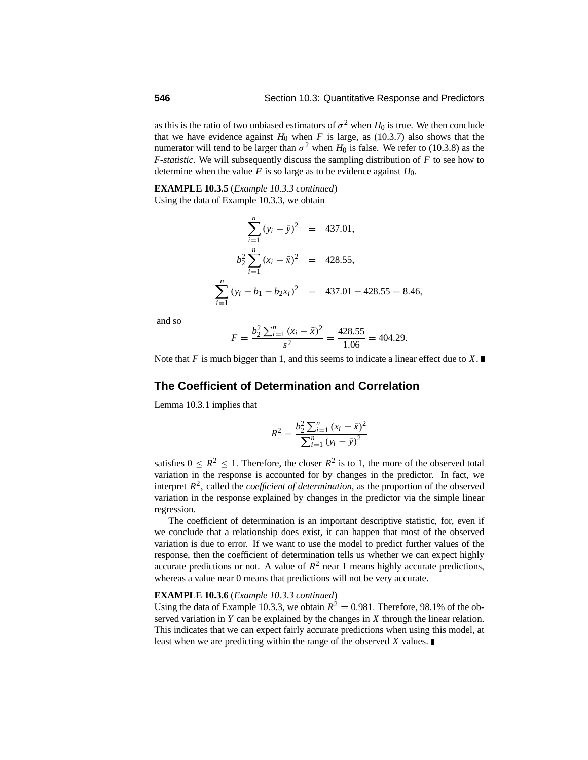as this is the ratio of two unbiased estimators of  $\sigma^2$  when *H*<sub>0</sub> is true. We then conclude that we have evidence against  $H_0$  when  $F$  is large, as (10.3.7) also shows that the numerator will tend to be larger than  $\sigma^2$  when  $H_0$  is false. We refer to (10.3.8) as the *F-statistic*. We will subsequently discuss the sampling distribution of *F* to see how to determine when the value  $F$  is so large as to be evidence against  $H_0$ .

**EXAMPLE 10.3.5** (*Example 10.3.3 continued*) Using the data of Example 10.3.3, we obtain

$$
\sum_{i=1}^{n} (y_i - \bar{y})^2 = 437.01,
$$
  
\n
$$
b_2^2 \sum_{i=1}^{n} (x_i - \bar{x})^2 = 428.55,
$$
  
\n
$$
\sum_{i=1}^{n} (y_i - b_1 - b_2 x_i)^2 = 437.01 - 428.55 = 8.46,
$$

and so

$$
F = \frac{b_2^2 \sum_{i=1}^n (x_i - \bar{x})^2}{s^2} = \frac{428.55}{1.06} = 404.29.
$$

Note that  $F$  is much bigger than 1, and this seems to indicate a linear effect due to  $X$ .

### **The Coefficient of Determination and Correlation**

Lemma 10.3.1 implies that

$$
R^{2} = \frac{b_{2}^{2} \sum_{i=1}^{n} (x_{i} - \bar{x})^{2}}{\sum_{i=1}^{n} (y_{i} - \bar{y})^{2}}
$$

satisfies  $0 \leq R^2 \leq 1$ . Therefore, the closer  $R^2$  is to 1, the more of the observed total variation in the response is accounted for by changes in the predictor. In fact, we interpret  $R^2$ , called the *coefficient of determination*, as the proportion of the observed variation in the response explained by changes in the predictor via the simple linear regression.

The coefficient of determination is an important descriptive statistic, for, even if we conclude that a relationship does exist, it can happen that most of the observed variation is due to error. If we want to use the model to predict further values of the response, then the coefficient of determination tells us whether we can expect highly accurate predictions or not. A value of  $R^2$  near 1 means highly accurate predictions, whereas a value near 0 means that predictions will not be very accurate.

### **EXAMPLE 10.3.6** (*Example 10.3.3 continued*)

Using the data of Example 10.3.3, we obtain  $R^2 = 0.981$ . Therefore, 98.1% of the observed variation in *Y* can be explained by the changes in *X* through the linear relation. This indicates that we can expect fairly accurate predictions when using this model, at least when we are predicting within the range of the observed *X* values.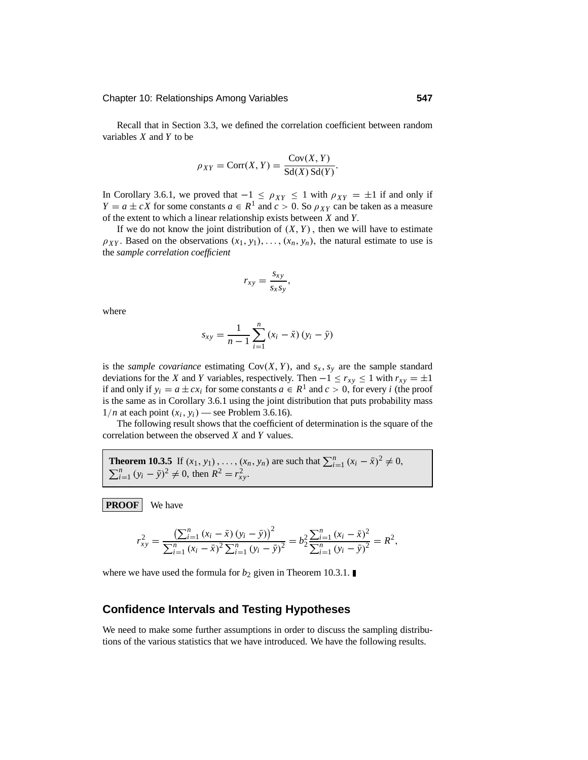Chapter 10: Relationships Among Variables **547**

Recall that in Section 3.3, we defined the correlation coefficient between random variables *X* and *Y* to be

$$
\rho_{XY} = \text{Corr}(X, Y) = \frac{\text{Cov}(X, Y)}{\text{Sd}(X)\,\text{Sd}(Y)}.
$$

In Corollary 3.6.1, we proved that  $-1 \leq \rho_{XY} \leq 1$  with  $\rho_{XY} = \pm 1$  if and only if *Y* = *a* ± *cX* for some constants *a*  $\in$  *R*<sup>1</sup> and *c* > 0. So  $\rho_{XY}$  can be taken as a measure of the extent to which a linear relationship exists between *X* and *Y*.

If we do not know the joint distribution of  $(X, Y)$ , then we will have to estimate  $\rho_{XY}$ . Based on the observations  $(x_1, y_1), \ldots, (x_n, y_n)$ , the natural estimate to use is the *sample correlation coefficient*

$$
r_{xy} = \frac{s_{xy}}{s_x s_y},
$$

where

$$
s_{xy} = \frac{1}{n-1} \sum_{i=1}^{n} (x_i - \bar{x}) (y_i - \bar{y})
$$

is the *sample covariance* estimating  $Cov(X, Y)$ , and  $s_x, s_y$  are the sample standard deviations for the *X* and *Y* variables, respectively. Then −1 ≤  $r_{xy}$  ≤ 1 with  $r_{xy}$  = ±1 if and only if  $y_i = a \pm c x_i$  for some constants  $a \in R^1$  and  $c > 0$ , for every *i* (the proof is the same as in Corollary 3.6.1 using the joint distribution that puts probability mass  $1/n$  at each point  $(x_i, y_i)$  — see Problem 3.6.16).

The following result shows that the coefficient of determination is the square of the correlation between the observed *X* and *Y* values.

**Theorem 10.3.5** If 
$$
(x_1, y_1), ..., (x_n, y_n)
$$
 are such that  $\sum_{i=1}^n (x_i - \bar{x})^2 \neq 0$ ,  $\sum_{i=1}^n (y_i - \bar{y})^2 \neq 0$ , then  $R^2 = r_{xy}^2$ .

**PROOF** We have

$$
r_{xy}^2 = \frac{\left(\sum_{i=1}^n (x_i - \bar{x}) (y_i - \bar{y})\right)^2}{\sum_{i=1}^n (x_i - \bar{x})^2 \sum_{i=1}^n (y_i - \bar{y})^2} = b_2^2 \frac{\sum_{i=1}^n (x_i - \bar{x})^2}{\sum_{i=1}^n (y_i - \bar{y})^2} = R^2,
$$

where we have used the formula for  $b_2$  given in Theorem 10.3.1.

# **Confidence Intervals and Testing Hypotheses**

We need to make some further assumptions in order to discuss the sampling distributions of the various statistics that we have introduced. We have the following results.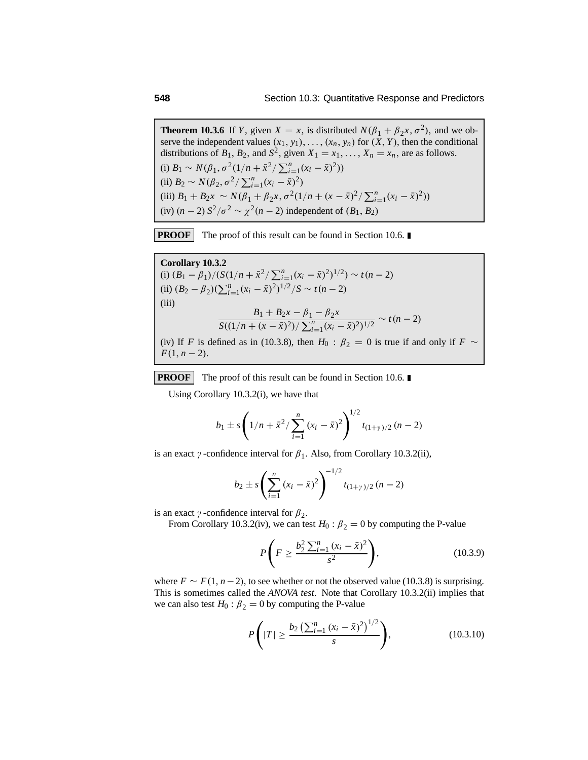**Theorem 10.3.6** If *Y*, given  $X = x$ , is distributed  $N(\beta_1 + \beta_2 x, \sigma^2)$ , and we observe the independent values  $(x_1, y_1), \ldots, (x_n, y_n)$  for  $(X, Y)$ , then the conditional distributions of  $B_1$ ,  $B_2$ , and  $S^2$ , given  $X_1 = x_1, \ldots, X_n = x_n$ , are as follows. (i)  $B_1 \sim N(\beta_1, \sigma^2(1/n + \bar{x}^2/\sum_{i=1}^n (x_i - \bar{x})^2))$ (ii)  $B_2 \sim N(\beta_2, \sigma^2 / \sum_{i=1}^n (x_i - \bar{x})^2)$ (iii)  $B_1 + B_2x \sim N(\beta_1 + \beta_2x, \sigma^2(1/n + (x - \bar{x})^2/\sum_{i=1}^n (x_i - \bar{x})^2))$ (iv)  $(n-2) S^2/\sigma^2 \sim \chi^2(n-2)$  independent of  $(B_1, B_2)$ 

**PROOF** The proof of this result can be found in Section 10.6.

**Corollary 10.3.2** (i)  $(B_1 - \beta_1)/(S(1/n + \bar{x}^2/\sum_{i=1}^n (x_i - \bar{x})^2)^{1/2}) \sim t(n-2)$ (ii)  $(B_2 - \beta_2)(\sum_{i=1}^n (x_i - \bar{x})^2)^{1/2}/S \sim t(n-2)$ (iii)  $B_1 + B_2x - \beta_1 - \beta_2x$  $\frac{S((1/n + (x - \bar{x})^2))}{\sum_{i=1}^n (x_i - \bar{x})^2^{1/2}}$  ~ *t*(*n* − 2) (iv) If *F* is defined as in (10.3.8), then *H*<sup>0</sup> :  $\beta_2 = 0$  is true if and only if *F* ∼  $F(1, n-2)$ .

**PROOF** The proof of this result can be found in Section 10.6.

Using Corollary 10.3.2(i), we have that

$$
b_1 \pm s \left( \frac{1}{n} + \bar{x}^2 / \sum_{i=1}^n (x_i - \bar{x})^2 \right)^{1/2} t_{(1+\gamma)/2} (n-2)
$$

is an exact  $\gamma$ -confidence interval for  $\beta_1$ . Also, from Corollary 10.3.2(ii),

$$
b_2 \pm s \left( \sum_{i=1}^n (x_i - \bar{x})^2 \right)^{-1/2} t_{(1+\gamma)/2} (n-2)
$$

is an exact  $\gamma$  -confidence interval for  $\beta_2$ .

From Corollary 10.3.2(iv), we can test  $H_0: \beta_2 = 0$  by computing the P-value

$$
P\left(F \ge \frac{b_2^2 \sum_{i=1}^n (x_i - \bar{x})^2}{s^2}\right),\tag{10.3.9}
$$

where  $F \sim F(1, n-2)$ , to see whether or not the observed value (10.3.8) is surprising. This is sometimes called the *ANOVA test*. Note that Corollary 10.3.2(ii) implies that we can also test  $H_0: \beta_2 = 0$  by computing the P-value

$$
P\left(|T| \ge \frac{b_2\left(\sum_{i=1}^n (x_i - \bar{x})^2\right)^{1/2}}{s}\right),\tag{10.3.10}
$$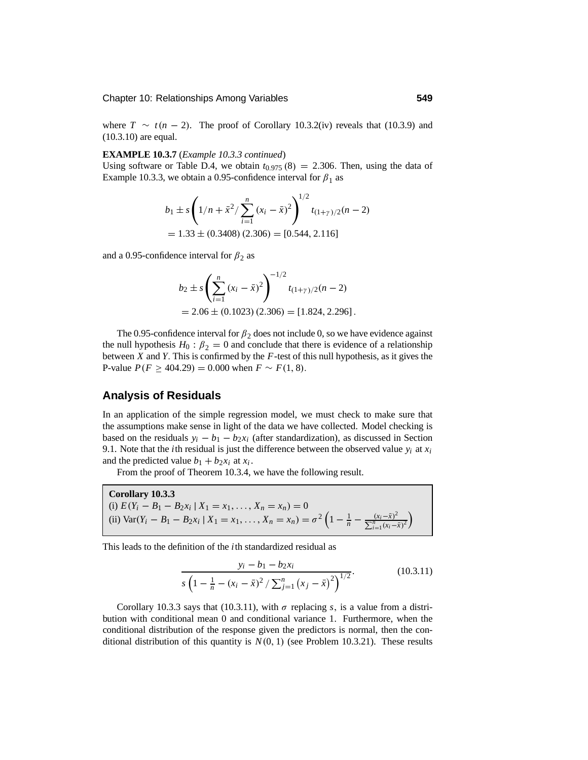Chapter 10: Relationships Among Variables **549**

where  $T \sim t(n-2)$ . The proof of Corollary 10.3.2(iv) reveals that (10.3.9) and (10.3.10) are equal.

#### **EXAMPLE 10.3.7** (*Example 10.3.3 continued*)

Using software or Table D.4, we obtain  $t_{0.975}$  (8) = 2.306. Then, using the data of Example 10.3.3, we obtain a 0.95-confidence interval for  $\beta_1$  as

$$
b_1 \pm s \left( \frac{1}{n} + \bar{x}^2 / \sum_{i=1}^n (x_i - \bar{x})^2 \right)^{1/2} t_{(1+\gamma)/2}(n-2)
$$
  
= 1.33 \pm (0.3408) (2.306) = [0.544, 2.116]

and a 0.95-confidence interval for  $\beta_2$  as

$$
b_2 \pm s \left( \sum_{i=1}^n (x_i - \bar{x})^2 \right)^{-1/2} t_{(1+\gamma)/2}(n-2)
$$
  
= 2.06 \pm (0.1023) (2.306) = [1.824, 2.296].

The 0.95-confidence interval for  $\beta_2$  does not include 0, so we have evidence against the null hypothesis  $H_0$ :  $\beta_2 = 0$  and conclude that there is evidence of a relationship between *X* and *Y*. This is confirmed by the *F*-test of this null hypothesis, as it gives the P-value  $P(F \ge 404.29) = 0.000$  when  $F \sim F(1, 8)$ .

#### **Analysis of Residuals**

In an application of the simple regression model, we must check to make sure that the assumptions make sense in light of the data we have collected. Model checking is based on the residuals  $y_i - b_1 - b_2 x_i$  (after standardization), as discussed in Section 9.1. Note that the *i*th residual is just the difference between the observed value  $y_i$  at  $x_i$ and the predicted value  $b_1 + b_2x_i$  at  $x_i$ .

From the proof of Theorem 10.3.4, we have the following result.

**Corollary 10.3.3** (i)  $E(Y_i - B_1 - B_2x_i | X_1 = x_1, \ldots, X_n = x_n) = 0$ (ii)  $\text{Var}(Y_i - B_1 - B_2 x_i \mid X_1 = x_1, \ldots, X_n = x_n) = \sigma^2 \left( 1 - \frac{1}{n} - \frac{(x_i - \bar{x})^2}{\sum_{i=1}^n (x_i - \bar{x})^2} \right)$  $\frac{(x_i-\bar{x})^2}{\sum_{i=1}^n(x_i-\bar{x})^2}$ 

This leads to the definition of the *i*th standardized residual as

$$
\frac{y_i - b_1 - b_2 x_i}{s \left(1 - \frac{1}{n} - (x_i - \bar{x})^2 / \sum_{j=1}^n (x_j - \bar{x})^2\right)^{1/2}}.
$$
\n(10.3.11)

Corollary 10.3.3 says that (10.3.11), with  $\sigma$  replacing *s*, is a value from a distribution with conditional mean 0 and conditional variance 1. Furthermore, when the conditional distribution of the response given the predictors is normal, then the conditional distribution of this quantity is *N*(0, 1) (see Problem 10.3.21). These results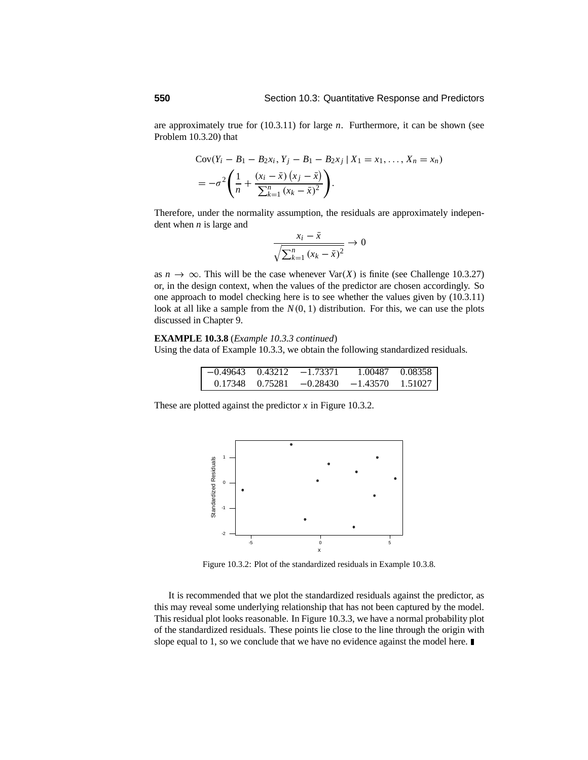are approximately true for (10.3.11) for large *n*. Furthermore, it can be shown (see Problem 10.3.20) that

Cov
$$
(Y_i - B_1 - B_2x_i, Y_j - B_1 - B_2x_j | X_1 = x_1, ..., X_n = x_n)
$$
  
=  $-\sigma^2 \left( \frac{1}{n} + \frac{(x_i - \bar{x}) (x_j - \bar{x})}{\sum_{k=1}^n (x_k - \bar{x})^2} \right).$ 

Therefore, under the normality assumption, the residuals are approximately independent when *n* is large and

$$
\frac{x_i - \bar{x}}{\sqrt{\sum_{k=1}^n (x_k - \bar{x})^2}} \to 0
$$

as  $n \to \infty$ . This will be the case whenever Var(*X*) is finite (see Challenge 10.3.27) or, in the design context, when the values of the predictor are chosen accordingly. So one approach to model checking here is to see whether the values given by (10.3.11) look at all like a sample from the  $N(0, 1)$  distribution. For this, we can use the plots discussed in Chapter 9.

#### **EXAMPLE 10.3.8** (*Example 10.3.3 continued*) Using the data of Example 10.3.3, we obtain the following standardized residuals.

|  | $-0.49643$ 0.43212 $-1.73371$ |                                                     | 1.00487 0.08358 |
|--|-------------------------------|-----------------------------------------------------|-----------------|
|  |                               | $0.17348$ $0.75281$ $-0.28430$ $-1.43570$ $1.51027$ |                 |

These are plotted against the predictor *x* in Figure 10.3.2.



Figure 10.3.2: Plot of the standardized residuals in Example 10.3.8.

It is recommended that we plot the standardized residuals against the predictor, as this may reveal some underlying relationship that has not been captured by the model. This residual plot looks reasonable. In Figure 10.3.3, we have a normal probability plot of the standardized residuals. These points lie close to the line through the origin with slope equal to 1, so we conclude that we have no evidence against the model here.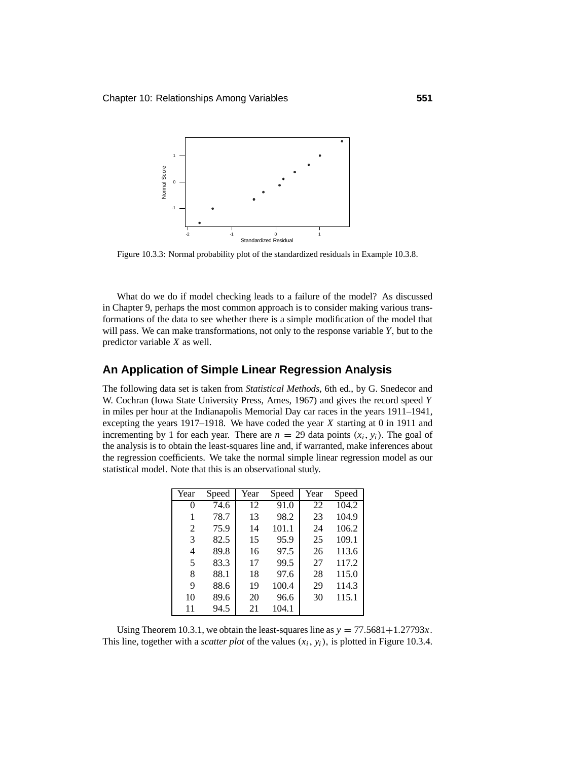

Figure 10.3.3: Normal probability plot of the standardized residuals in Example 10.3.8.

What do we do if model checking leads to a failure of the model? As discussed in Chapter 9, perhaps the most common approach is to consider making various transformations of the data to see whether there is a simple modification of the model that will pass. We can make transformations, not only to the response variable *Y*, but to the predictor variable *X* as well.

# **An Application of Simple Linear Regression Analysis**

The following data set is taken from *Statistical Methods*, 6th ed., by G. Snedecor and W. Cochran (Iowa State University Press, Ames, 1967) and gives the record speed *Y* in miles per hour at the Indianapolis Memorial Day car races in the years 1911–1941, excepting the years 1917–1918. We have coded the year *X* starting at 0 in 1911 and incrementing by 1 for each year. There are  $n = 29$  data points  $(x_i, y_i)$ . The goal of the analysis is to obtain the least-squares line and, if warranted, make inferences about the regression coefficients. We take the normal simple linear regression model as our statistical model. Note that this is an observational study.

| Year | Speed | Year | Speed | Year | Speed |
|------|-------|------|-------|------|-------|
| 0    | 74.6  | 12   | 91.0  | 22   | 104.2 |
| 1    | 78.7  | 13   | 98.2  | 23   | 104.9 |
| 2    | 75.9  | 14   | 101.1 | 24   | 106.2 |
| 3    | 82.5  | 15   | 95.9  | 25   | 109.1 |
| 4    | 89.8  | 16   | 97.5  | 26   | 113.6 |
| 5    | 83.3  | 17   | 99.5  | 27   | 117.2 |
| 8    | 88.1  | 18   | 97.6  | 28   | 115.0 |
| 9    | 88.6  | 19   | 100.4 | 29   | 114.3 |
| 10   | 89.6  | 20   | 96.6  | 30   | 115.1 |
| 11   | 94.5  | 21   | 104.1 |      |       |

Using Theorem 10.3.1, we obtain the least-squares line as  $y = 77.5681 + 1.27793x$ . This line, together with a *scatter plot* of the values  $(x_i, y_i)$ , is plotted in Figure 10.3.4.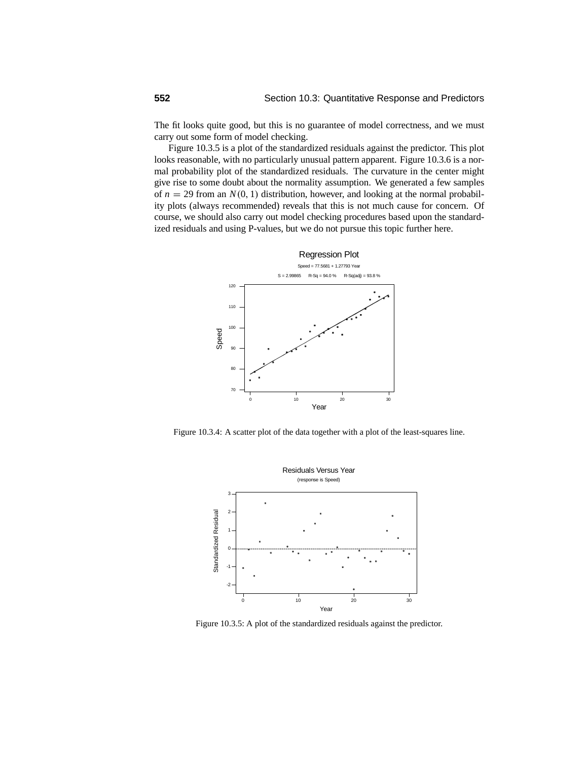The fit looks quite good, but this is no guarantee of model correctness, and we must carry out some form of model checking.

Figure 10.3.5 is a plot of the standardized residuals against the predictor. This plot looks reasonable, with no particularly unusual pattern apparent. Figure 10.3.6 is a normal probability plot of the standardized residuals. The curvature in the center might give rise to some doubt about the normality assumption. We generated a few samples of  $n = 29$  from an  $N(0, 1)$  distribution, however, and looking at the normal probability plots (always recommended) reveals that this is not much cause for concern. Of course, we should also carry out model checking procedures based upon the standardized residuals and using P-values, but we do not pursue this topic further here.



Figure 10.3.4: A scatter plot of the data together with a plot of the least-squares line.



Figure 10.3.5: A plot of the standardized residuals against the predictor.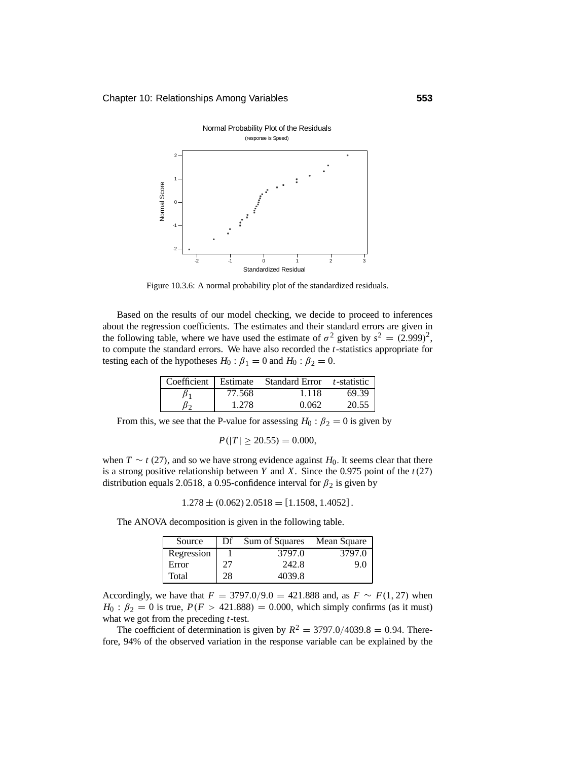

Figure 10.3.6: A normal probability plot of the standardized residuals.

Based on the results of our model checking, we decide to proceed to inferences about the regression coefficients. The estimates and their standard errors are given in the following table, where we have used the estimate of  $\sigma^2$  given by  $s^2 = (2.999)^2$ , to compute the standard errors. We have also recorded the *t*-statistics appropriate for testing each of the hypotheses  $H_0: \beta_1 = 0$  and  $H_0: \beta_2 = 0$ .

|    |        | Coefficient   Estimate Standard Error t-statistic |       |
|----|--------|---------------------------------------------------|-------|
|    | 77.568 | 1 1 1 8                                           | 69.39 |
| D٥ | 1.278  | 0 062                                             | 20.55 |

From this, we see that the P-value for assessing  $H_0: \beta_2 = 0$  is given by

$$
P(|T| \ge 20.55) = 0.000,
$$

when  $T \sim t$  (27), and so we have strong evidence against  $H_0$ . It seems clear that there is a strong positive relationship between *Y* and *X*. Since the 0.975 point of the *t*(27) distribution equals 2.0518, a 0.95-confidence interval for  $\beta_2$  is given by

 $1.278 \pm (0.062) 2.0518 = [1.1508, 1.4052]$ .

The ANOVA decomposition is given in the following table.

| Source     | Df | Sum of Squares | Mean Square |
|------------|----|----------------|-------------|
| Regression |    | 3797.0         | 3797.0      |
| Error      | 27 | 242.8          | 9.0         |
| Total      |    | 4039.8         |             |

Accordingly, we have that  $F = 3797.0/9.0 = 421.888$  and, as  $F \sim F(1, 27)$  when *H*<sub>0</sub> :  $\beta_2 = 0$  is true,  $P(F > 421.888) = 0.000$ , which simply confirms (as it must) what we got from the preceding *t*-test.

The coefficient of determination is given by  $R^2 = 3797.0/4039.8 = 0.94$ . Therefore, 94% of the observed variation in the response variable can be explained by the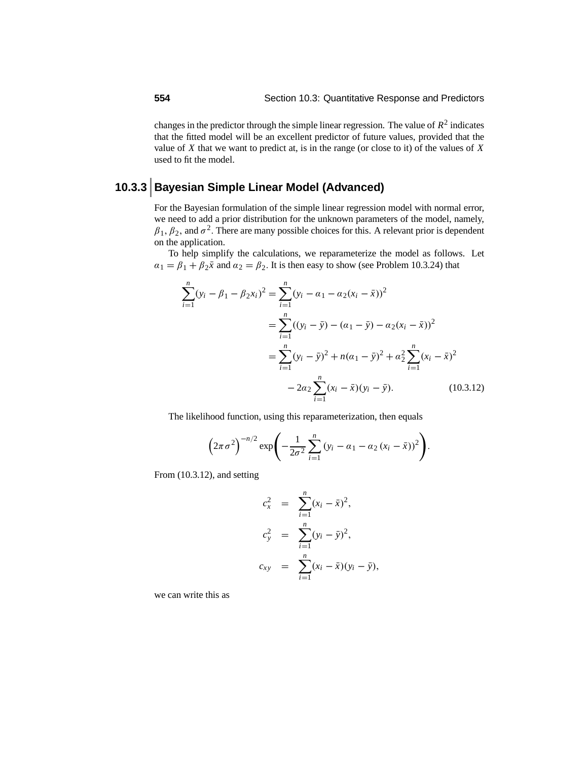changes in the predictor through the simple linear regression. The value of  $R^2$  indicates that the fitted model will be an excellent predictor of future values, provided that the value of *X* that we want to predict at, is in the range (or close to it) of the values of *X* used to fit the model.

# **10.3.3 Bayesian Simple Linear Model (Advanced)**

For the Bayesian formulation of the simple linear regression model with normal error, we need to add a prior distribution for the unknown parameters of the model, namely,  $\beta_1$ ,  $\beta_2$ , and  $\sigma^2$ . There are many possible choices for this. A relevant prior is dependent on the application.

To help simplify the calculations, we reparameterize the model as follows. Let  $\alpha_1 = \beta_1 + \beta_2\bar{x}$  and  $\alpha_2 = \beta_2$ . It is then easy to show (see Problem 10.3.24) that

$$
\sum_{i=1}^{n} (y_i - \beta_1 - \beta_2 x_i)^2 = \sum_{i=1}^{n} (y_i - \alpha_1 - \alpha_2 (x_i - \bar{x}))^2
$$
  
= 
$$
\sum_{i=1}^{n} ((y_i - \bar{y}) - (\alpha_1 - \bar{y}) - \alpha_2 (x_i - \bar{x}))^2
$$
  
= 
$$
\sum_{i=1}^{n} (y_i - \bar{y})^2 + n(\alpha_1 - \bar{y})^2 + \alpha_2^2 \sum_{i=1}^{n} (x_i - \bar{x})^2
$$
  
- 
$$
2\alpha_2 \sum_{i=1}^{n} (x_i - \bar{x})(y_i - \bar{y}).
$$
 (10.3.12)

The likelihood function, using this reparameterization, then equals

$$
(2\pi\sigma^2)^{-n/2} \exp\left(-\frac{1}{2\sigma^2}\sum_{i=1}^n (y_i - a_1 - a_2(x_i - \bar{x}))^2\right).
$$

From (10.3.12), and setting

$$
c_x^2 = \sum_{i=1}^n (x_i - \bar{x})^2,
$$
  
\n
$$
c_y^2 = \sum_{i=1}^n (y_i - \bar{y})^2,
$$
  
\n
$$
c_{xy} = \sum_{i=1}^n (x_i - \bar{x})(y_i - \bar{y}),
$$

we can write this as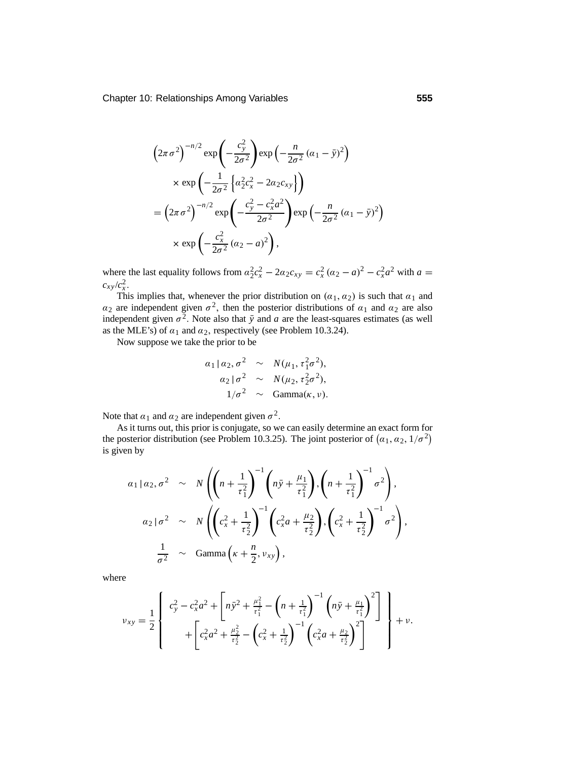$$
(2\pi\sigma^2)^{-n/2} \exp\left(-\frac{c_y^2}{2\sigma^2}\right) \exp\left(-\frac{n}{2\sigma^2}(\alpha_1 - \bar{y})^2\right)
$$
  
 
$$
\times \exp\left(-\frac{1}{2\sigma^2}\left\{\alpha_2^2 c_x^2 - 2\alpha_2 c_{xy}\right\}\right)
$$
  
= 
$$
(2\pi\sigma^2)^{-n/2} \exp\left(-\frac{c_y^2 - c_x^2 a^2}{2\sigma^2}\right) \exp\left(-\frac{n}{2\sigma^2}(\alpha_1 - \bar{y})^2\right)
$$
  

$$
\times \exp\left(-\frac{c_x^2}{2\sigma^2}(\alpha_2 - a)^2\right),
$$

where the last equality follows from  $a_2^2c_x^2 - 2a_2c_{xy} = c_x^2(a_2 - a)^2 - c_x^2a^2$  with  $a =$  $c_{xy}/c_x^2$ .

This implies that, whenever the prior distribution on  $(\alpha_1, \alpha_2)$  is such that  $\alpha_1$  and  $\alpha_2$  are independent given  $\sigma^2$ , then the posterior distributions of  $\alpha_1$  and  $\alpha_2$  are also independent given  $\sigma^2$ . Note also that  $\bar{y}$  and *a* are the least-squares estimates (as well as the MLE's) of  $\alpha_1$  and  $\alpha_2$ , respectively (see Problem 10.3.24).

Now suppose we take the prior to be

$$
\begin{array}{rcl}\n\alpha_1 \mid \alpha_2, \sigma^2 & \sim & N(\mu_1, \tau_1^2 \sigma^2), \\
\alpha_2 \mid \sigma^2 & \sim & N(\mu_2, \tau_2^2 \sigma^2), \\
1/\sigma^2 & \sim & \text{Gamma}(k, \nu).\n\end{array}
$$

Note that  $\alpha_1$  and  $\alpha_2$  are independent given  $\sigma^2$ .

As it turns out, this prior is conjugate, so we can easily determine an exact form for the posterior distribution (see Problem 10.3.25). The joint posterior of  $(a_1, a_2, 1/\sigma^2)$ is given by

$$
\alpha_1 | \alpha_2, \sigma^2 \sim N \left( \left( n + \frac{1}{\tau_1^2} \right)^{-1} \left( n \bar{y} + \frac{\mu_1}{\tau_1^2} \right), \left( n + \frac{1}{\tau_1^2} \right)^{-1} \sigma^2 \right),
$$
  
\n
$$
\alpha_2 | \sigma^2 \sim N \left( \left( c_x^2 + \frac{1}{\tau_2^2} \right)^{-1} \left( c_x^2 a + \frac{\mu_2}{\tau_2^2} \right), \left( c_x^2 + \frac{1}{\tau_2^2} \right)^{-1} \sigma^2 \right),
$$
  
\n
$$
\frac{1}{\sigma^2} \sim \text{Gamma} \left( \kappa + \frac{n}{2}, \nu_{xy} \right),
$$

where

$$
v_{xy} = \frac{1}{2} \left\{ \begin{array}{c} c_y^2 - c_x^2 a^2 + \left[ n \bar{y}^2 + \frac{\mu_1^2}{\tau_1^2} - \left( n + \frac{1}{\tau_1^2} \right)^{-1} \left( n \bar{y} + \frac{\mu_1}{\tau_1^2} \right)^2 \right] \\ + \left[ c_x^2 a^2 + \frac{\mu_2^2}{\tau_2^2} - \left( c_x^2 + \frac{1}{\tau_2^2} \right)^{-1} \left( c_x^2 a + \frac{\mu_2}{\tau_2^2} \right)^2 \right] + \nu. \end{array} \right.
$$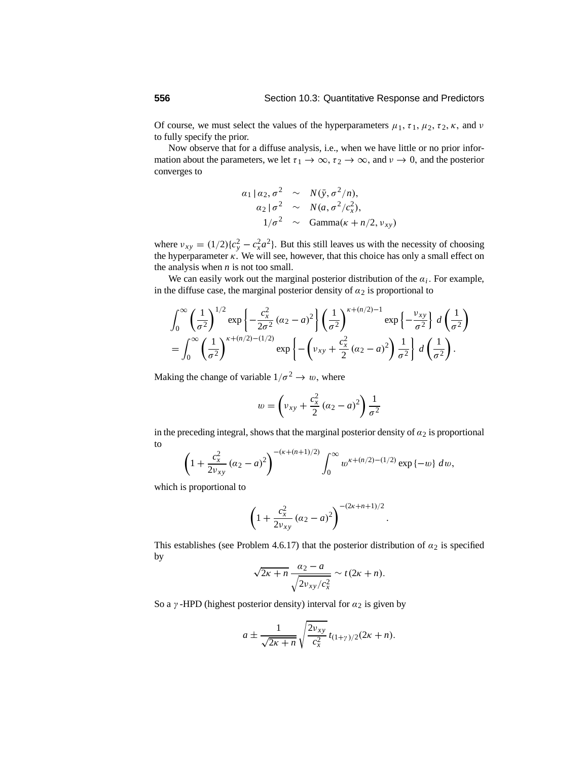Of course, we must select the values of the hyperparameters  $\mu_1$ ,  $\tau_1$ ,  $\mu_2$ ,  $\tau_2$ ,  $\kappa$ , and  $\nu$ to fully specify the prior.

Now observe that for a diffuse analysis, i.e., when we have little or no prior information about the parameters, we let  $\tau_1 \to \infty$ ,  $\tau_2 \to \infty$ , and  $\nu \to 0$ , and the posterior converges to

$$
\alpha_1 | \alpha_2, \sigma^2 \sim N(\bar{y}, \sigma^2/n),
$$
  
\n
$$
\alpha_2 | \sigma^2 \sim N(a, \sigma^2/c_x^2),
$$
  
\n
$$
1/\sigma^2 \sim \text{Gamma}(k + n/2, v_{xy})
$$

where  $v_{xy} = (1/2)\{c_y^2 - c_x^2 a^2\}$ . But this still leaves us with the necessity of choosing the hyperparameter  $\kappa$ . We will see, however, that this choice has only a small effect on the analysis when *n* is not too small.

We can easily work out the marginal posterior distribution of the  $a_i$ . For example, in the diffuse case, the marginal posterior density of  $\alpha_2$  is proportional to

$$
\int_0^{\infty} \left(\frac{1}{\sigma^2}\right)^{1/2} \exp\left\{-\frac{c_x^2}{2\sigma^2}(\alpha_2 - a)^2\right\} \left(\frac{1}{\sigma^2}\right)^{\kappa + (n/2) - 1} \exp\left\{-\frac{v_{xy}}{\sigma^2}\right\} d\left(\frac{1}{\sigma^2}\right)
$$
  
= 
$$
\int_0^{\infty} \left(\frac{1}{\sigma^2}\right)^{\kappa + (n/2) - (1/2)} \exp\left\{-\left(v_{xy} + \frac{c_x^2}{2}(\alpha_2 - a)^2\right)\frac{1}{\sigma^2}\right\} d\left(\frac{1}{\sigma^2}\right).
$$

Making the change of variable  $1/\sigma^2 \rightarrow w$ , where

$$
w = \left(v_{xy} + \frac{c_x^2}{2}(a_2 - a)^2\right)\frac{1}{\sigma^2}
$$

in the preceding integral, shows that the marginal posterior density of  $\alpha_2$  is proportional to

$$
\left(1+\frac{c_x^2}{2v_{xy}}(a_2-a)^2\right)^{-(\kappa+(n+1)/2)}\int_0^\infty w^{\kappa+(n/2)-(1/2)}\exp\{-w\}\,dw,
$$

which is proportional to

$$
\left(1+\frac{c_x^2}{2v_{xy}}(a_2-a)^2\right)^{-(2\kappa+n+1)/2}.
$$

This establishes (see Problem 4.6.17) that the posterior distribution of  $\alpha_2$  is specified by

$$
\sqrt{2\kappa + n} \frac{\alpha_2 - a}{\sqrt{2v_{xy}/c_x^2}} \sim t(2\kappa + n).
$$

So a  $\gamma$ -HPD (highest posterior density) interval for  $\alpha_2$  is given by

$$
a \pm \frac{1}{\sqrt{2\kappa + n}} \sqrt{\frac{2v_{xy}}{c_x^2}} t_{(1+\gamma)/2} (2\kappa + n).
$$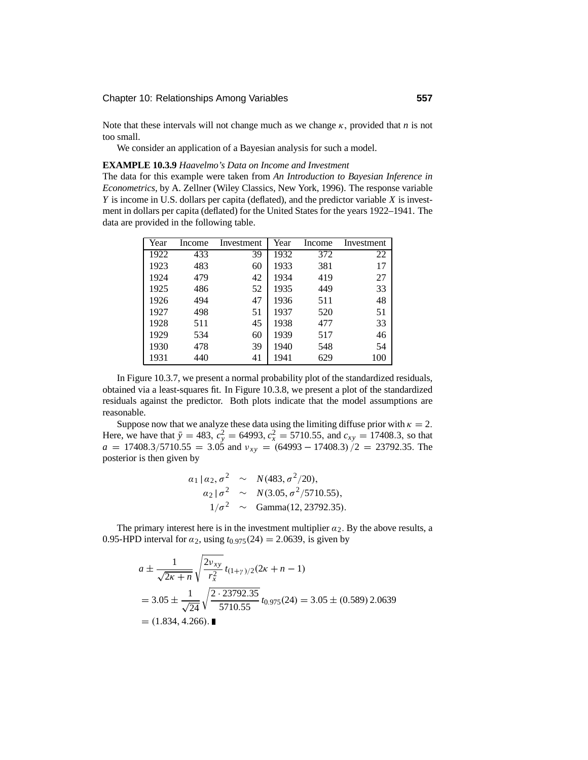Note that these intervals will not change much as we change  $\kappa$ , provided that *n* is not too small.

We consider an application of a Bayesian analysis for such a model.

**EXAMPLE 10.3.9** *Haavelmo's Data on Income and Investment*

The data for this example were taken from *An Introduction to Bayesian Inference in Econometrics*, by A. Zellner (Wiley Classics, New York, 1996). The response variable *Y* is income in U.S. dollars per capita (deflated), and the predictor variable *X* is investment in dollars per capita (deflated) for the United States for the years 1922–1941. The data are provided in the following table.

| Year | Income | Investment | Year | Income | Investment |
|------|--------|------------|------|--------|------------|
| 1922 | 433    | 39         | 1932 | 372    | 22         |
| 1923 | 483    | 60         | 1933 | 381    | 17         |
| 1924 | 479    | 42         | 1934 | 419    | 27         |
| 1925 | 486    | 52         | 1935 | 449    | 33         |
| 1926 | 494    | 47         | 1936 | 511    | 48         |
| 1927 | 498    | 51         | 1937 | 520    | 51         |
| 1928 | 511    | 45         | 1938 | 477    | 33         |
| 1929 | 534    | 60         | 1939 | 517    | 46         |
| 1930 | 478    | 39         | 1940 | 548    | 54         |
| 1931 | 440    | 41         | 1941 | 629    | 100        |

In Figure 10.3.7, we present a normal probability plot of the standardized residuals, obtained via a least-squares fit. In Figure 10.3.8, we present a plot of the standardized residuals against the predictor. Both plots indicate that the model assumptions are reasonable.

Suppose now that we analyze these data using the limiting diffuse prior with  $\kappa = 2$ . Here, we have that  $\bar{y} = 483$ ,  $c_y^2 = 64993$ ,  $c_x^2 = 5710.55$ , and  $c_{xy} = 17408.3$ , so that *a* = 17408.3/5710.55 = 3.05 and *v<sub>xy</sub>* = (64993 − 17408.3) /2 = 23792.35. The posterior is then given by

$$
\begin{array}{rcl}\n\alpha_1 \mid \alpha_2, \sigma^2 & \sim & N(483, \sigma^2/20), \\
\alpha_2 \mid \sigma^2 & \sim & N(3.05, \sigma^2/5710.55), \\
1/\sigma^2 & \sim & \text{Gamma}(12, 23792.35).\n\end{array}
$$

The primary interest here is in the investment multiplier  $\alpha_2$ . By the above results, a 0.95-HPD interval for  $\alpha_2$ , using  $t_{0.975}(24) = 2.0639$ , is given by

$$
a \pm \frac{1}{\sqrt{2\kappa + n}} \sqrt{\frac{2v_{xy}}{r_x^2}} t_{(1+\gamma)/2} (2\kappa + n - 1)
$$
  
= 3.05 \pm \frac{1}{\sqrt{24}} \sqrt{\frac{2 \cdot 23792.35}{5710.55}} t\_{0.975}(24) = 3.05 \pm (0.589) 2.0639  
= (1.834, 4.266).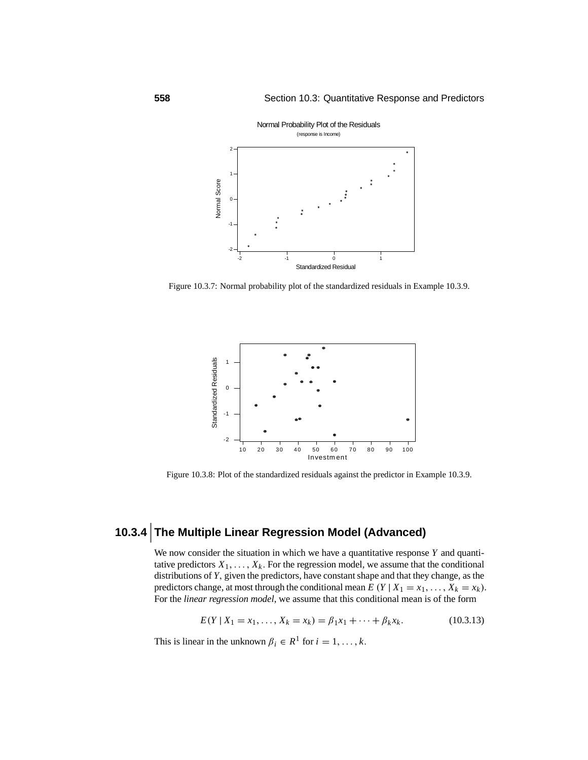

Figure 10.3.7: Normal probability plot of the standardized residuals in Example 10.3.9.



Figure 10.3.8: Plot of the standardized residuals against the predictor in Example 10.3.9.

# **10.3.4 The Multiple Linear Regression Model (Advanced)**

We now consider the situation in which we have a quantitative response *Y* and quantitative predictors  $X_1, \ldots, X_k$ . For the regression model, we assume that the conditional distributions of *Y*, given the predictors, have constant shape and that they change, as the predictors change, at most through the conditional mean  $E(Y | X_1 = x_1, \ldots, X_k = x_k)$ . For the *linear regression model*, we assume that this conditional mean is of the form

$$
E(Y | X_1 = x_1, ..., X_k = x_k) = \beta_1 x_1 + \dots + \beta_k x_k.
$$
 (10.3.13)

This is linear in the unknown  $\beta_i \in R^1$  for  $i = 1, ..., k$ .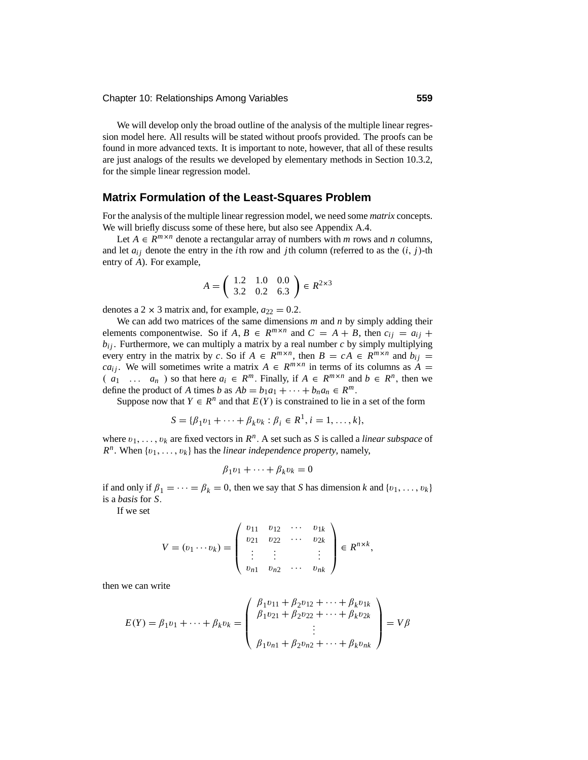We will develop only the broad outline of the analysis of the multiple linear regression model here. All results will be stated without proofs provided. The proofs can be found in more advanced texts. It is important to note, however, that all of these results are just analogs of the results we developed by elementary methods in Section 10.3.2, for the simple linear regression model.

# **Matrix Formulation of the Least-Squares Problem**

For the analysis of the multiple linear regression model, we need some *matrix* concepts. We will briefly discuss some of these here, but also see Appendix A.4.

Let  $A \in \mathbb{R}^{m \times n}$  denote a rectangular array of numbers with *m* rows and *n* columns, and let  $a_{ij}$  denote the entry in the *i*th row and *j*th column (referred to as the  $(i, j)$ -th entry of *A*). For example,

$$
A = \left(\begin{array}{ccc} 1.2 & 1.0 & 0.0 \\ 3.2 & 0.2 & 6.3 \end{array}\right) \in R^{2 \times 3}
$$

denotes a 2  $\times$  3 matrix and, for example,  $a_{22} = 0.2$ .

We can add two matrices of the same dimensions *m* and *n* by simply adding their elements componentwise. So if  $A, B \in R^{m \times n}$  and  $C = A + B$ , then  $c_{ij} = a_{ij} +$  $b_{ij}$ . Furthermore, we can multiply a matrix by a real number  $c$  by simply multiplying every entry in the matrix by *c*. So if  $A \in R^{m \times n}$ , then  $B = cA \in R^{m \times n}$  and  $b_{ij} =$ *ca<sub>i</sub>*. We will sometimes write a matrix  $A \in R^{m \times n}$  in terms of its columns as  $\overline{A} =$  $(a_1 \ldots a_n)$  so that here  $a_i \in R^m$ . Finally, if  $A \in R^{m \times n}$  and  $b \in R^n$ , then we define the product of *A* times *b* as  $Ab = b_1a_1 + \cdots + b_na_n \in R^m$ .

Suppose now that  $Y \in \mathbb{R}^n$  and that  $E(Y)$  is constrained to lie in a set of the form

$$
S = \{ \beta_1 v_1 + \dots + \beta_k v_k : \beta_i \in R^1, i = 1, \dots, k \},\
$$

where  $v_1, \ldots, v_k$  are fixed vectors in  $R^n$ . A set such as *S* is called a *linear subspace* of  $R^n$ . When  $\{v_1, \ldots, v_k\}$  has the *linear independence property*, namely,

$$
\beta_1v_1+\cdots+\beta_kv_k=0
$$

if and only if  $\beta_1 = \cdots = \beta_k = 0$ , then we say that *S* has dimension *k* and  $\{v_1, \ldots, v_k\}$ is a *basis* for *S*.

If we set

$$
V = (v_1 \cdots v_k) = \begin{pmatrix} v_{11} & v_{12} & \cdots & v_{1k} \\ v_{21} & v_{22} & \cdots & v_{2k} \\ \vdots & \vdots & & \vdots \\ v_{n1} & v_{n2} & \cdots & v_{nk} \end{pmatrix} \in R^{n \times k},
$$

then we can write

$$
E(Y) = \beta_1 v_1 + \dots + \beta_k v_k = \begin{pmatrix} \beta_1 v_{11} + \beta_2 v_{12} + \dots + \beta_k v_{1k} \\ \beta_1 v_{21} + \beta_2 v_{22} + \dots + \beta_k v_{2k} \\ \vdots \\ \beta_1 v_{n1} + \beta_2 v_{n2} + \dots + \beta_k v_{nk} \end{pmatrix} = V\beta
$$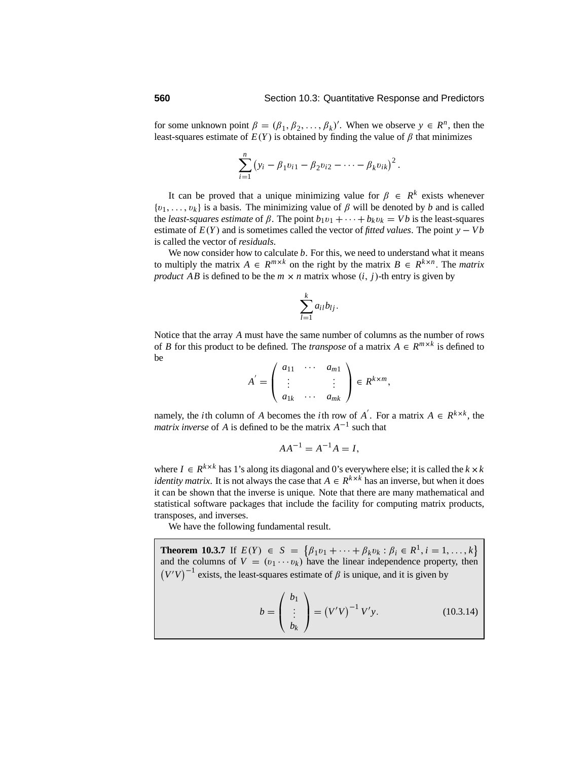for some unknown point  $\beta = (\beta_1, \beta_2, \dots, \beta_k)'$ . When we observe  $y \in R^n$ , then the least-squares estimate of  $E(Y)$  is obtained by finding the value of  $\beta$  that minimizes

$$
\sum_{i=1}^n (y_i - \beta_1 v_{i1} - \beta_2 v_{i2} - \cdots - \beta_k v_{ik})^2.
$$

It can be proved that a unique minimizing value for  $\beta \in R^k$  exists whenever  $\{v_1,\ldots,v_k\}$  is a basis. The minimizing value of  $\beta$  will be denoted by *b* and is called the *least-squares estimate* of  $\beta$ . The point  $b_1v_1 + \cdots + b_kv_k = Vb$  is the least-squares estimate of  $E(Y)$  and is sometimes called the vector of *fitted values*. The point  $y - Vb$ is called the vector of *residuals*.

We now consider how to calculate *b*. For this, we need to understand what it means to multiply the matrix  $A \in R^{m \times k}$  on the right by the matrix  $B \in R^{k \times n}$ . The *matrix product*  $\overrightarrow{AB}$  is defined to be the  $m \times n$  matrix whose  $(i, j)$ -th entry is given by

$$
\sum_{l=1}^k a_{il}b_{lj}.
$$

Notice that the array *A* must have the same number of columns as the number of rows of *B* for this product to be defined. The *transpose* of a matrix  $A \in R^{m \times k}$  is defined to be

$$
A' = \left(\begin{array}{ccc} a_{11} & \cdots & a_{m1} \\ \vdots & & \vdots \\ a_{1k} & \cdots & a_{mk} \end{array}\right) \in R^{k \times m},
$$

namely, the *i*th column of *A* becomes the *i*th row of *A*<sup>'</sup>. For a matrix  $A \in R^{k \times k}$ , the *matrix inverse* of *A* is defined to be the matrix  $A^{-1}$  such that

$$
AA^{-1} = A^{-1}A = I,
$$

where  $I \in R^{k \times k}$  has 1's along its diagonal and 0's everywhere else; it is called the  $k \times k$ *identity matrix*. It is not always the case that  $A \in R^{k \times k}$  has an inverse, but when it does it can be shown that the inverse is unique. Note that there are many mathematical and statistical software packages that include the facility for computing matrix products, transposes, and inverses.

We have the following fundamental result.

**Theorem 10.3.7** If  $E(Y) \in S = \{ \beta_1 v_1 + \cdots + \beta_k v_k : \beta_i \in R^1, i = 1, ..., k \}$ and the columns of  $V = (v_1 \cdots v_k)$  have the linear independence property, then  $(V'V)^{-1}$  exists, the least-squares estimate of  $\beta$  is unique, and it is given by

$$
b = \begin{pmatrix} b_1 \\ \vdots \\ b_k \end{pmatrix} = (V'V)^{-1} V'y.
$$
 (10.3.14)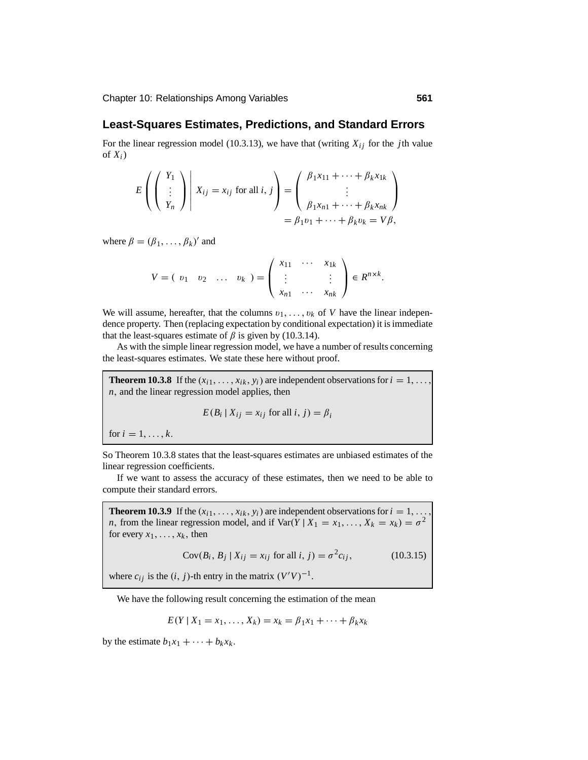Chapter 10: Relationships Among Variables **561**

## **Least-Squares Estimates, Predictions, and Standard Errors**

For the linear regression model (10.3.13), we have that (writing  $X_{ij}$  for the *j*th value of  $X_i$ )

$$
E\left(\left(\begin{array}{c} Y_1 \\ \vdots \\ Y_n \end{array}\right)\middle| \ X_{ij} = x_{ij} \text{ for all } i, j\right) = \left(\begin{array}{c} \beta_1 x_{11} + \dots + \beta_k x_{1k} \\ \vdots \\ \beta_1 x_{n1} + \dots + \beta_k x_{nk} \end{array}\right) = \beta_1 v_1 + \dots + \beta_k v_k = V\beta,
$$

where  $\beta = (\beta_1, \ldots, \beta_k)'$  and

$$
V = (\begin{array}{cccc} v_1 & v_2 & \ldots & v_k \end{array}) = \left( \begin{array}{cccc} x_{11} & \cdots & x_{1k} \\ \vdots & & \vdots \\ x_{n1} & \cdots & x_{nk} \end{array} \right) \in R^{n \times k}.
$$

We will assume, hereafter, that the columns  $v_1, \ldots, v_k$  of *V* have the linear independence property. Then (replacing expectation by conditional expectation) it is immediate that the least-squares estimate of  $\beta$  is given by (10.3.14).

As with the simple linear regression model, we have a number of results concerning the least-squares estimates. We state these here without proof.

**Theorem 10.3.8** If the  $(x_{i1},...,x_{ik}, y_i)$  are independent observations for  $i = 1,...$ *n*, and the linear regression model applies, then

$$
E(B_i | X_{ij} = x_{ij} \text{ for all } i, j) = \beta_i
$$

for  $i = 1, \ldots, k$ .

So Theorem 10.3.8 states that the least-squares estimates are unbiased estimates of the linear regression coefficients.

If we want to assess the accuracy of these estimates, then we need to be able to compute their standard errors.

**Theorem 10.3.9** If the  $(x_{i1},...,x_{ik}, y_i)$  are independent observations for  $i = 1,...,$ *n*, from the linear regression model, and if  $Var(Y | X_1 = x_1, ..., X_k = x_k) = \sigma^2$ for every  $x_1, \ldots, x_k$ , then

Cov
$$
(B_i, B_j | X_{ij} = x_{ij} \text{ for all } i, j) = \sigma^2 c_{ij},
$$
 (10.3.15)

where  $c_{ij}$  is the  $(i, j)$ -th entry in the matrix  $(V'V)^{-1}$ .

We have the following result concerning the estimation of the mean

$$
E(Y | X_1 = x_1, ..., X_k) = x_k = \beta_1 x_1 + \dots + \beta_k x_k
$$

by the estimate  $b_1x_1 + \cdots + b_kx_k$ .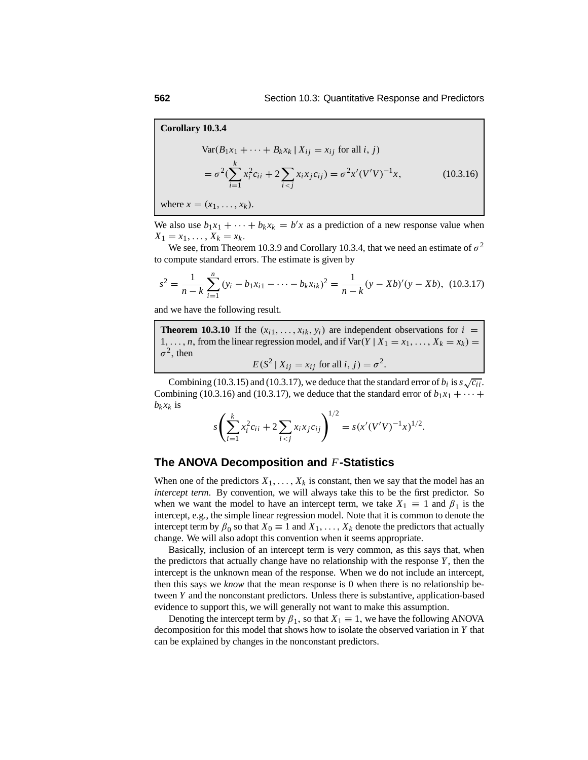**Corollary 10.3.4**

$$
\text{Var}(B_1x_1 + \dots + B_kx_k \mid X_{ij} = x_{ij} \text{ for all } i, j)
$$
\n
$$
= \sigma^2 \left( \sum_{i=1}^k x_i^2 c_{ii} + 2 \sum_{i < j} x_i x_j c_{ij} \right) = \sigma^2 x' (V'V)^{-1} x,\tag{10.3.16}
$$

where  $x = (x_1, \ldots, x_k)$ .

We also use  $b_1x_1 + \cdots + b_kx_k = b'x$  as a prediction of a new response value when  $X_1 = x_1, \ldots, X_k = x_k$ .

We see, from Theorem 10.3.9 and Corollary 10.3.4, that we need an estimate of  $\sigma^2$ to compute standard errors. The estimate is given by

$$
s^{2} = \frac{1}{n-k} \sum_{i=1}^{n} (y_{i} - b_{1}x_{i1} - \dots - b_{k}x_{ik})^{2} = \frac{1}{n-k} (y - Xb)'(y - Xb), \quad (10.3.17)
$$

and we have the following result.

**Theorem 10.3.10** If the  $(x_{i1},...,x_{ik}, y_i)$  are independent observations for  $i =$ 1,..., *n*, from the linear regression model, and if  $Var(Y | X_1 = x_1, ..., X_k = x_k) =$  $\sigma^2$ , then *E*(*S*<sup>2</sup> | *X<sub>ij</sub>* = *x<sub>ij</sub>* for all *i*, *j*) =  $\sigma$ <sup>2</sup>.

Combining (10.3.15) and (10.3.17), we deduce that the standard error of  $b_i$  is  $s\sqrt{c_{ii}}$ . Combining (10.3.16) and (10.3.17), we deduce that the standard error of  $b_1x_1 + \cdots$  $b_k x_k$  is

$$
s\left(\sum_{i=1}^k x_i^2 c_{ii} + 2\sum_{i < j} x_i x_j c_{ij}\right)^{1/2} = s(x'(V'V)^{-1}x)^{1/2}.
$$

#### **The ANOVA Decomposition and** *F***-Statistics**

When one of the predictors  $X_1, \ldots, X_k$  is constant, then we say that the model has an *intercept term*. By convention, we will always take this to be the first predictor. So when we want the model to have an intercept term, we take  $X_1 \equiv 1$  and  $\beta_1$  is the intercept, e.g., the simple linear regression model. Note that it is common to denote the intercept term by  $\beta_0$  so that  $X_0 \equiv 1$  and  $X_1, \ldots, X_k$  denote the predictors that actually change. We will also adopt this convention when it seems appropriate.

Basically, inclusion of an intercept term is very common, as this says that, when the predictors that actually change have no relationship with the response *Y*, then the intercept is the unknown mean of the response. When we do not include an intercept, then this says we *know* that the mean response is 0 when there is no relationship between *Y* and the nonconstant predictors. Unless there is substantive, application-based evidence to support this, we will generally not want to make this assumption.

Denoting the intercept term by  $\beta_1$ , so that  $X_1 \equiv 1$ , we have the following ANOVA decomposition for this model that shows how to isolate the observed variation in *Y* that can be explained by changes in the nonconstant predictors.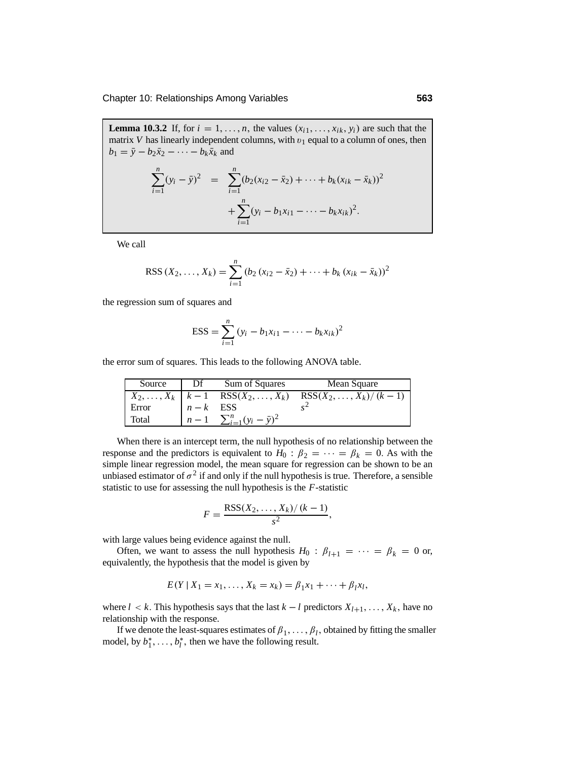**Lemma 10.3.2** If, for  $i = 1, \ldots, n$ , the values  $(x_{i1}, \ldots, x_{ik}, y_i)$  are such that the matrix  $V$  has linearly independent columns, with  $v_1$  equal to a column of ones, then  $b_1 = \bar{y} - b_2\bar{x}_2 - \cdots - b_k\bar{x}_k$  and #*n*  $(y_i - \bar{y})^2 = \sum^n$ 

$$
\sum_{i=1} (y_i - \bar{y})^2 = \sum_{i=1} (b_2(x_{i2} - \bar{x}_2) + \dots + b_k(x_{ik} - \bar{x}_k))^2
$$

$$
+ \sum_{i=1}^n (y_i - b_1x_{i1} - \dots - b_kx_{ik})^2.
$$

We call

RSS 
$$
(X_2, ..., X_k)
$$
 =  $\sum_{i=1}^n (b_2 (x_{i2} - \bar{x}_2) + ... + b_k (x_{ik} - \bar{x}_k))^2$ 

the regression sum of squares and

$$
ESS = \sum_{i=1}^{n} (y_i - b_1 x_{i1} - \dots - b_k x_{ik})^2
$$

the error sum of squares. This leads to the following ANOVA table.

| Source | Df        | Sum of Squares                     | Mean Square                                                                         |
|--------|-----------|------------------------------------|-------------------------------------------------------------------------------------|
|        |           |                                    | $X_2, \ldots, X_k \mid k-1$ RSS $(X_2, \ldots, X_k)$ RSS $(X_2, \ldots, X_k)/(k-1)$ |
| Error  | $n-k$ ESS |                                    |                                                                                     |
| Total  | $n-1$     | $\sum_{i=1}^{n} (y_i - \bar{y})^2$ |                                                                                     |

When there is an intercept term, the null hypothesis of no relationship between the response and the predictors is equivalent to  $H_0$ :  $\beta_2 = \cdots = \beta_k = 0$ . As with the simple linear regression model, the mean square for regression can be shown to be an unbiased estimator of  $\sigma^2$  if and only if the null hypothesis is true. Therefore, a sensible statistic to use for assessing the null hypothesis is the *F*-statistic

$$
F = \frac{\text{RSS}(X_2, \ldots, X_k)/(k-1)}{s^2},
$$

with large values being evidence against the null.

Often, we want to assess the null hypothesis  $H_0$ :  $\beta_{l+1}$  =  $\cdots$  =  $\beta_k$  = 0 or, equivalently, the hypothesis that the model is given by

$$
E(Y | X_1 = x_1, ..., X_k = x_k) = \beta_1 x_1 + \cdots + \beta_l x_l,
$$

where  $l < k$ . This hypothesis says that the last  $k - l$  predictors  $X_{l+1}, \ldots, X_k$ , have no relationship with the response.

If we denote the least-squares estimates of  $\beta_1, \ldots, \beta_l$ , obtained by fitting the smaller model, by  $b_1^*, \ldots, b_l^*$ , then we have the following result.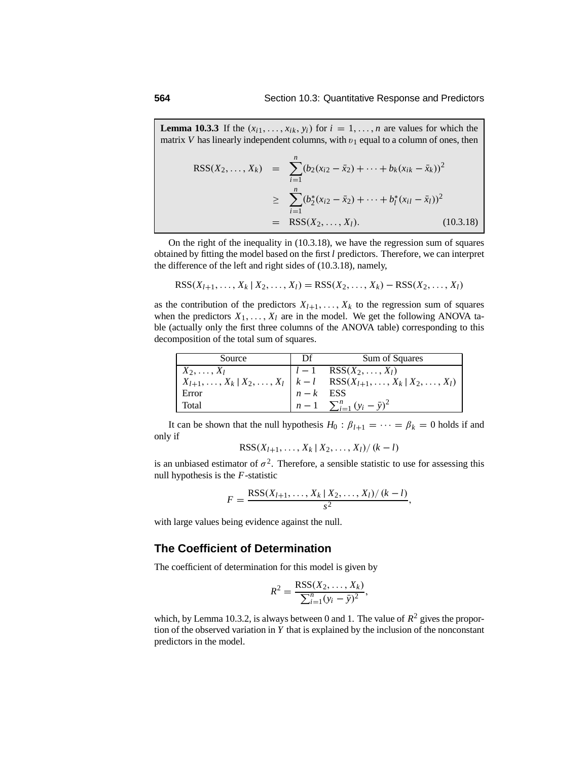**Lemma 10.3.3** If the  $(x_{i1},...,x_{ik}, y_i)$  for  $i = 1,...,n$  are values for which the matrix *V* has linearly independent columns, with  $v_1$  equal to a column of ones, then  $RSS(X_2, \ldots, X_k) = \sum_{k=1}^{n}$ 

$$
RSS(X_2, ..., X_k) = \sum_{i=1}^{n} (b_2(x_{i2} - \bar{x}_2) + \dots + b_k(x_{ik} - \bar{x}_k))^2
$$
  
\n
$$
\geq \sum_{i=1}^{n} (b_2^*(x_{i2} - \bar{x}_2) + \dots + b_l^*(x_{il} - \bar{x}_l))^2
$$
  
\n
$$
= RSS(X_2, ..., X_l).
$$
 (10.3.18)

On the right of the inequality in (10.3.18), we have the regression sum of squares obtained by fitting the model based on the first *l* predictors. Therefore, we can interpret the difference of the left and right sides of (10.3.18), namely,

$$
RSS(X_{l+1},...,X_k | X_2,...,X_l) = RSS(X_2,...,X_k) - RSS(X_2,...,X_l)
$$

as the contribution of the predictors  $X_{l+1},..., X_k$  to the regression sum of squares when the predictors  $X_1, \ldots, X_l$  are in the model. We get the following ANOVA table (actually only the first three columns of the ANOVA table) corresponding to this decomposition of the total sum of squares.

| Source | Df        | Sum of Squares                                                                                                                                                            |
|--------|-----------|---------------------------------------------------------------------------------------------------------------------------------------------------------------------------|
|        |           |                                                                                                                                                                           |
|        |           | $\begin{vmatrix} X_2, , X_l \\ X_{l+1}, , X_k   X_2, , X_l \end{vmatrix}$ $\begin{vmatrix} l-1 & RSS(X_2, , X_l) \\ k-l & RSS(X_{l+1}, , X_k   X_2, , X_l) \end{vmatrix}$ |
| Error  | $n-k$ ESS |                                                                                                                                                                           |
| Total  |           | $n-1$ $\sum_{i=1}^{n} (y_i - \bar{y})^2$                                                                                                                                  |

It can be shown that the null hypothesis  $H_0: \beta_{l+1} = \cdots = \beta_k = 0$  holds if and only if

$$
RSS(X_{l+1},\ldots,X_k | X_2,\ldots,X_l)/(k-l)
$$

is an unbiased estimator of  $\sigma^2$ . Therefore, a sensible statistic to use for assessing this null hypothesis is the *F*-statistic

$$
F = \frac{\text{RSS}(X_{l+1}, \ldots, X_k | X_2, \ldots, X_l) / (k-l)}{s^2},
$$

with large values being evidence against the null.

#### **The Coefficient of Determination**

The coefficient of determination for this model is given by

$$
R^{2} = \frac{\text{RSS}(X_{2},...,X_{k})}{\sum_{i=1}^{n}(y_{i}-\bar{y})^{2}},
$$

which, by Lemma 10.3.2, is always between 0 and 1. The value of  $R^2$  gives the proportion of the observed variation in *Y* that is explained by the inclusion of the nonconstant predictors in the model.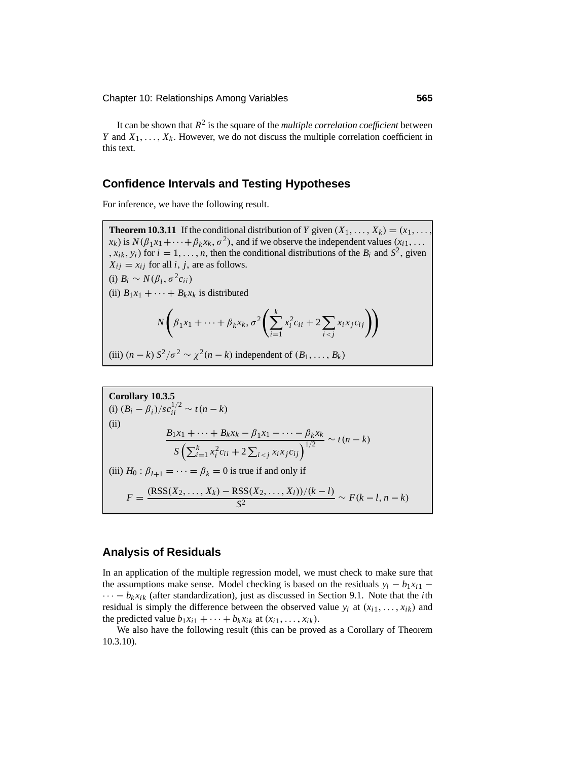It can be shown that  $R^2$  is the square of the *multiple correlation coefficient* between *Y* and  $X_1, \ldots, X_k$ . However, we do not discuss the multiple correlation coefficient in this text.

#### **Confidence Intervals and Testing Hypotheses**

For inference, we have the following result.

**Theorem 10.3.11** If the conditional distribution of *Y* given  $(X_1, \ldots, X_k) = (x_1, \ldots, x_k)$  $x_k$ ) is  $N(\beta_1 x_1 + \cdots + \beta_k x_k, \sigma^2)$ , and if we observe the independent values  $(x_{i1}, \ldots, x_k)$ ,  $x_{ik}$ ,  $y_i$ ) for  $i = 1, ..., n$ , then the conditional distributions of the  $B_i$  and  $S^2$ , given  $X_{ij} = x_{ij}$  for all *i*, *j*, are as follows. (i)  $B_i \sim N(\beta_i, \sigma^2 c_{ii})$ (ii)  $B_1x_1 + \cdots + B_kx_k$  is distributed *N*  $\overline{'}$  $\beta_1x_1 + \cdots + \beta_kx_k, \sigma^2$  $\left(\frac{k}{\sum_{i=1}^{k}}\right)$ *<sup>i</sup>*=<sup>1</sup>  $x_i^2 c_{ii} + 2 \sum$  $\sum_{i < j} x_i x_j c_{ij}$ ) (iii)  $(n - k) S^2/\sigma^2 \sim \chi^2(n - k)$  independent of  $(B_1, \ldots, B_k)$ 

**Corollary 10.3.5** (i)  $(B_i - \beta_i)/s c_{ii}^{1/2} \sim t(n-k)$ (ii)  $B_1x_1 + \cdots + B_kx_k - \beta_1x_1 - \cdots - \beta_kx_k$  $S\left(\sum_{i=1}^k x_i^2 c_{ii} + 2\sum_{i < j} x_i x_j c_{ij}\right)^{1/2} \sim t(n-k)$ (iii)  $H_0: \beta_{l+1} = \cdots = \beta_k = 0$  is true if and only if  $F = \frac{(RSS(X_2, ..., X_k) - RSS(X_2, ..., X_l))/(k - l)}{S^2} \sim F(k - l, n - k)$ 

#### **Analysis of Residuals**

In an application of the multiple regression model, we must check to make sure that the assumptions make sense. Model checking is based on the residuals  $y_i - b_1 x_{i1}$  − ···− *bk xik* (after standardization), just as discussed in Section 9.1. Note that the *<sup>i</sup>*th residual is simply the difference between the observed value  $y_i$  at  $(x_{i1},...,x_{ik})$  and the predicted value  $b_1x_{i1} + \cdots + b_kx_{ik}$  at  $(x_{i1}, \ldots, x_{ik})$ .

We also have the following result (this can be proved as a Corollary of Theorem 10.3.10).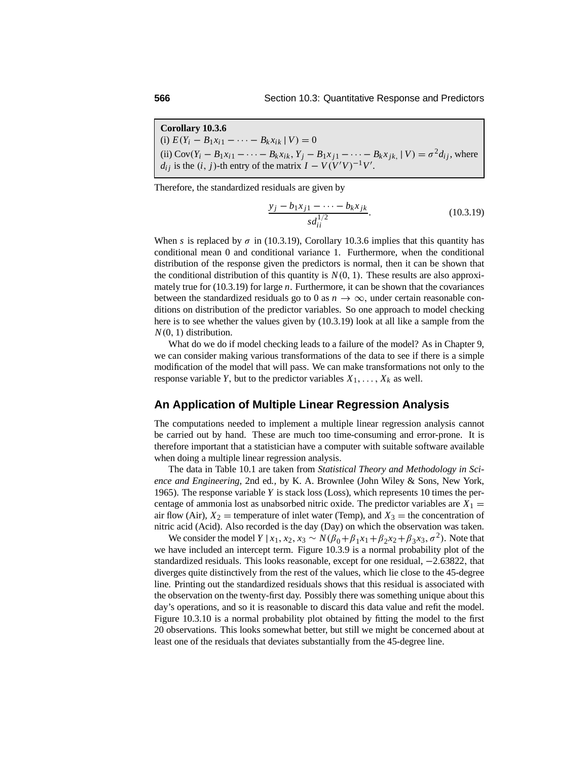**Corollary 10.3.6** (i)  $E(Y_i - B_1x_{i1} - \cdots - B_kx_{ik} | V) = 0$  $(iii) \text{Cov}(Y_i - B_1x_{i1} - \cdots - B_kx_{ik}, Y_j - B_1x_{j1} - \cdots - B_kx_{jk}, V_j = \sigma^2 d_{ij}$ , where  $d_{ij}$  is the  $(i, j)$ -th entry of the matrix  $I - V(V'V)^{-1}V'$ .

Therefore, the standardized residuals are given by

$$
\frac{y_j - b_1 x_{j1} - \dots - b_k x_{jk}}{s d_{ii}^{1/2}}.
$$
 (10.3.19)

When *s* is replaced by  $\sigma$  in (10.3.19), Corollary 10.3.6 implies that this quantity has conditional mean 0 and conditional variance 1. Furthermore, when the conditional distribution of the response given the predictors is normal, then it can be shown that the conditional distribution of this quantity is  $N(0, 1)$ . These results are also approximately true for (10.3.19) for large *n*. Furthermore, it can be shown that the covariances between the standardized residuals go to 0 as  $n \to \infty$ , under certain reasonable conditions on distribution of the predictor variables. So one approach to model checking here is to see whether the values given by (10.3.19) look at all like a sample from the *N*(0, 1) distribution.

What do we do if model checking leads to a failure of the model? As in Chapter 9, we can consider making various transformations of the data to see if there is a simple modification of the model that will pass. We can make transformations not only to the response variable *Y*, but to the predictor variables  $X_1, \ldots, X_k$  as well.

#### **An Application of Multiple Linear Regression Analysis**

The computations needed to implement a multiple linear regression analysis cannot be carried out by hand. These are much too time-consuming and error-prone. It is therefore important that a statistician have a computer with suitable software available when doing a multiple linear regression analysis.

The data in Table 10.1 are taken from *Statistical Theory and Methodology in Science and Engineering,* 2nd ed*.,* by K. A. Brownlee (John Wiley & Sons, New York, 1965). The response variable *Y* is stack loss (Loss), which represents 10 times the percentage of ammonia lost as unabsorbed nitric oxide. The predictor variables are  $X_1 =$ air flow (Air),  $X_2$  = temperature of inlet water (Temp), and  $X_3$  = the concentration of nitric acid (Acid). Also recorded is the day (Day) on which the observation was taken.

We consider the model *Y* |  $x_1, x_2, x_3 \sim N(\beta_0 + \beta_1 x_1 + \beta_2 x_2 + \beta_3 x_3, \sigma^2)$ . Note that we have included an intercept term. Figure 10.3.9 is a normal probability plot of the standardized residuals. This looks reasonable, except for one residual, <sup>−</sup>2.63822, that diverges quite distinctively from the rest of the values, which lie close to the 45-degree line. Printing out the standardized residuals shows that this residual is associated with the observation on the twenty-first day. Possibly there was something unique about this day's operations, and so it is reasonable to discard this data value and refit the model. Figure 10.3.10 is a normal probability plot obtained by fitting the model to the first 20 observations. This looks somewhat better, but still we might be concerned about at least one of the residuals that deviates substantially from the 45-degree line.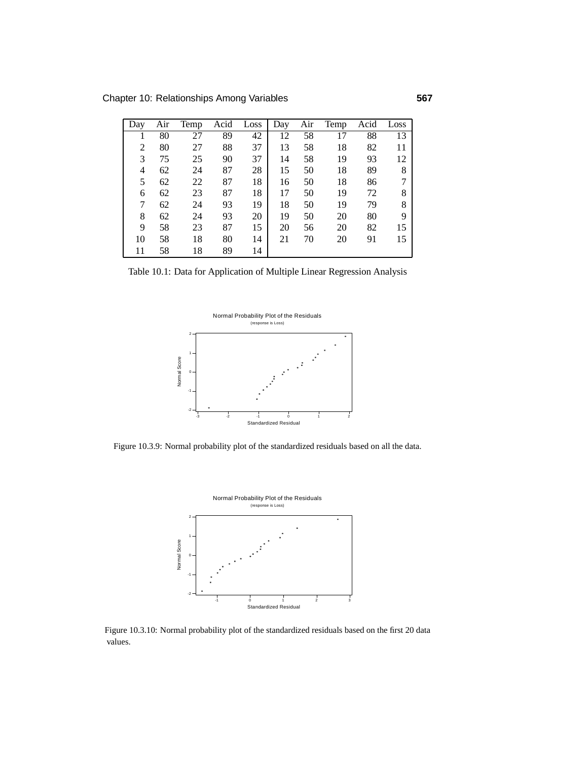Chapter 10: Relationships Among Variables **567**

| Day | Air | Temp | Acid | Loss | Day | Air | Temp | Acid | Loss |
|-----|-----|------|------|------|-----|-----|------|------|------|
|     | 80  | 27   | 89   | 42   | 12  | 58  | 17   | 88   | 13   |
| 2   | 80  | 27   | 88   | 37   | 13  | 58  | 18   | 82   | 11   |
| 3   | 75  | 25   | 90   | 37   | 14  | 58  | 19   | 93   | 12   |
| 4   | 62  | 24   | 87   | 28   | 15  | 50  | 18   | 89   | 8    |
| 5   | 62  | 22   | 87   | 18   | 16  | 50  | 18   | 86   | 7    |
| 6   | 62  | 23   | 87   | 18   | 17  | 50  | 19   | 72   | 8    |
| 7   | 62  | 24   | 93   | 19   | 18  | 50  | 19   | 79   | 8    |
| 8   | 62  | 24   | 93   | 20   | 19  | 50  | 20   | 80   | 9    |
| 9   | 58  | 23   | 87   | 15   | 20  | 56  | 20   | 82   | 15   |
| 10  | 58  | 18   | 80   | 14   | 21  | 70  | 20   | 91   | 15   |
| 11  | 58  | 18   | 89   | 14   |     |     |      |      |      |

Table 10.1: Data for Application of Multiple Linear Regression Analysis



Figure 10.3.9: Normal probability plot of the standardized residuals based on all the data.



Figure 10.3.10: Normal probability plot of the standardized residuals based on the first 20 data values.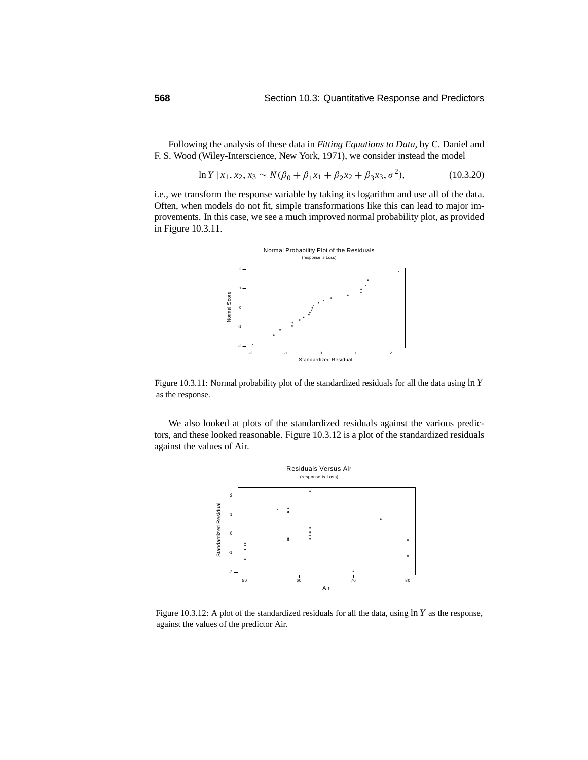Following the analysis of these data in *Fitting Equations to Data,* by C. Daniel and F. S. Wood (Wiley-Interscience, New York, 1971), we consider instead the model

$$
\ln Y | x_1, x_2, x_3 \sim N(\beta_0 + \beta_1 x_1 + \beta_2 x_2 + \beta_3 x_3, \sigma^2), \tag{10.3.20}
$$

i.e., we transform the response variable by taking its logarithm and use all of the data. Often, when models do not fit, simple transformations like this can lead to major improvements. In this case, we see a much improved normal probability plot, as provided in Figure 10.3.11.



Figure 10.3.11: Normal probability plot of the standardized residuals for all the data using ln *Y* as the response.

We also looked at plots of the standardized residuals against the various predictors, and these looked reasonable. Figure 10.3.12 is a plot of the standardized residuals against the values of Air.



Figure 10.3.12: A plot of the standardized residuals for all the data, using ln *Y* as the response, against the values of the predictor Air.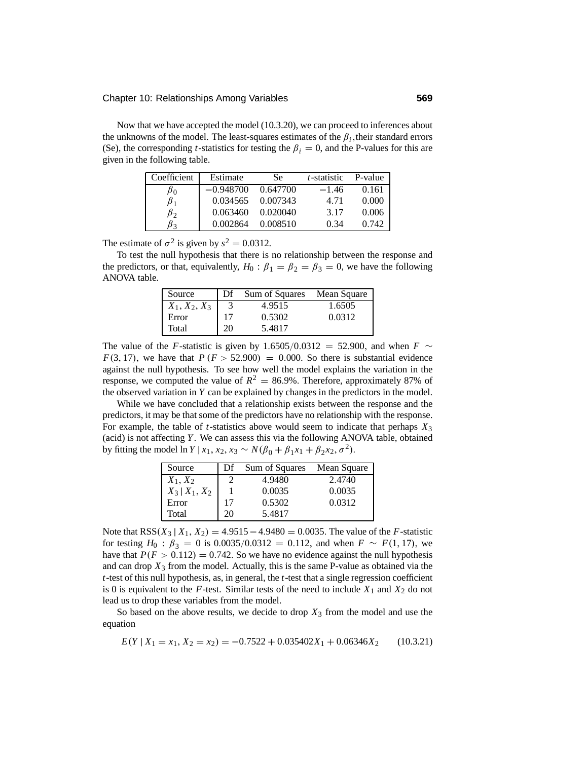Now that we have accepted the model (10.3.20), we can proceed to inferences about the unknowns of the model. The least-squares estimates of the  $\beta_i$ , their standard errors (Se), the corresponding *t*-statistics for testing the  $\beta_i = 0$ , and the P-values for this are given in the following table.

| Coefficient | Estimate    | Se       | <i>t</i> -statistic | P-value |
|-------------|-------------|----------|---------------------|---------|
| $\mu_{0}$   | $-0.948700$ | 0.647700 | $-1.46$             | 0.161   |
|             | 0.034565    | 0.007343 | 4.71                | 0.000   |
| $\beta_2$   | 0.063460    | 0.020040 | 3.17                | 0.006   |
| D2          | 0.002864    | 0.008510 | 0.34                | 0.742   |

The estimate of  $\sigma^2$  is given by  $s^2 = 0.0312$ .

To test the null hypothesis that there is no relationship between the response and the predictors, or that, equivalently,  $H_0: \beta_1 = \beta_2 = \beta_3 = 0$ , we have the following ANOVA table.

| Source          | Df | Sum of Squares | Mean Square |
|-----------------|----|----------------|-------------|
| $X_1, X_2, X_3$ |    | 4.9515         | 1.6505      |
| Error           | 17 | 0.5302         | 0.0312      |
| Total           | 20 | 5.4817         |             |

The value of the *F*-statistic is given by 1.6505/0.0312 = 52.900, and when  $F \sim$  $F(3, 17)$ , we have that  $P(F > 52.900) = 0.000$ . So there is substantial evidence against the null hypothesis. To see how well the model explains the variation in the response, we computed the value of  $R^2 = 86.9\%$ . Therefore, approximately 87% of the observed variation in *Y* can be explained by changes in the predictors in the model.

While we have concluded that a relationship exists between the response and the predictors, it may be that some of the predictors have no relationship with the response. For example, the table of *t*-statistics above would seem to indicate that perhaps  $X_3$ (acid) is not affecting *Y*. We can assess this via the following ANOVA table, obtained by fitting the model ln *Y* | *x*<sub>1</sub>, *x*<sub>2</sub>, *x*<sub>3</sub> ∼ *N*(β<sub>0</sub> + β<sub>1</sub>*x*<sub>1</sub> + β<sub>2</sub>*x*<sub>2</sub>, σ<sup>2</sup>).

| Source           | Df | Sum of Squares | Mean Square |
|------------------|----|----------------|-------------|
| $X_1, X_2$       | റ  | 4.9480         | 2.4740      |
| $X_3   X_1, X_2$ |    | 0.0035         | 0.0035      |
| Error            | 17 | 0.5302         | 0.0312      |
| Total            | 20 | 5.4817         |             |

Note that  $RSS(X_3 | X_1, X_2) = 4.9515 - 4.9480 = 0.0035$ . The value of the *F*-statistic for testing  $H_0$ :  $\beta_3 = 0$  is 0.0035/0.0312 = 0.112, and when  $F \sim F(1, 17)$ , we have that  $P(F > 0.112) = 0.742$ . So we have no evidence against the null hypothesis and can drop  $X_3$  from the model. Actually, this is the same P-value as obtained via the *t*-test of this null hypothesis, as, in general, the *t*-test that a single regression coefficient is 0 is equivalent to the  $F$ -test. Similar tests of the need to include  $X_1$  and  $X_2$  do not lead us to drop these variables from the model.

So based on the above results, we decide to drop  $X_3$  from the model and use the equation

$$
E(Y | X_1 = x_1, X_2 = x_2) = -0.7522 + 0.035402X_1 + 0.06346X_2 \qquad (10.3.21)
$$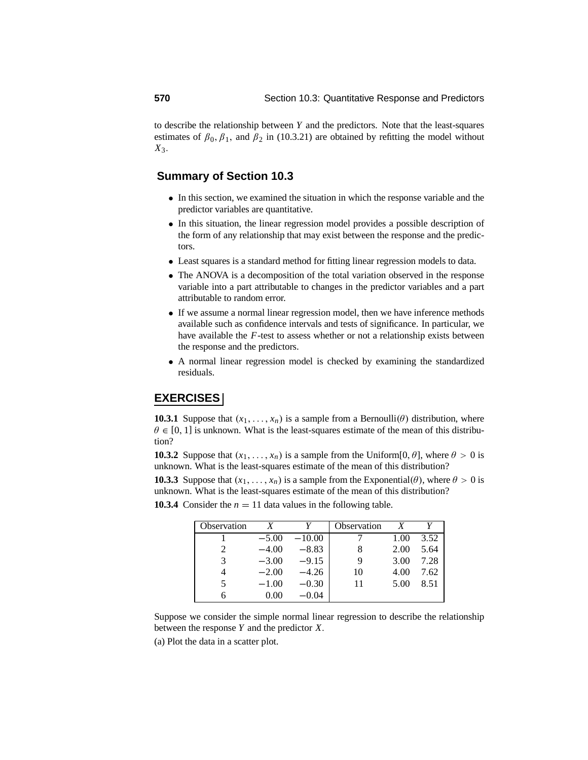to describe the relationship between *Y* and the predictors. Note that the least-squares estimates of  $\beta_0$ ,  $\beta_1$ , and  $\beta_2$  in (10.3.21) are obtained by refitting the model without *X*3.

# **Summary of Section 10.3**

- In this section, we examined the situation in which the response variable and the predictor variables are quantitative.
- In this situation, the linear regression model provides a possible description of the form of any relationship that may exist between the response and the predictors.
- Least squares is a standard method for fitting linear regression models to data.
- The ANOVA is a decomposition of the total variation observed in the response variable into a part attributable to changes in the predictor variables and a part attributable to random error.
- If we assume a normal linear regression model, then we have inference methods available such as confidence intervals and tests of significance. In particular, we have available the *F*-test to assess whether or not a relationship exists between the response and the predictors.
- A normal linear regression model is checked by examining the standardized residuals.

# **EXERCISES**

**10.3.1** Suppose that  $(x_1, \ldots, x_n)$  is a sample from a Bernoulli( $\theta$ ) distribution, where  $\theta \in [0, 1]$  is unknown. What is the least-squares estimate of the mean of this distribution?

**10.3.2** Suppose that  $(x_1, \ldots, x_n)$  is a sample from the Uniform[0,  $\theta$ ], where  $\theta > 0$  is unknown. What is the least-squares estimate of the mean of this distribution?

**10.3.3** Suppose that  $(x_1, \ldots, x_n)$  is a sample from the Exponential( $\theta$ ), where  $\theta > 0$  is unknown. What is the least-squares estimate of the mean of this distribution? **10.3.4** Consider the  $n = 11$  data values in the following table.

| Observation                                                                                                                                                                                                                                                                                                                                                                                                                                                                         | X       |          | Observation |      |      |
|-------------------------------------------------------------------------------------------------------------------------------------------------------------------------------------------------------------------------------------------------------------------------------------------------------------------------------------------------------------------------------------------------------------------------------------------------------------------------------------|---------|----------|-------------|------|------|
|                                                                                                                                                                                                                                                                                                                                                                                                                                                                                     | $-5.00$ | $-10.00$ |             | 1.00 | 3.52 |
| $\mathcal{D}_{\mathcal{A}}^{\mathcal{A}}(\mathcal{A}) = \mathcal{D}_{\mathcal{A}}^{\mathcal{A}}(\mathcal{A}) = \mathcal{D}_{\mathcal{A}}^{\mathcal{A}}(\mathcal{A}) = \mathcal{D}_{\mathcal{A}}^{\mathcal{A}}(\mathcal{A}) = \mathcal{D}_{\mathcal{A}}^{\mathcal{A}}(\mathcal{A}) = \mathcal{D}_{\mathcal{A}}^{\mathcal{A}}(\mathcal{A}) = \mathcal{D}_{\mathcal{A}}^{\mathcal{A}}(\mathcal{A}) = \mathcal{D}_{\mathcal{A}}^{\mathcal{A}}(\mathcal{A}) = \mathcal{D}_{\mathcal{A}}$ | $-4.00$ | $-8.83$  |             | 2.00 | 5.64 |
|                                                                                                                                                                                                                                                                                                                                                                                                                                                                                     | $-3.00$ | $-9.15$  |             | 3.00 | 7.28 |
|                                                                                                                                                                                                                                                                                                                                                                                                                                                                                     | $-2.00$ | $-4.26$  | 10          | 4.00 | 7.62 |
|                                                                                                                                                                                                                                                                                                                                                                                                                                                                                     | $-1.00$ | $-0.30$  | 11          | 5.00 | 8.51 |
|                                                                                                                                                                                                                                                                                                                                                                                                                                                                                     | 0.00    | -0.04    |             |      |      |

Suppose we consider the simple normal linear regression to describe the relationship between the response *Y* and the predictor *X*.

(a) Plot the data in a scatter plot.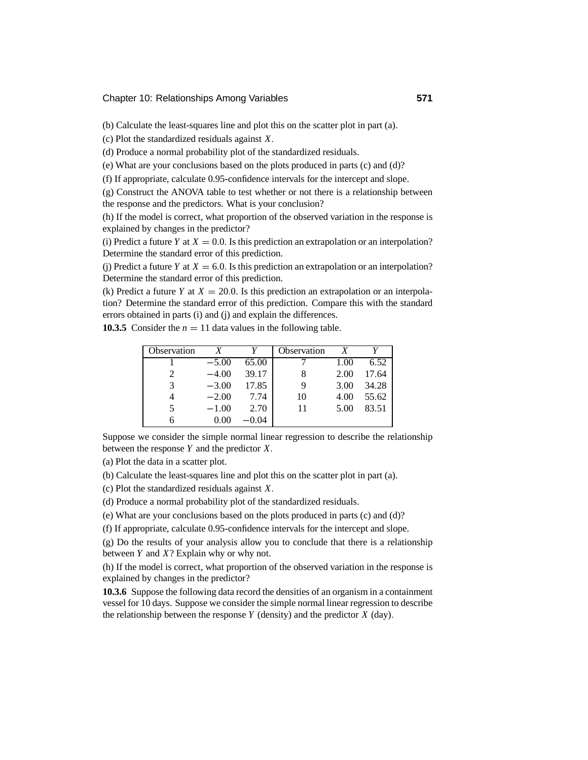(b) Calculate the least-squares line and plot this on the scatter plot in part (a).

(c) Plot the standardized residuals against *X*.

(d) Produce a normal probability plot of the standardized residuals.

(e) What are your conclusions based on the plots produced in parts (c) and (d)?

(f) If appropriate, calculate 0.95-confidence intervals for the intercept and slope.

(g) Construct the ANOVA table to test whether or not there is a relationship between the response and the predictors. What is your conclusion?

(h) If the model is correct, what proportion of the observed variation in the response is explained by changes in the predictor?

(i) Predict a future *Y* at  $X = 0.0$ . Is this prediction an extrapolation or an interpolation? Determine the standard error of this prediction.

(i) Predict a future *Y* at  $X = 6.0$ . Is this prediction an extrapolation or an interpolation? Determine the standard error of this prediction.

(k) Predict a future *Y* at  $X = 20.0$ . Is this prediction an extrapolation or an interpolation? Determine the standard error of this prediction. Compare this with the standard errors obtained in parts (i) and (j) and explain the differences.

**10.3.5** Consider the  $n = 11$  data values in the following table.

| Observation | X       |       | Observation | X    |       |
|-------------|---------|-------|-------------|------|-------|
|             | $-5.00$ | 65.00 |             | 1.00 | 6.52  |
|             | $-4.00$ | 39.17 |             | 2.00 | 17.64 |
| 3           | $-3.00$ | 17.85 |             | 3.00 | 34.28 |
|             | $-2.00$ | 7.74  | 10          | 4.00 | 55.62 |
| 5           | $-1.00$ | 2.70  | 11          | 5.00 | 83.51 |
| 6           | 0.00    | -0.04 |             |      |       |

Suppose we consider the simple normal linear regression to describe the relationship between the response *Y* and the predictor *X*.

(a) Plot the data in a scatter plot.

(b) Calculate the least-squares line and plot this on the scatter plot in part (a).

(c) Plot the standardized residuals against *X*.

(d) Produce a normal probability plot of the standardized residuals.

(e) What are your conclusions based on the plots produced in parts (c) and (d)?

(f) If appropriate, calculate 0.95-confidence intervals for the intercept and slope.

(g) Do the results of your analysis allow you to conclude that there is a relationship between *Y* and *X*? Explain why or why not.

(h) If the model is correct, what proportion of the observed variation in the response is explained by changes in the predictor?

**10.3.6** Suppose the following data record the densities of an organism in a containment vessel for 10 days. Suppose we consider the simple normal linear regression to describe the relationship between the response *Y* (density) and the predictor *X* (day).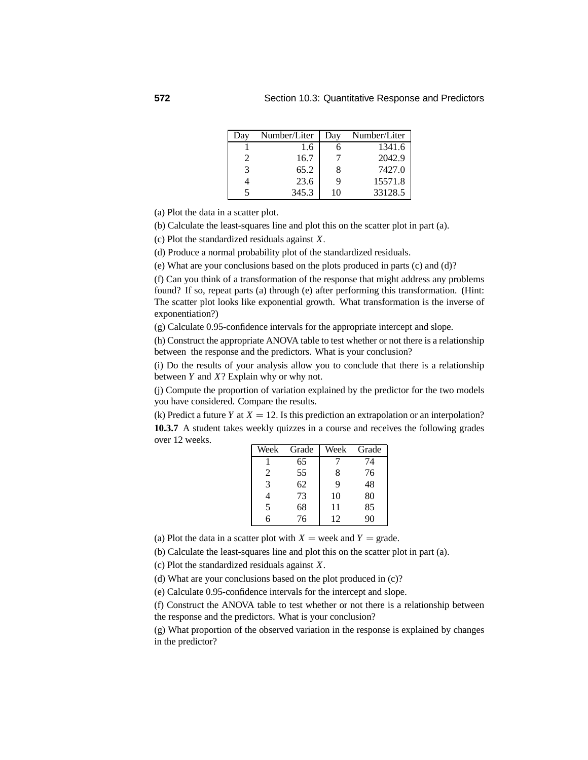| Day | Number/Liter | Day | Number/Liter |
|-----|--------------|-----|--------------|
|     | 1.6          |     | 1341.6       |
|     | 16.7         |     | 2042.9       |
| 3   | 65.2         |     | 7427.0       |
|     | 23.6         | q   | 15571.8      |
|     | 345.3        | 10  | 33128.5      |

(a) Plot the data in a scatter plot.

(b) Calculate the least-squares line and plot this on the scatter plot in part (a).

(c) Plot the standardized residuals against *X*.

(d) Produce a normal probability plot of the standardized residuals.

(e) What are your conclusions based on the plots produced in parts (c) and (d)?

(f) Can you think of a transformation of the response that might address any problems found? If so, repeat parts (a) through (e) after performing this transformation. (Hint: The scatter plot looks like exponential growth. What transformation is the inverse of exponentiation?)

(g) Calculate 0.95-confidence intervals for the appropriate intercept and slope.

(h) Construct the appropriate ANOVA table to test whether or not there is a relationship between the response and the predictors. What is your conclusion?

(i) Do the results of your analysis allow you to conclude that there is a relationship between *Y* and *X*? Explain why or why not.

(j) Compute the proportion of variation explained by the predictor for the two models you have considered. Compare the results.

(k) Predict a future *Y* at  $X = 12$ . Is this prediction an extrapolation or an interpolation? **10.3.7** A student takes weekly quizzes in a course and receives the following grades over 12 weeks.

| Week | Grade | Week | Grade |
|------|-------|------|-------|
|      | 65    |      | 74    |
| 2    | 55    | 8    | 76    |
| 3    | 62    | 9    | 48    |
| 4    | 73    | 10   | 80    |
| 5    | 68    | 11   | 85    |
| 6    | 76    | 12   | 90    |

(a) Plot the data in a scatter plot with  $X =$  week and  $Y =$  grade.

(b) Calculate the least-squares line and plot this on the scatter plot in part (a).

(c) Plot the standardized residuals against *X*.

(d) What are your conclusions based on the plot produced in (c)?

(e) Calculate 0.95-confidence intervals for the intercept and slope.

(f) Construct the ANOVA table to test whether or not there is a relationship between the response and the predictors. What is your conclusion?

(g) What proportion of the observed variation in the response is explained by changes in the predictor?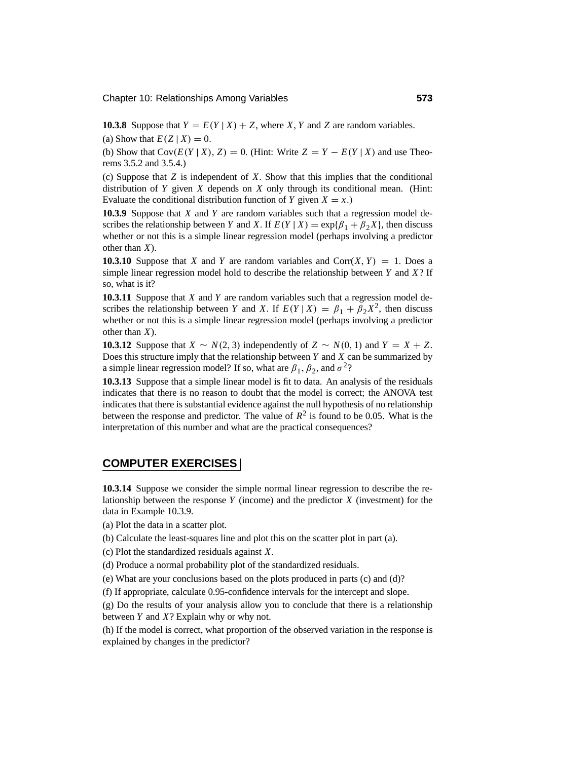**10.3.8** Suppose that  $Y = E(Y | X) + Z$ , where *X*, *Y* and *Z* are random variables.

(a) Show that  $E(Z | X) = 0$ .

(b) Show that  $Cov(E(Y | X), Z) = 0$ . (Hint: Write  $Z = Y - E(Y | X)$  and use Theorems 3.5.2 and 3.5.4.)

(c) Suppose that *Z* is independent of *X*. Show that this implies that the conditional distribution of *Y* given *X* depends on *X* only through its conditional mean. (Hint: Evaluate the conditional distribution function of *Y* given  $X = x$ .)

**10.3.9** Suppose that *X* and *Y* are random variables such that a regression model describes the relationship between *Y* and *X*. If  $E(Y | X) = \exp{\{\beta_1 + \beta_2 X\}}$ , then discuss whether or not this is a simple linear regression model (perhaps involving a predictor other than *X*).

**10.3.10** Suppose that *X* and *Y* are random variables and Corr $(X, Y) = 1$ . Does a simple linear regression model hold to describe the relationship between *Y* and *X*? If so, what is it?

**10.3.11** Suppose that *X* and *Y* are random variables such that a regression model describes the relationship between *Y* and *X*. If  $E(Y | X) = \beta_1 + \beta_2 X^2$ , then discuss whether or not this is a simple linear regression model (perhaps involving a predictor other than *X*).

**10.3.12** Suppose that *X* ∼ *N*(2, 3) independently of *Z* ∼ *N*(0, 1) and *Y* = *X* + *Z*. Does this structure imply that the relationship between *Y* and *X* can be summarized by a simple linear regression model? If so, what are  $\beta_1$ ,  $\beta_2$ , and  $\sigma^2$ ?

**10.3.13** Suppose that a simple linear model is fit to data. An analysis of the residuals indicates that there is no reason to doubt that the model is correct; the ANOVA test indicates that there is substantial evidence against the null hypothesis of no relationship between the response and predictor. The value of  $R^2$  is found to be 0.05. What is the interpretation of this number and what are the practical consequences?

## **COMPUTER EXERCISES**

**10.3.14** Suppose we consider the simple normal linear regression to describe the relationship between the response *Y* (income) and the predictor *X* (investment) for the data in Example 10.3.9.

(a) Plot the data in a scatter plot.

(b) Calculate the least-squares line and plot this on the scatter plot in part (a).

(c) Plot the standardized residuals against *X*.

(d) Produce a normal probability plot of the standardized residuals.

(e) What are your conclusions based on the plots produced in parts (c) and (d)?

(f) If appropriate, calculate 0.95-confidence intervals for the intercept and slope.

(g) Do the results of your analysis allow you to conclude that there is a relationship between *Y* and *X*? Explain why or why not.

(h) If the model is correct, what proportion of the observed variation in the response is explained by changes in the predictor?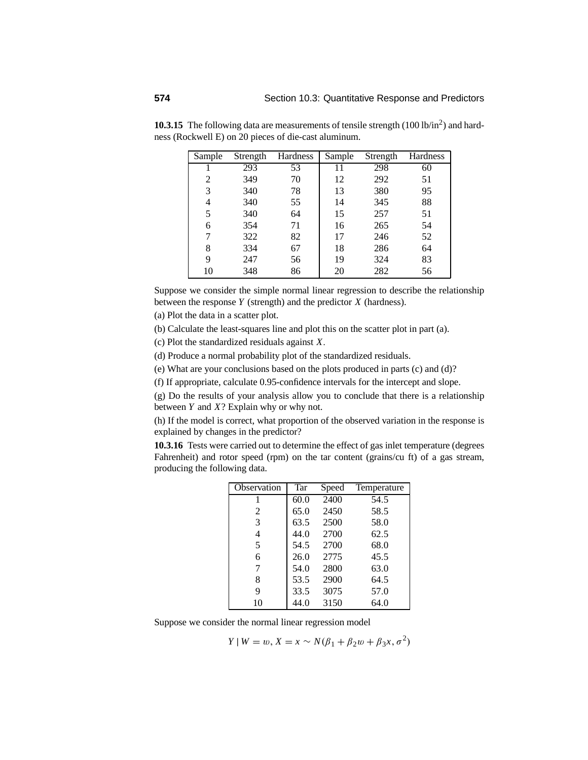| Sample | Strength | Hardness | Sample | Strength | Hardness |
|--------|----------|----------|--------|----------|----------|
|        | 293      | 53       | 11     | 298      | 60       |
| 2      | 349      | 70       | 12     | 292      | 51       |
| 3      | 340      | 78       | 13     | 380      | 95       |
| 4      | 340      | 55       | 14     | 345      | 88       |
| 5      | 340      | 64       | 15     | 257      | 51       |
| 6      | 354      | 71       | 16     | 265      | 54       |
| 7      | 322      | 82       | 17     | 246      | 52       |
| 8      | 334      | 67       | 18     | 286      | 64       |
| 9      | 247      | 56       | 19     | 324      | 83       |
| 10     | 348      | 86       | 20     | 282      | 56       |

**10.3.15** The following data are measurements of tensile strength (100 lb/in<sup>2</sup>) and hardness (Rockwell E) on 20 pieces of die-cast aluminum.

Suppose we consider the simple normal linear regression to describe the relationship between the response *Y* (strength) and the predictor *X* (hardness).

(a) Plot the data in a scatter plot.

(b) Calculate the least-squares line and plot this on the scatter plot in part (a).

(c) Plot the standardized residuals against *X*.

(d) Produce a normal probability plot of the standardized residuals.

(e) What are your conclusions based on the plots produced in parts (c) and (d)?

(f) If appropriate, calculate 0.95-confidence intervals for the intercept and slope.

(g) Do the results of your analysis allow you to conclude that there is a relationship between *Y* and *X*? Explain why or why not.

(h) If the model is correct, what proportion of the observed variation in the response is explained by changes in the predictor?

**10.3.16** Tests were carried out to determine the effect of gas inlet temperature (degrees Fahrenheit) and rotor speed (rpm) on the tar content (grains/cu ft) of a gas stream, producing the following data.

| Observation    | Tar  | Speed | Temperature |
|----------------|------|-------|-------------|
|                | 60.0 | 2400  | 54.5        |
| 2              | 65.0 | 2450  | 58.5        |
| 3              | 63.5 | 2500  | 58.0        |
| $\overline{4}$ | 44.0 | 2700  | 62.5        |
| 5              | 54.5 | 2700  | 68.0        |
| 6              | 26.0 | 2775  | 45.5        |
| 7              | 54.0 | 2800  | 63.0        |
| 8              | 53.5 | 2900  | 64.5        |
| 9              | 33.5 | 3075  | 57.0        |
| 10             | 44.0 | 3150  | 64.0        |

Suppose we consider the normal linear regression model

$$
Y | W = w, X = x \sim N(\beta_1 + \beta_2 w + \beta_3 x, \sigma^2)
$$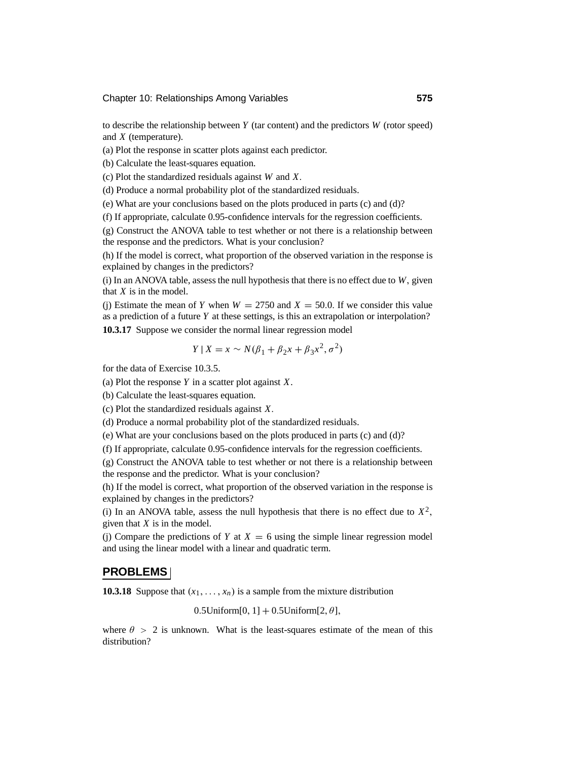to describe the relationship between *Y* (tar content) and the predictors *W* (rotor speed) and *X* (temperature).

(a) Plot the response in scatter plots against each predictor.

(b) Calculate the least-squares equation.

(c) Plot the standardized residuals against *W* and *X*.

(d) Produce a normal probability plot of the standardized residuals.

(e) What are your conclusions based on the plots produced in parts (c) and (d)?

(f) If appropriate, calculate 0.95-confidence intervals for the regression coefficients.

(g) Construct the ANOVA table to test whether or not there is a relationship between the response and the predictors. What is your conclusion?

(h) If the model is correct, what proportion of the observed variation in the response is explained by changes in the predictors?

(i) In an ANOVA table, assess the null hypothesis that there is no effect due to *W*, given that *X* is in the model.

(j) Estimate the mean of *Y* when  $W = 2750$  and  $X = 50.0$ . If we consider this value as a prediction of a future *Y* at these settings, is this an extrapolation or interpolation? **10.3.17** Suppose we consider the normal linear regression model

$$
Y \,|\, X = x \sim N(\beta_1 + \beta_2 x + \beta_3 x^2, \sigma^2)
$$

for the data of Exercise 10.3.5.

(a) Plot the response *Y* in a scatter plot against *X*.

(b) Calculate the least-squares equation.

(c) Plot the standardized residuals against *X*.

(d) Produce a normal probability plot of the standardized residuals.

(e) What are your conclusions based on the plots produced in parts (c) and (d)?

(f) If appropriate, calculate 0.95-confidence intervals for the regression coefficients.

(g) Construct the ANOVA table to test whether or not there is a relationship between the response and the predictor. What is your conclusion?

(h) If the model is correct, what proportion of the observed variation in the response is explained by changes in the predictors?

(i) In an ANOVA table, assess the null hypothesis that there is no effect due to  $X^2$ , given that *X* is in the model.

(i) Compare the predictions of *Y* at  $X = 6$  using the simple linear regression model and using the linear model with a linear and quadratic term.

#### **PROBLEMS**

**10.3.18** Suppose that  $(x_1, \ldots, x_n)$  is a sample from the mixture distribution

0.5Uniform $[0, 1] + 0.5$ Uniform $[2, \theta]$ ,

where  $\theta > 2$  is unknown. What is the least-squares estimate of the mean of this distribution?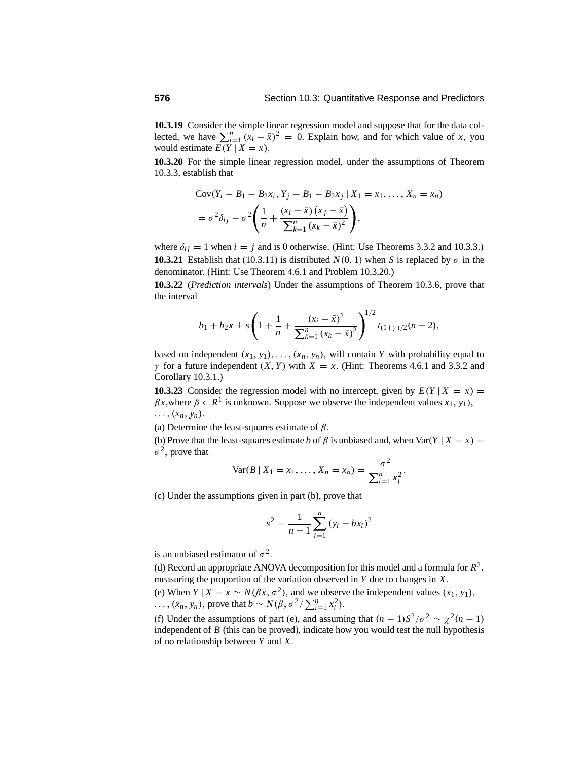**10.3.19** Consider the simple linear regression model and suppose that for the data collected, we have  $\sum_{i=1}^{n} (x_i - \bar{x})^2 = 0$ . Explain how, and for which value of *x*, you would estimate  $E(Y | X = x)$ .

**10.3.20** For the simple linear regression model, under the assumptions of Theorem 10.3.3, establish that

Cov
$$
(Y_i - B_1 - B_2x_i, Y_j - B_1 - B_2x_j | X_1 = x_1, ..., X_n = x_n)
$$
  
=  $\sigma^2 \delta_{ij} - \sigma^2 \left( \frac{1}{n} + \frac{(x_i - \bar{x}) (x_j - \bar{x})}{\sum_{k=1}^n (x_k - \bar{x})^2} \right)$ ,

where  $\delta_{ij} = 1$  when  $i = j$  and is 0 otherwise. (Hint: Use Theorems 3.3.2 and 10.3.3.) **10.3.21** Establish that (10.3.11) is distributed  $N(0, 1)$  when *S* is replaced by  $\sigma$  in the denominator. (Hint: Use Theorem 4.6.1 and Problem 10.3.20.)

**10.3.22** (*Prediction intervals*) Under the assumptions of Theorem 10.3.6, prove that the interval

$$
b_1 + b_2 x \pm s \left( 1 + \frac{1}{n} + \frac{(x_i - \bar{x})^2}{\sum_{k=1}^n (x_k - \bar{x})^2} \right)^{1/2} t_{(1+\gamma)/2}(n-2),
$$

based on independent  $(x_1, y_1), \ldots, (x_n, y_n)$ , will contain *Y* with probability equal to <sup>γ</sup> for a future independent (*X*, *<sup>Y</sup>*) with *<sup>X</sup>* <sup>=</sup> *<sup>x</sup>*. (Hint: Theorems 4.6.1 and 3.3.2 and Corollary 10.3.1.)

**10.3.23** Consider the regression model with no intercept, given by  $E(Y | X = x) =$  $\beta x$ , where  $\beta \in R^1$  is unknown. Suppose we observe the independent values  $x_1, y_1$ ,  $\ldots$ ,  $(x_n, y_n)$ .

(a) Determine the least-squares estimate of  $\beta$ .

(b) Prove that the least-squares estimate *b* of  $\beta$  is unbiased and, when Var(*Y* | *X* = *x*) =  $\sigma^2$ , prove that

$$
Var(B \mid X_1 = x_1, ..., X_n = x_n) = \frac{\sigma^2}{\sum_{i=1}^n x_i^2}.
$$

(c) Under the assumptions given in part (b), prove that

$$
s^{2} = \frac{1}{n-1} \sum_{i=1}^{n} (y_{i} - bx_{i})^{2}
$$

is an unbiased estimator of  $\sigma^2$ .

(d) Record an appropriate ANOVA decomposition for this model and a formula for  $R^2$ , measuring the proportion of the variation observed in *Y* due to changes in *X*.

(e) When  $Y | X = x \sim N(\beta x, \sigma^2)$ , and we observe the independent values  $(x_1, y_1)$ ,  $\ldots$ ,  $(x_n, y_n)$ , prove that  $b \sim N(\beta, \sigma^2 / \sum_{i=1}^n x_i^2)$ .

(f) Under the assumptions of part (e), and assuming that  $(n - 1)S^2/\sigma^2 \sim \chi^2(n - 1)$ independent of  $B$  (this can be proved), indicate how you would test the null hypothesis of no relationship between *Y* and *X*.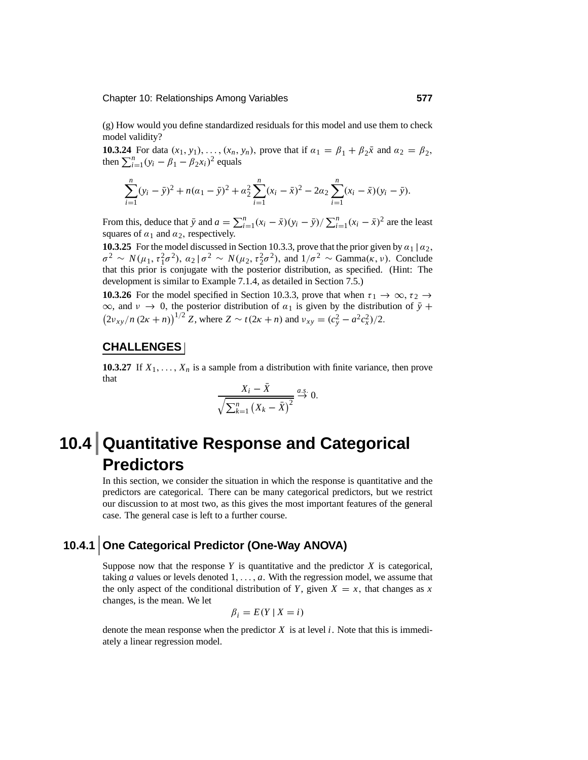Chapter 10: Relationships Among Variables **577**

(g) How would you define standardized residuals for this model and use them to check model validity?

**10.3.24** For data  $(x_1, y_1), \ldots, (x_n, y_n)$ , prove that if  $\alpha_1 = \beta_1 + \beta_2 \bar{x}$  and  $\alpha_2 = \beta_2$ , then  $\sum_{i=1}^n (y_i - \beta_1 - \beta_2 x_i)^2$  equals

$$
\sum_{i=1}^{n} (y_i - \bar{y})^2 + n(\alpha_1 - \bar{y})^2 + \alpha_2^2 \sum_{i=1}^{n} (x_i - \bar{x})^2 - 2\alpha_2 \sum_{i=1}^{n} (x_i - \bar{x})(y_i - \bar{y}).
$$

From this, deduce that  $\bar{y}$  and  $a = \sum_{i=1}^{n} (x_i - \bar{x})(y_i - \bar{y}) / \sum_{i=1}^{n} (x_i - \bar{x})^2$  are the least squares of  $\alpha_1$  and  $\alpha_2$ , respectively.

**10.3.25** For the model discussed in Section 10.3.3, prove that the prior given by  $\alpha_1 | \alpha_2$ ,  $\sigma^2 \sim N(\mu_1, \tau_1^2 \sigma^2)$ ,  $\alpha_2 | \sigma^2 \sim N(\mu_2, \tau_2^2 \sigma^2)$ , and  $1/\sigma^2 \sim \text{Gamma}(\kappa, \nu)$ . Conclude that this prior is conjugate with the posterior distribution, as specified. (Hint: The development is similar to Example 7.1.4, as detailed in Section 7.5.)

**10.3.26** For the model specified in Section 10.3.3, prove that when  $\tau_1 \rightarrow \infty$ ,  $\tau_2 \rightarrow \infty$  $\infty$ , and  $\nu \to 0$ , the posterior distribution of  $\alpha_1$  is given by the distribution of  $\bar{y}$  +  $(2v_{xy}/n(2\kappa+n))^{1/2}$  *Z*, where  $Z \sim t(2\kappa+n)$  and  $v_{xy} = (c_y^2 - a^2c_x^2)/2$ .

## **CHALLENGES**

**10.3.27** If  $X_1, \ldots, X_n$  is a sample from a distribution with finite variance, then prove that

$$
\frac{X_i - X}{\sqrt{\sum_{k=1}^n (X_k - \bar{X})^2}} \stackrel{a.s.}{\to} 0.
$$

# **10.4 Quantitative Response and Categorical Predictors**

In this section, we consider the situation in which the response is quantitative and the predictors are categorical. There can be many categorical predictors, but we restrict our discussion to at most two, as this gives the most important features of the general case. The general case is left to a further course.

# **10.4.1 One Categorical Predictor (One-Way ANOVA)**

Suppose now that the response  $Y$  is quantitative and the predictor  $X$  is categorical, taking *a* values or levels denoted 1,..., *a*. With the regression model, we assume that the only aspect of the conditional distribution of *Y*, given  $X = x$ , that changes as *x* changes, is the mean. We let

$$
\beta_i = E(Y \mid X = i)
$$

denote the mean response when the predictor  $X$  is at level  $i$ . Note that this is immediately a linear regression model.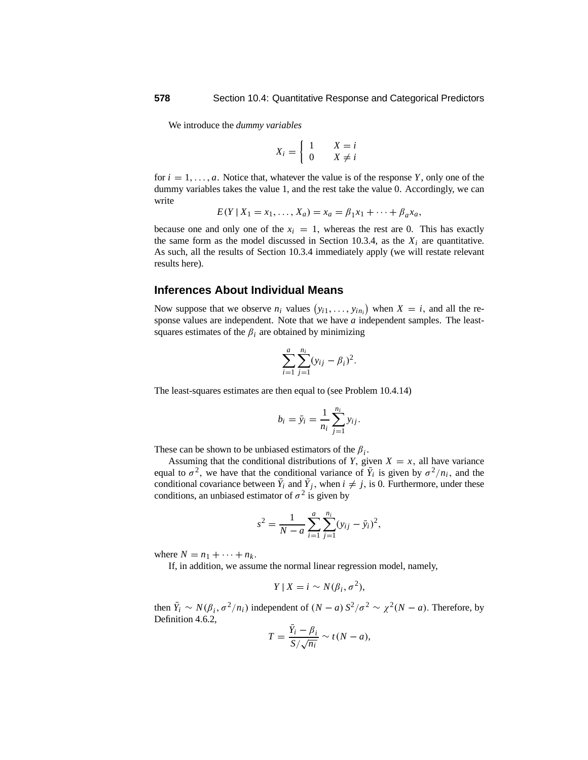We introduce the *dummy variables*

$$
X_i = \begin{cases} 1 & X = i \\ 0 & X \neq i \end{cases}
$$

for  $i = 1, \ldots, a$ . Notice that, whatever the value is of the response Y, only one of the dummy variables takes the value 1, and the rest take the value 0. Accordingly, we can write

$$
E(Y | X_1 = x_1, ..., X_a) = x_a = \beta_1 x_1 + \dots + \beta_a x_a,
$$

because one and only one of the  $x_i = 1$ , whereas the rest are 0. This has exactly the same form as the model discussed in Section 10.3.4, as the  $X_i$  are quantitative. As such, all the results of Section 10.3.4 immediately apply (we will restate relevant results here).

## **Inferences About Individual Means**

Now suppose that we observe  $n_i$  values  $(y_{i1},..., y_{in_i})$  when  $X = i$ , and all the response values are independent. Note that we have *a* independent samples. The leastsquares estimates of the  $\beta_i$  are obtained by minimizing

$$
\sum_{i=1}^{a} \sum_{j=1}^{n_i} (y_{ij} - \beta_i)^2.
$$

The least-squares estimates are then equal to (see Problem 10.4.14)

$$
b_i = \bar{y}_i = \frac{1}{n_i} \sum_{j=1}^{n_i} y_{ij}.
$$

These can be shown to be unbiased estimators of the  $\beta_i$ .

Assuming that the conditional distributions of *Y*, given  $X = x$ , all have variance equal to  $\sigma^2$ , we have that the conditional variance of  $\bar{Y}_i$  is given by  $\sigma^2/n_i$ , and the conditional covariance between  $\overline{Y}_i$  and  $\overline{Y}_j$ , when  $i \neq j$ , is 0. Furthermore, under these conditions, an unbiased estimator of  $\sigma^2$  is given by

$$
s^{2} = \frac{1}{N-a} \sum_{i=1}^{a} \sum_{j=1}^{n_{i}} (y_{ij} - \bar{y}_{i})^{2},
$$

where  $N = n_1 + \cdots + n_k$ .

If, in addition, we assume the normal linear regression model, namely,

$$
Y \mid X = i \sim N(\beta_i, \sigma^2),
$$

then  $\bar{Y}_i \sim N(\beta_i, \sigma^2/n_i)$  independent of  $(N - a) S^2/\sigma^2 \sim \chi^2(N - a)$ . Therefore, by Definition 4.6.2,

$$
T = \frac{\bar{Y}_i - \beta_i}{S/\sqrt{n_i}} \sim t(N - a),
$$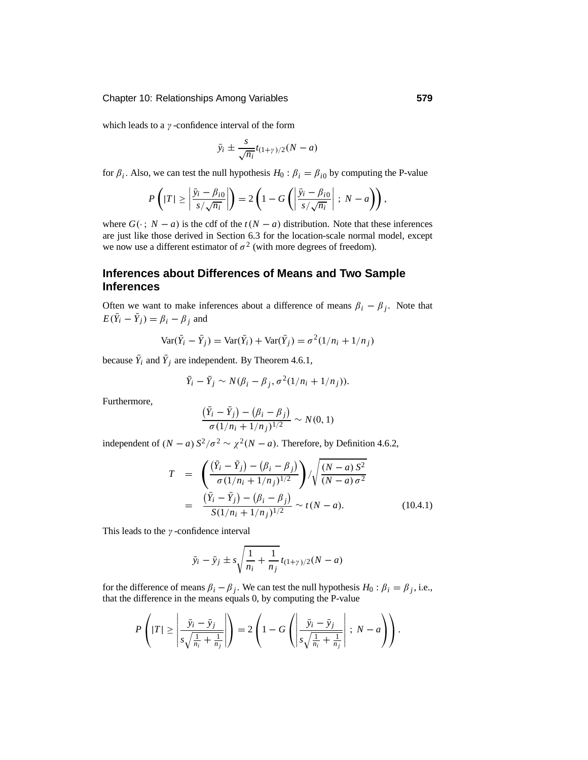#### Chapter 10: Relationships Among Variables **579**

which leads to a  $\gamma$ -confidence interval of the form

$$
\bar{y}_i \pm \frac{s}{\sqrt{n_i}} t_{(1+\gamma)/2}(N-a)
$$

for  $\beta_i$ . Also, we can test the null hypothesis  $H_0: \beta_i = \beta_{i0}$  by computing the P-value

$$
P\left(|T| \geq \left|\frac{\bar{y}_i - \beta_{i0}}{s/\sqrt{n_i}}\right|\right) = 2\left(1 - G\left(\left|\frac{\bar{y}_i - \beta_{i0}}{s/\sqrt{n_i}}\right|; N - a\right)\right),
$$

where  $G(\cdot; N - a)$  is the cdf of the  $t(N - a)$  distribution. Note that these inferences are just like those derived in Section 6.3 for the location-scale normal model, except we now use a different estimator of  $\sigma^2$  (with more degrees of freedom).

# **Inferences about Differences of Means and Two Sample Inferences**

Often we want to make inferences about a difference of means  $\beta_i - \beta_j$ . Note that  $E(\bar{Y}_i - \bar{Y}_j) = \beta_i - \beta_j$  and

$$
\text{Var}(\bar{Y}_i - \bar{Y}_j) = \text{Var}(\bar{Y}_i) + \text{Var}(\bar{Y}_j) = \sigma^2(1/n_i + 1/n_j)
$$

because  $\bar{Y}_i$  and  $\bar{Y}_j$  are independent. By Theorem 4.6.1,

$$
\bar{Y}_i - \bar{Y}_j \sim N(\beta_i - \beta_j, \sigma^2(1/n_i + 1/n_j)).
$$

Furthermore,

$$
\frac{(\bar{Y}_i - \bar{Y}_j) - (\beta_i - \beta_j)}{\sigma (1/n_i + 1/n_j)^{1/2}} \sim N(0, 1)
$$

independent of  $(N - a) S^2/\sigma^2 \sim \chi^2(N - a)$ . Therefore, by Definition 4.6.2,

$$
T = \left( \frac{(\bar{Y}_i - \bar{Y}_j) - (\beta_i - \beta_j)}{\sigma (1/n_i + 1/n_j)^{1/2}} \right) / \sqrt{\frac{(N - a) S^2}{(N - a) \sigma^2}}
$$
  
= 
$$
\frac{(\bar{Y}_i - \bar{Y}_j) - (\beta_i - \beta_j)}{S (1/n_i + 1/n_j)^{1/2}} \sim t(N - a).
$$
 (10.4.1)

This leads to the  $\gamma$ -confidence interval

$$
\bar{y}_i - \bar{y}_j \pm s \sqrt{\frac{1}{n_i} + \frac{1}{n_j}} t_{(1+\gamma)/2}(N - a)
$$

for the difference of means  $\beta_i - \beta_j$ . We can test the null hypothesis  $H_0: \beta_i = \beta_j$ , i.e., that the difference in the means equals 0, by computing the P-value

$$
P\left(|T| \ge \left|\frac{\bar{y}_i - \bar{y}_j}{s\sqrt{\frac{1}{n_i} + \frac{1}{n_j}}}\right|\right) = 2\left(1 - G\left(\left|\frac{\bar{y}_i - \bar{y}_j}{s\sqrt{\frac{1}{n_i} + \frac{1}{n_j}}}\right| ; N - a\right)\right).
$$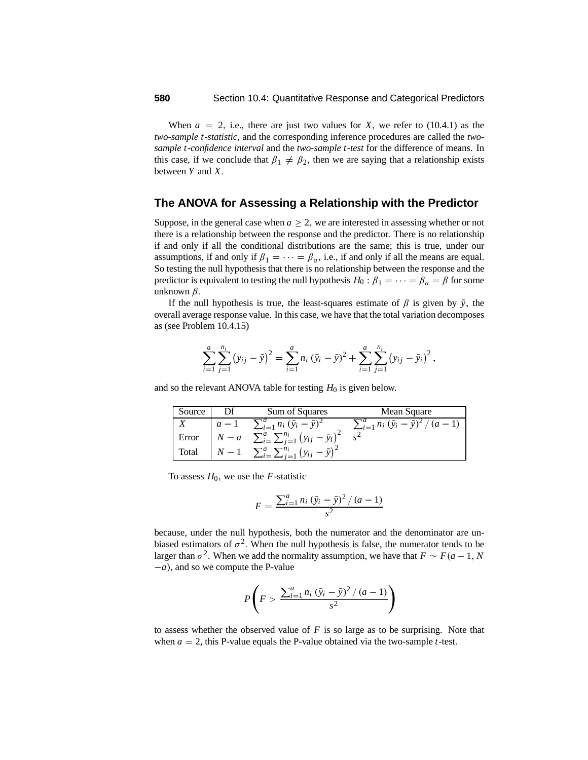When  $a = 2$ , i.e., there are just two values for *X*, we refer to (10.4.1) as the *two-sample t-statistic*, and the corresponding inference procedures are called the *twosample t-confidence interval* and the *two-sample t-test* for the difference of means. In this case, if we conclude that  $\beta_1 \neq \beta_2$ , then we are saying that a relationship exists between *Y* and *X*.

#### **The ANOVA for Assessing a Relationship with the Predictor**

Suppose, in the general case when  $a > 2$ , we are interested in assessing whether or not there is a relationship between the response and the predictor. There is no relationship if and only if all the conditional distributions are the same; this is true, under our assumptions, if and only if  $\beta_1 = \cdots = \beta_a$ , i.e., if and only if all the means are equal. So testing the null hypothesis that there is no relationship between the response and the predictor is equivalent to testing the null hypothesis  $H_0: \beta_1 = \cdots = \beta_a = \beta$  for some unknown  $\beta$ .

If the null hypothesis is true, the least-squares estimate of  $\beta$  is given by  $\bar{y}$ , the overall average response value. In this case, we have that the total variation decomposes as (see Problem 10.4.15)

$$
\sum_{i=1}^{a} \sum_{j=1}^{n_i} (y_{ij} - \bar{y})^2 = \sum_{i=1}^{a} n_i (\bar{y}_i - \bar{y})^2 + \sum_{i=1}^{a} \sum_{j=1}^{n_i} (y_{ij} - \bar{y}_i)^2,
$$

and so the relevant ANOVA table for testing  $H_0$  is given below.

| Source | Df      | Sum of Squares                                               | Mean Square                                          |
|--------|---------|--------------------------------------------------------------|------------------------------------------------------|
|        | $a-1$   | $\sum_{i=1}^{a} n_i (\bar{y}_i - \bar{y})^2$                 | $\sum_{i=1}^{a} n_i (\bar{y}_i - \bar{y})^2 / (a-1)$ |
| Error  | $N - a$ | $\sum_{i=1}^{a} \sum_{j=1}^{n_i} (y_{ij} - \bar{y}_i)^2$     |                                                      |
| Total  |         | $N-1$ $\sum_{i=1}^{a} \sum_{j=1}^{n_i} (y_{ij} - \bar{y})^2$ |                                                      |

To assess  $H_0$ , we use the *F*-statistic

$$
F = \frac{\sum_{i=1}^{a} n_i (\bar{y}_i - \bar{y})^2 / (a - 1)}{s^2}
$$

because, under the null hypothesis, both the numerator and the denominator are unbiased estimators of  $\sigma^2$ . When the null hypothesis is false, the numerator tends to be larger than  $\sigma^2$ . When we add the normality assumption, we have that  $F \sim F(a-1, N)$ <sup>−</sup>*a*), and so we compute the P-value

$$
P\left(F > \frac{\sum_{i=1}^{a} n_i (\bar{y}_i - \bar{y})^2 / (a-1)}{s^2}\right)
$$

to assess whether the observed value of *F* is so large as to be surprising. Note that when  $a = 2$ , this P-value equals the P-value obtained via the two-sample *t*-test.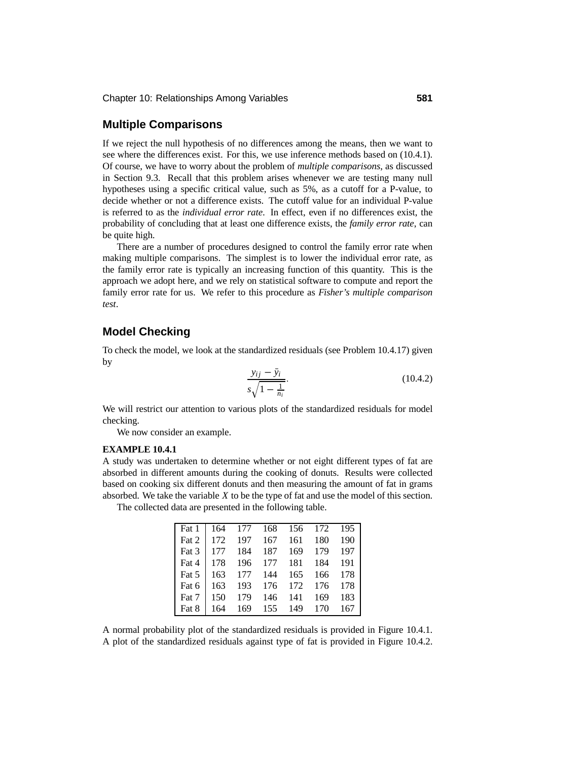#### **Multiple Comparisons**

If we reject the null hypothesis of no differences among the means, then we want to see where the differences exist. For this, we use inference methods based on (10.4.1). Of course, we have to worry about the problem of *multiple comparisons*, as discussed in Section 9.3. Recall that this problem arises whenever we are testing many null hypotheses using a specific critical value, such as 5%, as a cutoff for a P-value, to decide whether or not a difference exists. The cutoff value for an individual P-value is referred to as the *individual error rate*. In effect, even if no differences exist, the probability of concluding that at least one difference exists, the *family error rate*, can be quite high.

There are a number of procedures designed to control the family error rate when making multiple comparisons. The simplest is to lower the individual error rate, as the family error rate is typically an increasing function of this quantity. This is the approach we adopt here, and we rely on statistical software to compute and report the family error rate for us. We refer to this procedure as *Fisher's multiple comparison test*.

# **Model Checking**

To check the model, we look at the standardized residuals (see Problem 10.4.17) given by

$$
\frac{y_{ij} - \bar{y}_i}{s\sqrt{1 - \frac{1}{n_i}}}.
$$
\n(10.4.2)

We will restrict our attention to various plots of the standardized residuals for model checking.

We now consider an example.

#### **EXAMPLE 10.4.1**

A study was undertaken to determine whether or not eight different types of fat are absorbed in different amounts during the cooking of donuts. Results were collected based on cooking six different donuts and then measuring the amount of fat in grams absorbed. We take the variable *X* to be the type of fat and use the model of this section.

The collected data are presented in the following table.

| Fat 1 | 164 | 177 | 168  | 156 | 172 | 195 |
|-------|-----|-----|------|-----|-----|-----|
| Fat 2 | 172 | 197 | 167  | 161 | 180 | 190 |
| Fat 3 | 177 | 184 | 187  | 169 | 179 | 197 |
| Fat 4 | 178 | 196 | 177  | 181 | 184 | 191 |
| Fat 5 | 163 | 177 | 144  | 165 | 166 | 178 |
| Fat 6 | 163 | 193 | 176  | 172 | 176 | 178 |
| Fat 7 | 150 | 179 | 146  | 141 | 169 | 183 |
| Fat 8 | 164 | 169 | 155. | 149 | 170 | 167 |

A normal probability plot of the standardized residuals is provided in Figure 10.4.1. A plot of the standardized residuals against type of fat is provided in Figure 10.4.2.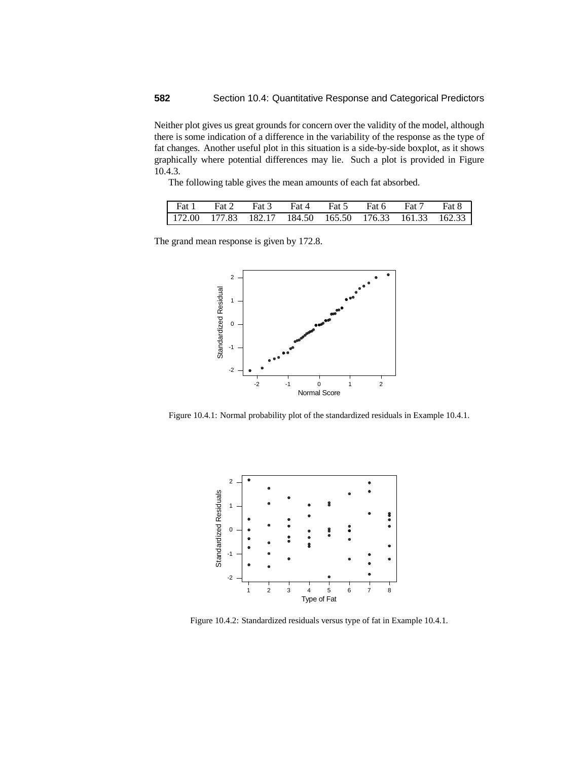Neither plot gives us great grounds for concern over the validity of the model, although there is some indication of a difference in the variability of the response as the type of fat changes. Another useful plot in this situation is a side-by-side boxplot, as it shows graphically where potential differences may lie. Such a plot is provided in Figure 10.4.3.

The following table gives the mean amounts of each fat absorbed.

|  | Fat 1 Fat 2 Fat 3 Fat 4 Fat 5 Fat 6 Fat 7               |  |  | Fat 8 |
|--|---------------------------------------------------------|--|--|-------|
|  | 172.00 177.83 182.17 184.50 165.50 176.33 161.33 162.33 |  |  |       |

The grand mean response is given by 172.8.



Figure 10.4.1: Normal probability plot of the standardized residuals in Example 10.4.1.



Figure 10.4.2: Standardized residuals versus type of fat in Example 10.4.1.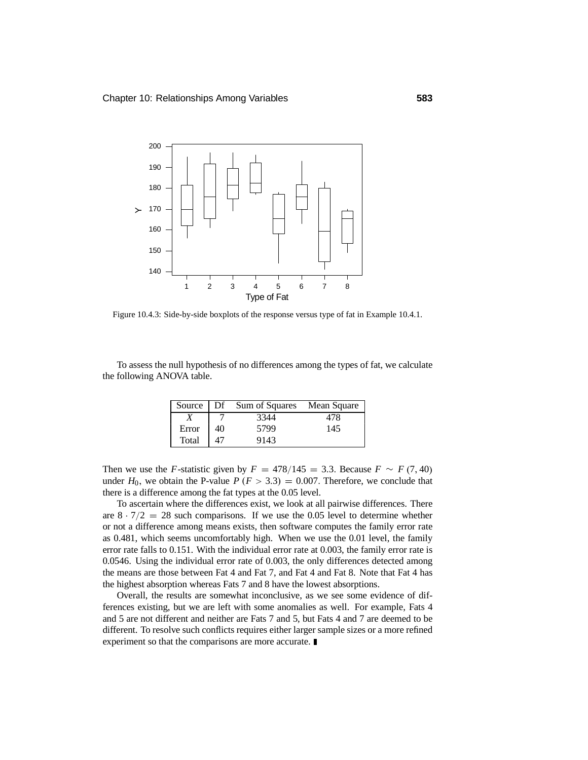

Figure 10.4.3: Side-by-side boxplots of the response versus type of fat in Example 10.4.1.

To assess the null hypothesis of no differences among the types of fat, we calculate the following ANOVA table.

| Source | Df | Sum of Squares Mean Square |     |
|--------|----|----------------------------|-----|
|        |    | 3344                       | 478 |
| Error  | 40 | 5799                       | 145 |
| Total  |    | 9143                       |     |

Then we use the *F*-statistic given by  $F = 478/145 = 3.3$ . Because  $F \sim F(7, 40)$ under  $H_0$ , we obtain the P-value  $P (F > 3.3) = 0.007$ . Therefore, we conclude that there is a difference among the fat types at the 0.05 level.

To ascertain where the differences exist, we look at all pairwise differences. There are  $8 \cdot 7/2 = 28$  such comparisons. If we use the 0.05 level to determine whether or not a difference among means exists, then software computes the family error rate as 0.481, which seems uncomfortably high. When we use the 0.01 level, the family error rate falls to 0.151. With the individual error rate at 0.003, the family error rate is 0.0546. Using the individual error rate of 0.003, the only differences detected among the means are those between Fat 4 and Fat 7, and Fat 4 and Fat 8. Note that Fat 4 has the highest absorption whereas Fats 7 and 8 have the lowest absorptions.

Overall, the results are somewhat inconclusive, as we see some evidence of differences existing, but we are left with some anomalies as well. For example, Fats 4 and 5 are not different and neither are Fats 7 and 5, but Fats 4 and 7 are deemed to be different. To resolve such conflicts requires either larger sample sizes or a more refined experiment so that the comparisons are more accurate.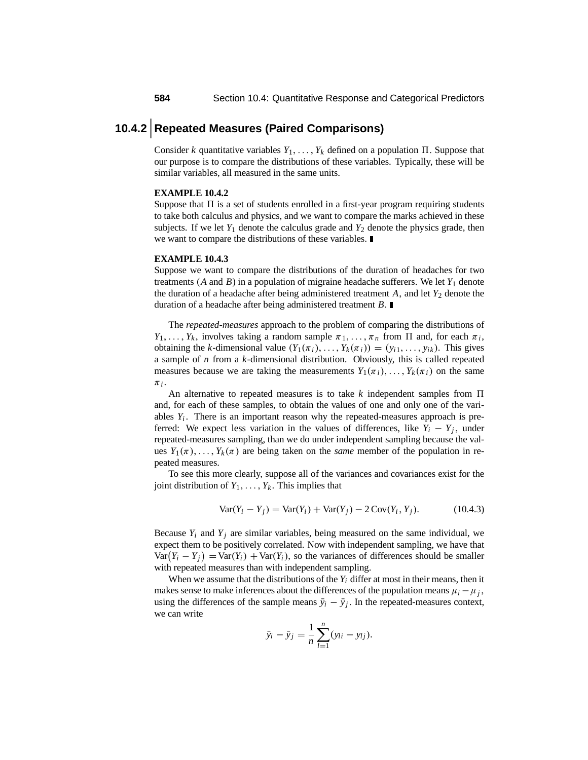# **10.4.2 Repeated Measures (Paired Comparisons)**

Consider *k* quantitative variables  $Y_1, \ldots, Y_k$  defined on a population  $\Pi$ . Suppose that our purpose is to compare the distributions of these variables. Typically, these will be similar variables, all measured in the same units.

### **EXAMPLE 10.4.2**

Suppose that  $\Pi$  is a set of students enrolled in a first-year program requiring students to take both calculus and physics, and we want to compare the marks achieved in these subjects. If we let  $Y_1$  denote the calculus grade and  $Y_2$  denote the physics grade, then we want to compare the distributions of these variables.

### **EXAMPLE 10.4.3**

Suppose we want to compare the distributions of the duration of headaches for two treatments ( $A$  and  $B$ ) in a population of migraine headache sufferers. We let  $Y_1$  denote the duration of a headache after being administered treatment  $A$ , and let  $Y_2$  denote the duration of a headache after being administered treatment *B*.

The *repeated-measures* approach to the problem of comparing the distributions of *Y*<sub>1</sub>,..., *Y*<sub>k</sub>, involves taking a random sample  $\pi_1, \ldots, \pi_n$  from  $\Pi$  and, for each  $\pi_i$ , obtaining the *k*-dimensional value  $(Y_1(\pi_i), \ldots, Y_k(\pi_i)) = (y_{i1}, \ldots, y_{ik})$ . This gives a sample of *n* from a *k*-dimensional distribution. Obviously, this is called repeated measures because we are taking the measurements  $Y_1(\pi_i), \ldots, Y_k(\pi_i)$  on the same π*<sup>i</sup>* .

An alternative to repeated measures is to take  $k$  independent samples from  $\Pi$ and, for each of these samples, to obtain the values of one and only one of the variables  $Y_i$ . There is an important reason why the repeated-measures approach is preferred: We expect less variation in the values of differences, like  $Y_i - Y_j$ , under repeated-measures sampling, than we do under independent sampling because the values  $Y_1(\pi)$ , ...,  $Y_k(\pi)$  are being taken on the *same* member of the population in repeated measures.

To see this more clearly, suppose all of the variances and covariances exist for the joint distribution of  $Y_1, \ldots, Y_k$ . This implies that

$$
Var(Y_i - Y_j) = Var(Y_i) + Var(Y_j) - 2Cov(Y_i, Y_j).
$$
 (10.4.3)

Because  $Y_i$  and  $Y_j$  are similar variables, being measured on the same individual, we expect them to be positively correlated. Now with independent sampling, we have that  $Var(Y_i - Y_j) = Var(Y_i) + Var(Y_i)$ , so the variances of differences should be smaller with repeated measures than with independent sampling.

When we assume that the distributions of the  $Y_i$  differ at most in their means, then it makes sense to make inferences about the differences of the population means  $\mu_i - \mu_j$ , using the differences of the sample means  $\bar{y}_i - \bar{y}_j$ . In the repeated-measures context, we can write

$$
\bar{y}_i - \bar{y}_j = \frac{1}{n} \sum_{l=1}^n (y_{li} - y_{lj}).
$$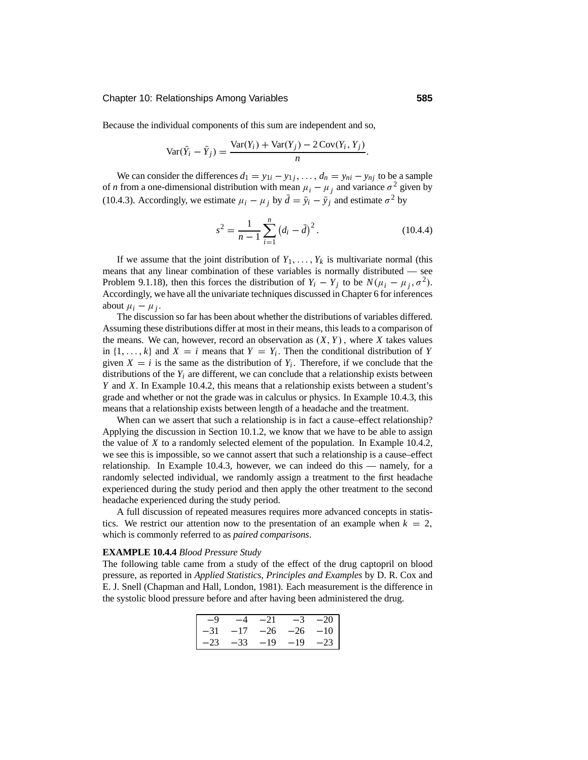Because the individual components of this sum are independent and so,

$$
\text{Var}(\bar{Y}_i - \bar{Y}_j) = \frac{\text{Var}(Y_i) + \text{Var}(Y_j) - 2\text{Cov}(Y_i, Y_j)}{n}.
$$

We can consider the differences  $d_1 = y_{1i} - y_{1j}, \ldots, d_n = y_{ni} - y_{nj}$  to be a sample of *n* from a one-dimensional distribution with mean  $\mu_i - \mu_j$  and variance  $\sigma^2$  given by (10.4.3). Accordingly, we estimate  $\mu_i - \mu_j$  by  $\bar{d} = \bar{y}_i - \bar{y}_j$  and estimate  $\sigma^2$  by

$$
s^{2} = \frac{1}{n-1} \sum_{i=1}^{n} (d_{i} - \bar{d})^{2}.
$$
 (10.4.4)

If we assume that the joint distribution of  $Y_1, \ldots, Y_k$  is multivariate normal (this means that any linear combination of these variables is normally distributed — see Problem 9.1.18), then this forces the distribution of  $Y_i - Y_j$  to be  $N(\mu_i - \mu_j, \sigma^2)$ . Accordingly, we have all the univariate techniques discussed in Chapter 6 for inferences about  $\mu_i - \mu_j$ .

The discussion so far has been about whether the distributions of variables differed. Assuming these distributions differ at most in their means, this leads to a comparison of the means. We can, however, record an observation as  $(X, Y)$ , where *X* takes values in  $\{1,\ldots,k\}$  and  $X = i$  means that  $Y = Y_i$ . Then the conditional distribution of Y given  $X = i$  is the same as the distribution of  $Y_i$ . Therefore, if we conclude that the distributions of the  $Y_i$  are different, we can conclude that a relationship exists between *Y* and *X*. In Example 10.4.2, this means that a relationship exists between a student's grade and whether or not the grade was in calculus or physics. In Example 10.4.3, this means that a relationship exists between length of a headache and the treatment.

When can we assert that such a relationship is in fact a cause–effect relationship? Applying the discussion in Section 10.1.2, we know that we have to be able to assign the value of *X* to a randomly selected element of the population. In Example 10.4.2, we see this is impossible, so we cannot assert that such a relationship is a cause–effect relationship. In Example 10.4.3, however, we can indeed do this — namely, for a randomly selected individual, we randomly assign a treatment to the first headache experienced during the study period and then apply the other treatment to the second headache experienced during the study period.

A full discussion of repeated measures requires more advanced concepts in statistics. We restrict our attention now to the presentation of an example when  $k = 2$ , which is commonly referred to as *paired comparisons*.

### **EXAMPLE 10.4.4** *Blood Pressure Study*

The following table came from a study of the effect of the drug captopril on blood pressure, as reported in *Applied Statistics, Principles and Examples* by D. R. Cox and E. J. Snell (Chapman and Hall, London, 1981). Each measurement is the difference in the systolic blood pressure before and after having been administered the drug.

| -9                                                          |                               | $-4$ $-21$ | $-3$ $-20$ |
|-------------------------------------------------------------|-------------------------------|------------|------------|
|                                                             | $-31$ $-17$ $-26$ $-26$ $-10$ |            |            |
| $\begin{vmatrix} -23 & -33 & -19 & -19 & -23 \end{vmatrix}$ |                               |            |            |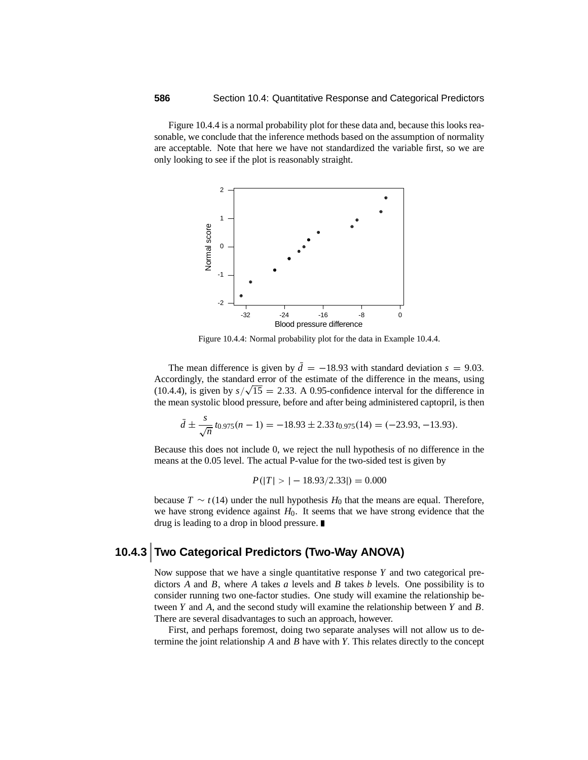Figure 10.4.4 is a normal probability plot for these data and, because this looks reasonable, we conclude that the inference methods based on the assumption of normality are acceptable. Note that here we have not standardized the variable first, so we are only looking to see if the plot is reasonably straight.



Figure 10.4.4: Normal probability plot for the data in Example 10.4.4.

The mean difference is given by  $\bar{d} = -18.93$  with standard deviation  $s = 9.03$ . Accordingly, the standard error of the estimate of the difference in the means, using (10.4.4), is given by  $s/\sqrt{15} = 2.33$ . A 0.95-confidence interval for the difference in the mean systolic blood pressure, before and after being administered captopril, is then

$$
\bar{d} \pm \frac{s}{\sqrt{n}} t_{0.975}(n-1) = -18.93 \pm 2.33 t_{0.975}(14) = (-23.93, -13.93).
$$

Because this does not include 0, we reject the null hypothesis of no difference in the means at the 0.05 level. The actual P-value for the two-sided test is given by

$$
P(|T| > |-18.93/2.33|) = 0.000
$$

because  $T \sim t(14)$  under the null hypothesis  $H_0$  that the means are equal. Therefore, we have strong evidence against *H*0. It seems that we have strong evidence that the drug is leading to a drop in blood pressure.

# **10.4.3 Two Categorical Predictors (Two-Way ANOVA)**

Now suppose that we have a single quantitative response *Y* and two categorical predictors *A* and *B*, where *A* takes *a* levels and *B* takes *b* levels. One possibility is to consider running two one-factor studies. One study will examine the relationship between *Y* and *A*, and the second study will examine the relationship between *Y* and *B*. There are several disadvantages to such an approach, however.

First, and perhaps foremost, doing two separate analyses will not allow us to determine the joint relationship *A* and *B* have with *Y*. This relates directly to the concept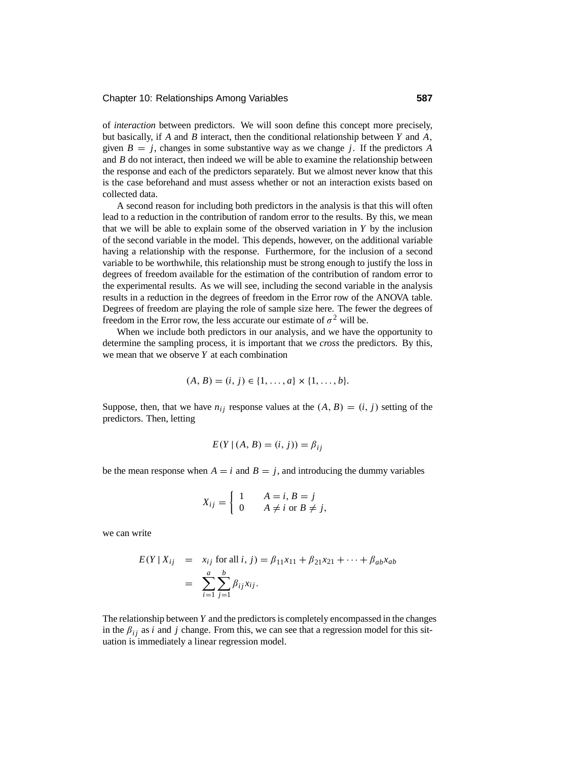of *interaction* between predictors. We will soon define this concept more precisely, but basically, if *A* and *B* interact, then the conditional relationship between *Y* and *A*, given  $B = j$ , changes in some substantive way as we change *j*. If the predictors *A* and *B* do not interact, then indeed we will be able to examine the relationship between the response and each of the predictors separately. But we almost never know that this is the case beforehand and must assess whether or not an interaction exists based on collected data.

A second reason for including both predictors in the analysis is that this will often lead to a reduction in the contribution of random error to the results. By this, we mean that we will be able to explain some of the observed variation in *Y* by the inclusion of the second variable in the model. This depends, however, on the additional variable having a relationship with the response. Furthermore, for the inclusion of a second variable to be worthwhile, this relationship must be strong enough to justify the loss in degrees of freedom available for the estimation of the contribution of random error to the experimental results. As we will see, including the second variable in the analysis results in a reduction in the degrees of freedom in the Error row of the ANOVA table. Degrees of freedom are playing the role of sample size here. The fewer the degrees of freedom in the Error row, the less accurate our estimate of  $\sigma^2$  will be.

When we include both predictors in our analysis, and we have the opportunity to determine the sampling process, it is important that we *cross* the predictors. By this, we mean that we observe *Y* at each combination

$$
(A, B) = (i, j) \in \{1, \ldots, a\} \times \{1, \ldots, b\}.
$$

Suppose, then, that we have  $n_{ij}$  response values at the  $(A, B) = (i, j)$  setting of the predictors. Then, letting

$$
E(Y | (A, B) = (i, j)) = \beta_{ij}
$$

be the mean response when  $A = i$  and  $B = j$ , and introducing the dummy variables

$$
X_{ij} = \begin{cases} 1 & A = i, B = j \\ 0 & A \neq i \text{ or } B \neq j, \end{cases}
$$

we can write

$$
E(Y | X_{ij} = x_{ij} \text{ for all } i, j) = \beta_{11} x_{11} + \beta_{21} x_{21} + \dots + \beta_{ab} x_{ab}
$$
  
= 
$$
\sum_{i=1}^{a} \sum_{j=1}^{b} \beta_{ij} x_{ij}.
$$

The relationship between *Y* and the predictors is completely encompassed in the changes in the  $\beta_{ij}$  as *i* and *j* change. From this, we can see that a regression model for this situation is immediately a linear regression model.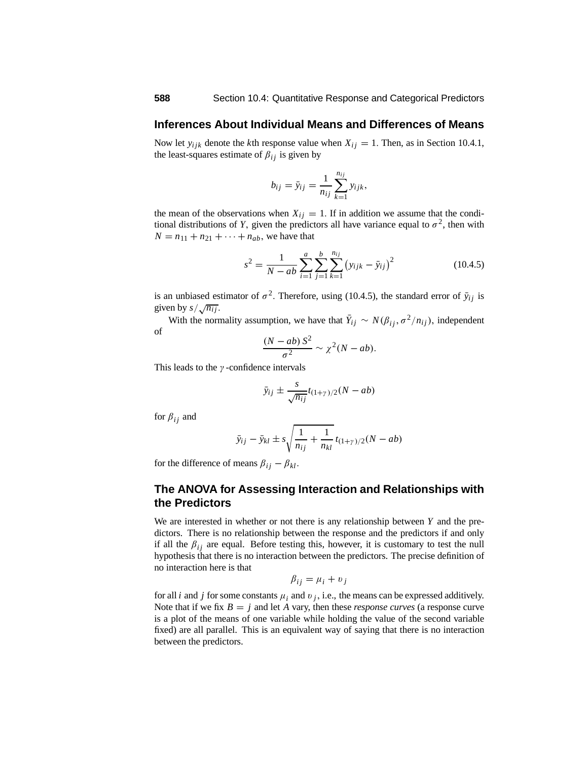### **Inferences About Individual Means and Differences of Means**

Now let  $y_{ijk}$  denote the *k*th response value when  $X_{ij} = 1$ . Then, as in Section 10.4.1, the least-squares estimate of  $\beta_{ij}$  is given by

$$
b_{ij} = \bar{y}_{ij} = \frac{1}{n_{ij}} \sum_{k=1}^{n_{ij}} y_{ijk},
$$

the mean of the observations when  $X_{ij} = 1$ . If in addition we assume that the conditional distributions of *Y*, given the predictors all have variance equal to  $\sigma^2$ , then with  $N = n_{11} + n_{21} + \cdots + n_{ab}$ , we have that

$$
s^{2} = \frac{1}{N - ab} \sum_{i=1}^{a} \sum_{j=1}^{b} \sum_{k=1}^{n_{ij}} (y_{ijk} - \bar{y}_{ij})^{2}
$$
 (10.4.5)

is an unbiased estimator of  $\sigma^2$ . Therefore, using (10.4.5), the standard error of  $\bar{y}_{ij}$  is given by  $s/\sqrt{n_{ij}}$ .

With the normality assumption, we have that  $\bar{Y}_{ij} \sim N(\beta_{ij}, \sigma^2/n_{ij})$ , independent of

$$
\frac{(N-ab) S^2}{\sigma^2} \sim \chi^2(N-ab).
$$

This leads to the  $\gamma$ -confidence intervals

$$
\bar{y}_{ij} \pm \frac{s}{\sqrt{n_{ij}}} t_{(1+\gamma)/2}(N - ab)
$$

for  $\beta_{ij}$  and

$$
\bar{y}_{ij} - \bar{y}_{kl} \pm s \sqrt{\frac{1}{n_{ij}} + \frac{1}{n_{kl}}} t_{(1+\gamma)/2}(N - ab)
$$

for the difference of means  $\beta_{ij} - \beta_{kl}$ .

# **The ANOVA for Assessing Interaction and Relationships with the Predictors**

We are interested in whether or not there is any relationship between *Y* and the predictors. There is no relationship between the response and the predictors if and only if all the  $\beta_{ij}$  are equal. Before testing this, however, it is customary to test the null hypothesis that there is no interaction between the predictors. The precise definition of no interaction here is that

$$
\beta_{ij} = \mu_i + v_j
$$

for all *i* and *j* for some constants  $\mu_i$  and  $v_j$ , i.e., the means can be expressed additively. Note that if we fix  $B = j$  and let A vary, then these *response curves* (a response curve is a plot of the means of one variable while holding the value of the second variable fixed) are all parallel. This is an equivalent way of saying that there is no interaction between the predictors.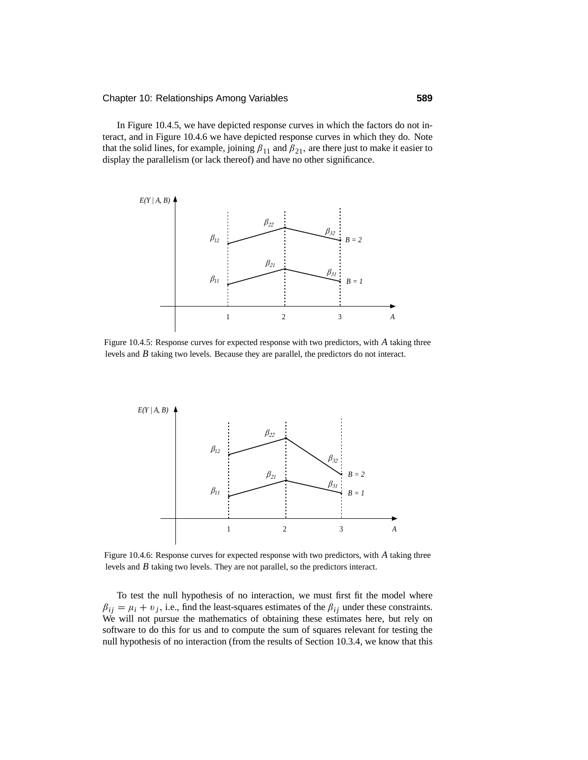In Figure 10.4.5, we have depicted response curves in which the factors do not interact, and in Figure 10.4.6 we have depicted response curves in which they do. Note that the solid lines, for example, joining  $\beta_{11}$  and  $\beta_{21}$ , are there just to make it easier to display the parallelism (or lack thereof) and have no other significance.



Figure 10.4.5: Response curves for expected response with two predictors, with *A* taking three levels and *B* taking two levels. Because they are parallel, the predictors do not interact.



Figure 10.4.6: Response curves for expected response with two predictors, with *A* taking three levels and *B* taking two levels. They are not parallel, so the predictors interact.

To test the null hypothesis of no interaction, we must first fit the model where  $β_{ij} = μ_i + v_j$ , i.e., find the least-squares estimates of the  $β_{ij}$  under these constraints. We will not pursue the mathematics of obtaining these estimates here, but rely on software to do this for us and to compute the sum of squares relevant for testing the null hypothesis of no interaction (from the results of Section 10.3.4, we know that this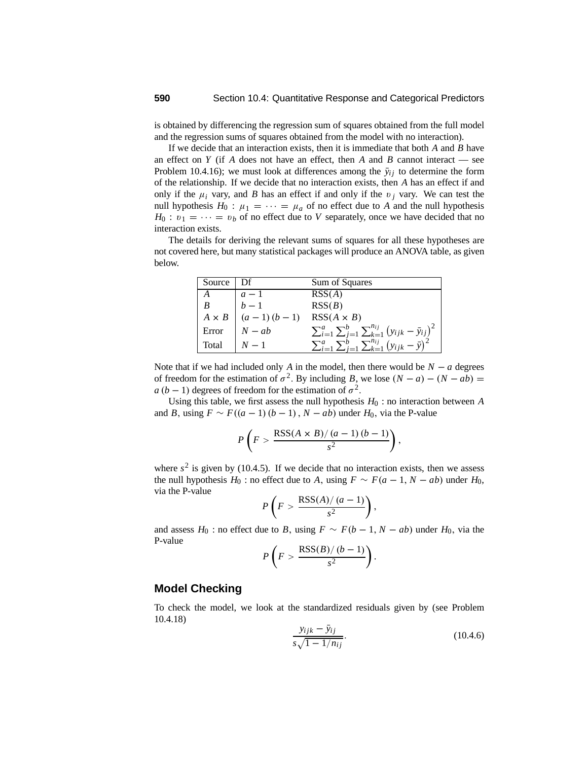is obtained by differencing the regression sum of squares obtained from the full model and the regression sums of squares obtained from the model with no interaction).

If we decide that an interaction exists, then it is immediate that both *A* and *B* have an effect on *Y* (if *A* does not have an effect, then *A* and *B* cannot interact — see Problem 10.4.16); we must look at differences among the  $\bar{y}_{ij}$  to determine the form of the relationship. If we decide that no interaction exists, then *A* has an effect if and only if the  $\mu_i$  vary, and *B* has an effect if and only if the  $v_i$  vary. We can test the null hypothesis  $H_0$ :  $\mu_1 = \cdots = \mu_a$  of no effect due to A and the null hypothesis  $H_0: v_1 = \cdots = v_b$  of no effect due to *V* separately, once we have decided that no interaction exists.

The details for deriving the relevant sums of squares for all these hypotheses are not covered here, but many statistical packages will produce an ANOVA table, as given below.

| Source       | Df           | Sum of Squares                                                                 |
|--------------|--------------|--------------------------------------------------------------------------------|
|              | $a-1$        | RSS(A)                                                                         |
|              |              | RSS(B)                                                                         |
| $A \times B$ | $(a-1)(b-1)$ | $RSS(A \times B)$                                                              |
| Error        | $N - ab$     | $\sum_{i=1}^{a} \sum_{j=1}^{b} \sum_{k=1}^{n_{ij}} (y_{ijk} - \bar{y}_{ij})^2$ |
| Total        |              | $\sum_{i=1}^{a} \sum_{j=1}^{b} \sum_{k=1}^{n_{ij}} (y_{ijk} - \frac{1}{2})$    |

Note that if we had included only *A* in the model, then there would be  $N - a$  degrees of freedom for the estimation of  $\sigma^2$ . By including *B*, we lose  $(N - a) - (N - ab) =$  $a (b - 1)$  degrees of freedom for the estimation of  $\sigma^2$ .

Using this table, we first assess the null hypothesis  $H_0$ : no interaction between  $A$ and *B*, using  $F \sim F((a-1)(b-1), N-ab)$  under  $H_0$ , via the P-value

$$
P\left(F > \frac{\text{RSS}(A \times B)/(a-1)(b-1)}{s^2}\right),\
$$

where  $s^2$  is given by (10.4.5). If we decide that no interaction exists, then we assess the null hypothesis *H*<sup>0</sup> : no effect due to *A*, using  $F ∼ F(a - 1, N - ab)$  under *H*<sup>0</sup>, via the P-value

$$
P\left(F > \frac{\text{RSS}(A)/(a-1)}{s^2}\right),\
$$

and assess  $H_0$ : no effect due to *B*, using  $F \sim F(b-1, N-ab)$  under  $H_0$ , via the P-value

$$
P\left(F > \frac{\text{RSS}(B)/(b-1)}{s^2}\right).
$$

# **Model Checking**

To check the model, we look at the standardized residuals given by (see Problem 10.4.18)

$$
\frac{y_{ijk} - \bar{y}_{ij}}{s\sqrt{1 - 1/n_{ij}}}.
$$
\n(10.4.6)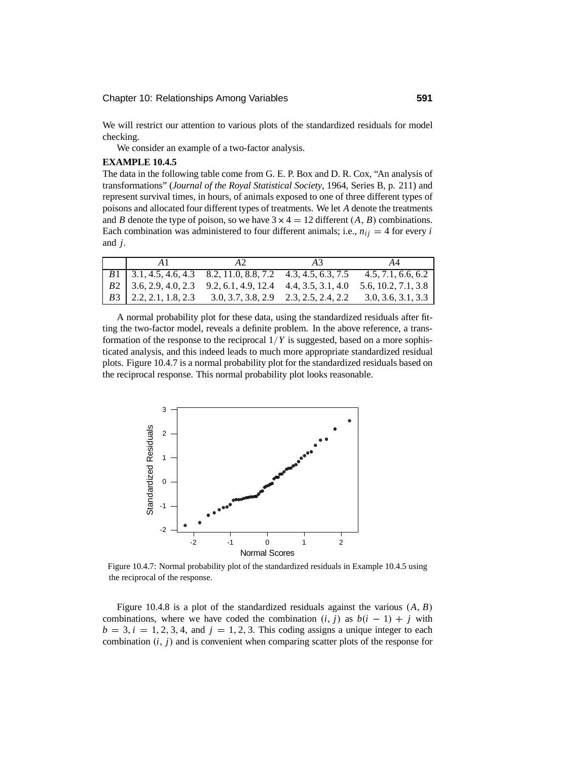We will restrict our attention to various plots of the standardized residuals for model checking.

We consider an example of a two-factor analysis.

#### **EXAMPLE 10.4.5**

The data in the following table come from G. E. P. Box and D. R. Cox, "An analysis of transformations" (*Journal of the Royal Statistical Society*, 1964, Series B, p. 211) and represent survival times, in hours, of animals exposed to one of three different types of poisons and allocated four different types of treatments. We let *A* denote the treatments and *B* denote the type of poison, so we have  $3 \times 4 = 12$  different  $(A, B)$  combinations. Each combination was administered to four different animals; i.e.,  $n_{ij} = 4$  for every *i* and *j*.

|                              | A 2.                                                             | A3.                                       | A4                  |
|------------------------------|------------------------------------------------------------------|-------------------------------------------|---------------------|
|                              | $B1$   3.1, 4.5, 4.6, 4.3 8.2, 11.0, 8.8, 7.2 4.3, 4.5, 6.3, 7.5 |                                           | 4.5, 7.1, 6.6, 6.2  |
|                              | $B2$   3.6, 2.9, 4.0, 2.3 9.2, 6.1, 4.9, 12.4 4.4, 3.5, 3.1, 4.0 |                                           | 5.6, 10.2, 7.1, 3.8 |
| $B3 \mid 2.2, 2.1, 1.8, 2.3$ |                                                                  | $3.0, 3.7, 3.8, 2.9$ $2.3, 2.5, 2.4, 2.2$ | 3.0, 3.6, 3.1, 3.3  |

A normal probability plot for these data, using the standardized residuals after fitting the two-factor model, reveals a definite problem. In the above reference, a transformation of the response to the reciprocal 1/*Y* is suggested, based on a more sophisticated analysis, and this indeed leads to much more appropriate standardized residual plots. Figure 10.4.7 is a normal probability plot for the standardized residuals based on the reciprocal response. This normal probability plot looks reasonable.



Figure 10.4.7: Normal probability plot of the standardized residuals in Example 10.4.5 using the reciprocal of the response.

Figure 10.4.8 is a plot of the standardized residuals against the various (*A*, *B*) combinations, where we have coded the combination  $(i, j)$  as  $b(i - 1) + j$  with  $b = 3$ ,  $i = 1, 2, 3, 4$ , and  $j = 1, 2, 3$ . This coding assigns a unique integer to each combination (*i*, *j*) and is convenient when comparing scatter plots of the response for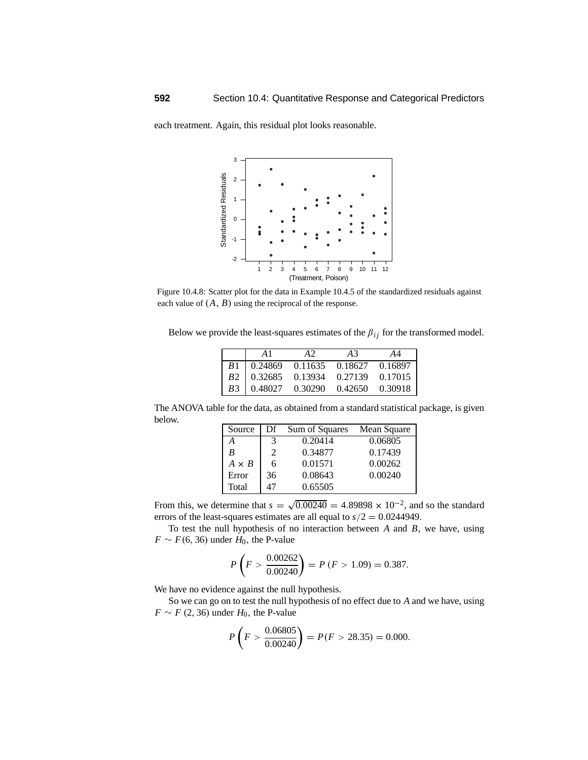each treatment. Again, this residual plot looks reasonable.



Figure 10.4.8: Scatter plot for the data in Example 10.4.5 of the standardized residuals against each value of (*A*, *B*) using the reciprocal of the response.

Below we provide the least-squares estimates of the  $\beta_{ij}$  for the transformed model.

|  | A1 | A2                                 | A3 | A4 |
|--|----|------------------------------------|----|----|
|  |    | B1 0.24869 0.11635 0.18627 0.16897 |    |    |
|  |    | 82 0.32685 0.13934 0.27139 0.17015 |    |    |
|  |    | 83 0.48027 0.30290 0.42650 0.30918 |    |    |

The ANOVA table for the data, as obtained from a standard statistical package, is given below.

| Source       | Df | Sum of Squares | Mean Square |
|--------------|----|----------------|-------------|
| А            | 3  | 0.20414        | 0.06805     |
| B            | 2  | 0.34877        | 0.17439     |
| $A \times B$ | 6  | 0.01571        | 0.00262     |
| Error        | 36 | 0.08643        | 0.00240     |
| Total        | 47 | 0.65505        |             |

From this, we determine that  $s = \sqrt{0.00240} = 4.89898 \times 10^{-2}$ , and so the standard errors of the least-squares estimates are all equal to  $s/2 = 0.0244949$ .

To test the null hypothesis of no interaction between *A* and *B*, we have, using  $F \sim F(6, 36)$  under  $H_0$ , the P-value

$$
P\left(F > \frac{0.00262}{0.00240}\right) = P\left(F > 1.09\right) = 0.387.
$$

We have no evidence against the null hypothesis.

So we can go on to test the null hypothesis of no effect due to *A* and we have, using *F* ∼ *F* (2, 36) under *H*<sub>0</sub>, the P-value

$$
P\left(F > \frac{0.06805}{0.00240}\right) = P(F > 28.35) = 0.000.
$$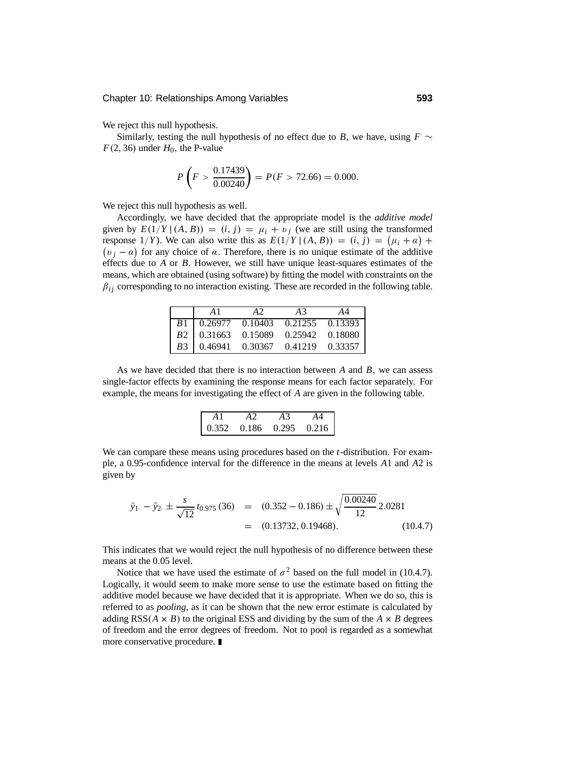We reject this null hypothesis.

Similarly, testing the null hypothesis of no effect due to *B*, we have, using  $F \sim$  $F(2, 36)$  under  $H_0$ , the P-value

$$
P\left(F > \frac{0.17439}{0.00240}\right) = P(F > 72.66) = 0.000.
$$

We reject this null hypothesis as well.

Accordingly, we have decided that the appropriate model is the *additive model* given by  $E(1/Y | (A, B)) = (i, j) = \mu_i + v_j$  (we are still using the transformed response  $1/Y$ ). We can also write this as  $E(1/Y | (A, B)) = (i, j) = (\mu_i + \alpha) + \beta$  $(v_j - a)$  for any choice of  $\alpha$ . Therefore, there is no unique estimate of the additive effects due to *A* or *B*. However, we still have unique least-squares estimates of the means, which are obtained (using software) by fitting the model with constraints on the  $\beta_{ij}$  corresponding to no interaction existing. These are recorded in the following table.

| A 1                                  | A <sub>2</sub> | A3 | A4 |
|--------------------------------------|----------------|----|----|
| 81   0.26977 0.10403 0.21255 0.13393 |                |    |    |
| $B2$ 0.31663 0.15089 0.25942 0.18080 |                |    |    |
| 83 0.46941 0.30367 0.41219 0.33357   |                |    |    |

As we have decided that there is no interaction between *A* and *B*, we can assess single-factor effects by examining the response means for each factor separately. For example, the means for investigating the effect of *A* are given in the following table.

| A 1   | $\Delta$ | AЗ    |       |
|-------|----------|-------|-------|
| 0.352 | 0.186    | 0.295 | 0.216 |

We can compare these means using procedures based on the *t*-distribution. For example, a 0.95-confidence interval for the difference in the means at levels *A*1 and *A*2 is given by

$$
\bar{y}_{1.} - \bar{y}_{2.} \pm \frac{s}{\sqrt{12}} t_{0.975} (36) = (0.352 - 0.186) \pm \sqrt{\frac{0.00240}{12}} 2.0281
$$
  
= (0.13732, 0.19468). (10.4.7)

This indicates that we would reject the null hypothesis of no difference between these means at the 0.05 level.

Notice that we have used the estimate of  $\sigma^2$  based on the full model in (10.4.7). Logically, it would seem to make more sense to use the estimate based on fitting the additive model because we have decided that it is appropriate. When we do so, this is referred to as *pooling*, as it can be shown that the new error estimate is calculated by adding  $RSS(A \times B)$  to the original ESS and dividing by the sum of the  $A \times B$  degrees of freedom and the error degrees of freedom. Not to pool is regarded as a somewhat more conservative procedure.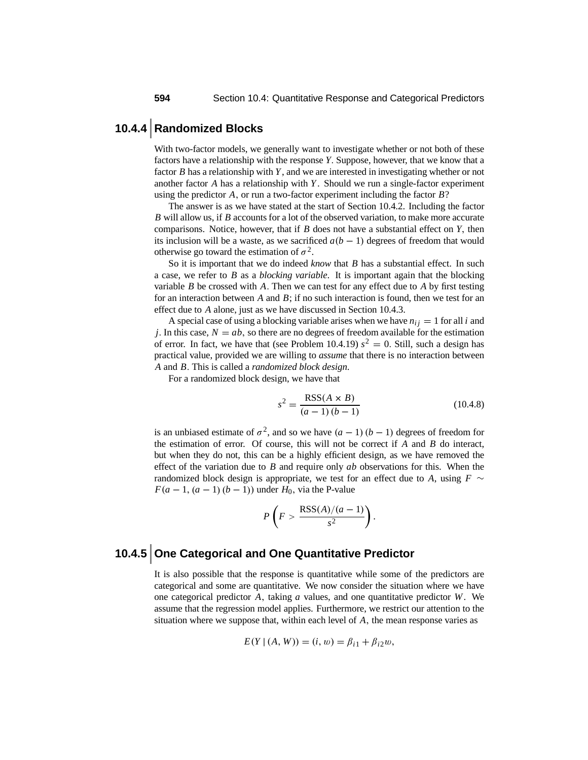# **10.4.4 Randomized Blocks**

With two-factor models, we generally want to investigate whether or not both of these factors have a relationship with the response *Y*. Suppose, however, that we know that a factor *B* has a relationship with *Y*, and we are interested in investigating whether or not another factor *A* has a relationship with *Y*. Should we run a single-factor experiment using the predictor *A*, or run a two-factor experiment including the factor *B*?

The answer is as we have stated at the start of Section 10.4.2. Including the factor *B* will allow us, if *B* accounts for a lot of the observed variation, to make more accurate comparisons. Notice, however, that if *B* does not have a substantial effect on *Y*, then its inclusion will be a waste, as we sacrificed  $a(b - 1)$  degrees of freedom that would otherwise go toward the estimation of  $\sigma^2$ .

So it is important that we do indeed *know* that *B* has a substantial effect. In such a case, we refer to *B* as a *blocking variable*. It is important again that the blocking variable *B* be crossed with *A*. Then we can test for any effect due to *A* by first testing for an interaction between *A* and *B*; if no such interaction is found, then we test for an effect due to *A* alone, just as we have discussed in Section 10.4.3.

A special case of using a blocking variable arises when we have  $n_{ij} = 1$  for all *i* and *j*. In this case,  $N = ab$ , so there are no degrees of freedom available for the estimation of error. In fact, we have that (see Problem 10.4.19)  $s^2 = 0$ . Still, such a design has practical value, provided we are willing to *assume* that there is no interaction between *A* and *B*. This is called a *randomized block design*.

For a randomized block design, we have that

$$
s^{2} = \frac{\text{RSS}(A \times B)}{(a-1)(b-1)}
$$
 (10.4.8)

is an unbiased estimate of  $\sigma^2$ , and so we have  $(a - 1)(b - 1)$  degrees of freedom for the estimation of error. Of course, this will not be correct if *A* and *B* do interact, but when they do not, this can be a highly efficient design, as we have removed the effect of the variation due to *B* and require only *ab* observations for this. When the randomized block design is appropriate, we test for an effect due to *A*, using  $F \sim$ *F*( $a - 1$ ,  $(a - 1)$ )  $(b - 1)$ ) under *H*<sub>0</sub>, via the P-value

$$
P\left(F > \frac{\text{RSS}(A)/(a-1)}{s^2}\right).
$$

# **10.4.5 One Categorical and One Quantitative Predictor**

It is also possible that the response is quantitative while some of the predictors are categorical and some are quantitative. We now consider the situation where we have one categorical predictor *A*, taking *a* values, and one quantitative predictor *W*. We assume that the regression model applies. Furthermore, we restrict our attention to the situation where we suppose that, within each level of *A*, the mean response varies as

$$
E(Y | (A, W)) = (i, w) = \beta_{i1} + \beta_{i2}w,
$$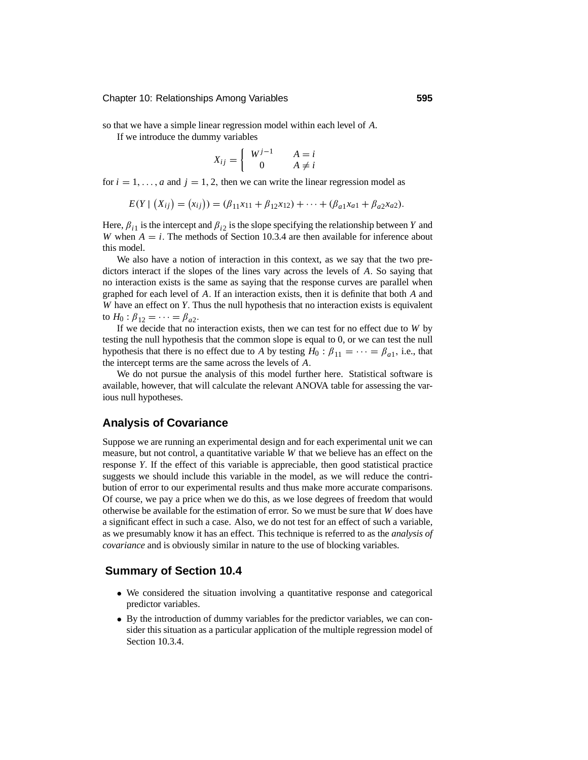so that we have a simple linear regression model within each level of *A*.

If we introduce the dummy variables

$$
X_{ij} = \begin{cases} W^{j-1} & A = i \\ 0 & A \neq i \end{cases}
$$

for  $i = 1, \ldots, a$  and  $j = 1, 2$ , then we can write the linear regression model as

$$
E(Y | (X_{ij}) = (x_{ij})) = (\beta_{11}x_{11} + \beta_{12}x_{12}) + \cdots + (\beta_{a1}x_{a1} + \beta_{a2}x_{a2}).
$$

Here,  $\beta_{i1}$  is the intercept and  $\beta_{i2}$  is the slope specifying the relationship between *Y* and *W* when  $A = i$ . The methods of Section 10.3.4 are then available for inference about this model.

We also have a notion of interaction in this context, as we say that the two predictors interact if the slopes of the lines vary across the levels of *A*. So saying that no interaction exists is the same as saying that the response curves are parallel when graphed for each level of *A*. If an interaction exists, then it is definite that both *A* and *W* have an effect on *Y*. Thus the null hypothesis that no interaction exists is equivalent to  $H_0: \beta_{12} = \cdots = \beta_{a2}$ .

If we decide that no interaction exists, then we can test for no effect due to *W* by testing the null hypothesis that the common slope is equal to 0, or we can test the null hypothesis that there is no effect due to *A* by testing  $H_0: \beta_{11} = \cdots = \beta_{a1}$ , i.e., that the intercept terms are the same across the levels of *A*.

We do not pursue the analysis of this model further here. Statistical software is available, however, that will calculate the relevant ANOVA table for assessing the various null hypotheses.

# **Analysis of Covariance**

Suppose we are running an experimental design and for each experimental unit we can measure, but not control, a quantitative variable *W* that we believe has an effect on the response *Y*. If the effect of this variable is appreciable, then good statistical practice suggests we should include this variable in the model, as we will reduce the contribution of error to our experimental results and thus make more accurate comparisons. Of course, we pay a price when we do this, as we lose degrees of freedom that would otherwise be available for the estimation of error. So we must be sure that *W* does have a significant effect in such a case. Also, we do not test for an effect of such a variable, as we presumably know it has an effect. This technique is referred to as the *analysis of covariance* and is obviously similar in nature to the use of blocking variables.

# **Summary of Section 10.4**

- We considered the situation involving a quantitative response and categorical predictor variables.
- By the introduction of dummy variables for the predictor variables, we can consider this situation as a particular application of the multiple regression model of Section 10.3.4.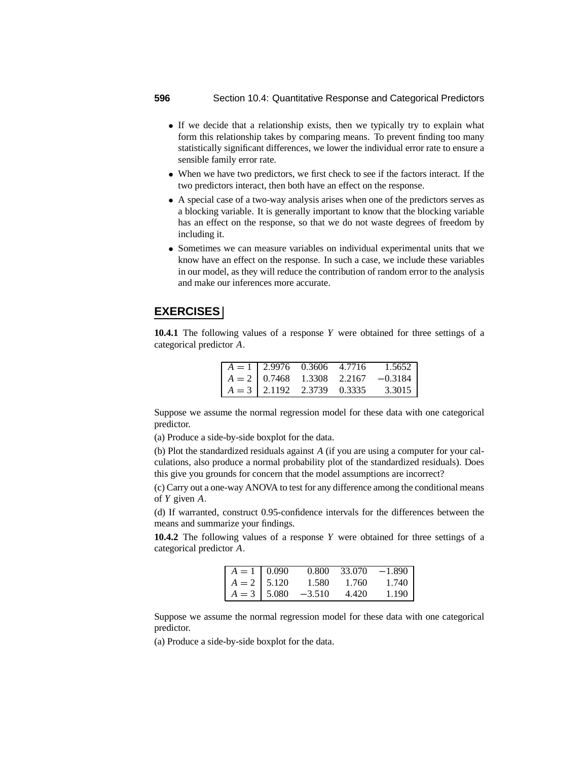- If we decide that a relationship exists, then we typically try to explain what form this relationship takes by comparing means. To prevent finding too many statistically significant differences, we lower the individual error rate to ensure a sensible family error rate.
- When we have two predictors, we first check to see if the factors interact. If the two predictors interact, then both have an effect on the response.
- A special case of a two-way analysis arises when one of the predictors serves as a blocking variable. It is generally important to know that the blocking variable has an effect on the response, so that we do not waste degrees of freedom by including it.
- Sometimes we can measure variables on individual experimental units that we know have an effect on the response. In such a case, we include these variables in our model, as they will reduce the contribution of random error to the analysis and make our inferences more accurate.

# **EXERCISES**

**10.4.1** The following values of a response *Y* were obtained for three settings of a categorical predictor *A*.

| $A = 1$ 2.9976 0.3606 4.7716                                 |  | 1.5652    |
|--------------------------------------------------------------|--|-----------|
|                                                              |  | $-0.3184$ |
| $A = 2$ 0.7468 1.3308 2.2167<br>$A = 3$ 2.1192 2.3739 0.3335 |  | 3.3015    |

Suppose we assume the normal regression model for these data with one categorical predictor.

(a) Produce a side-by-side boxplot for the data.

(b) Plot the standardized residuals against *A* (if you are using a computer for your calculations, also produce a normal probability plot of the standardized residuals). Does this give you grounds for concern that the model assumptions are incorrect?

(c) Carry out a one-way ANOVA to test for any difference among the conditional means of *Y* given *A*.

(d) If warranted, construct 0.95-confidence intervals for the differences between the means and summarize your findings.

**10.4.2** The following values of a response *Y* were obtained for three settings of a categorical predictor *A*.

| $A = 1   0.090$ | 0.800    | 33.070 | $-1.890$ |
|-----------------|----------|--------|----------|
| $A = 2$   5.120 | 1.580    | 1.760  | 1.740    |
| $A = 3$ 5.080   | $-3.510$ | 4.420  | 1.190    |

Suppose we assume the normal regression model for these data with one categorical predictor.

(a) Produce a side-by-side boxplot for the data.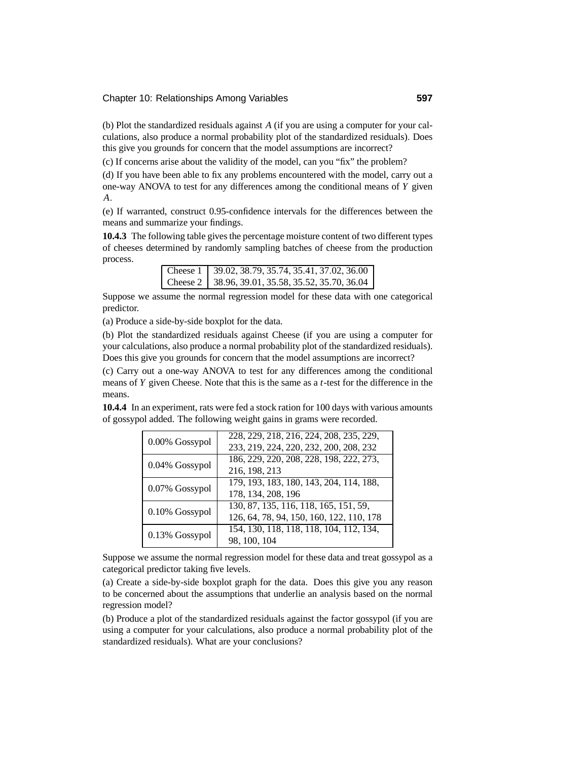(b) Plot the standardized residuals against *A* (if you are using a computer for your calculations, also produce a normal probability plot of the standardized residuals). Does this give you grounds for concern that the model assumptions are incorrect?

(c) If concerns arise about the validity of the model, can you "fix" the problem?

(d) If you have been able to fix any problems encountered with the model, carry out a one-way ANOVA to test for any differences among the conditional means of *Y* given *A*.

(e) If warranted, construct 0.95-confidence intervals for the differences between the means and summarize your findings.

**10.4.3** The following table gives the percentage moisture content of two different types of cheeses determined by randomly sampling batches of cheese from the production process.

| Cheese 1   39.02, 38.79, 35.74, 35.41, 37.02, 36.00 |
|-----------------------------------------------------|
| Cheese 2   38.96, 39.01, 35.58, 35.52, 35.70, 36.04 |

Suppose we assume the normal regression model for these data with one categorical predictor.

(a) Produce a side-by-side boxplot for the data.

(b) Plot the standardized residuals against Cheese (if you are using a computer for your calculations, also produce a normal probability plot of the standardized residuals). Does this give you grounds for concern that the model assumptions are incorrect?

(c) Carry out a one-way ANOVA to test for any differences among the conditional means of *Y* given Cheese. Note that this is the same as a *t*-test for the difference in the means.

**10.4.4** In an experiment, rats were fed a stock ration for 100 days with various amounts of gossypol added. The following weight gains in grams were recorded.

| 0.00% Gossypol | 228, 229, 218, 216, 224, 208, 235, 229,  |
|----------------|------------------------------------------|
|                | 233, 219, 224, 220, 232, 200, 208, 232   |
| 0.04% Gossypol | 186, 229, 220, 208, 228, 198, 222, 273,  |
|                | 216, 198, 213                            |
| 0.07% Gossypol | 179, 193, 183, 180, 143, 204, 114, 188,  |
|                | 178, 134, 208, 196                       |
| 0.10% Gossypol | 130, 87, 135, 116, 118, 165, 151, 59,    |
|                | 126, 64, 78, 94, 150, 160, 122, 110, 178 |
| 0.13% Gossypol | 154, 130, 118, 118, 118, 104, 112, 134,  |
|                | 98, 100, 104                             |

Suppose we assume the normal regression model for these data and treat gossypol as a categorical predictor taking five levels.

(a) Create a side-by-side boxplot graph for the data. Does this give you any reason to be concerned about the assumptions that underlie an analysis based on the normal regression model?

(b) Produce a plot of the standardized residuals against the factor gossypol (if you are using a computer for your calculations, also produce a normal probability plot of the standardized residuals). What are your conclusions?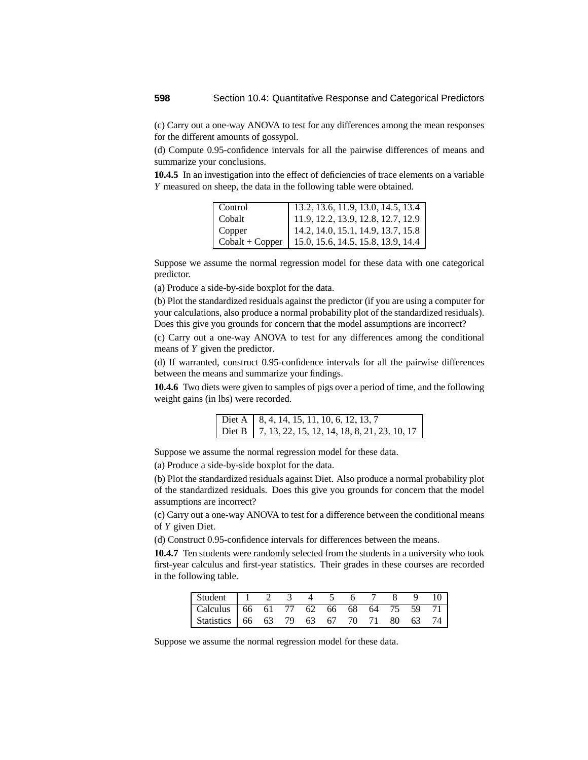(c) Carry out a one-way ANOVA to test for any differences among the mean responses for the different amounts of gossypol.

(d) Compute 0.95-confidence intervals for all the pairwise differences of means and summarize your conclusions.

**10.4.5** In an investigation into the effect of deficiencies of trace elements on a variable *Y* measured on sheep, the data in the following table were obtained.

| Control           |                                                                                                                                                      |
|-------------------|------------------------------------------------------------------------------------------------------------------------------------------------------|
| Cobalt            |                                                                                                                                                      |
| Copper            | 13.2, 13.6, 11.9, 13.0, 14.5, 13.4<br>11.9, 12.2, 13.9, 12.8, 12.7, 12.9<br>14.2, 14.0, 15.1, 14.9, 13.7, 15.8<br>15.0, 15.6, 14.5, 15.8, 13.9, 14.4 |
| $Cobalt + Copper$ |                                                                                                                                                      |

Suppose we assume the normal regression model for these data with one categorical predictor.

(a) Produce a side-by-side boxplot for the data.

(b) Plot the standardized residuals against the predictor (if you are using a computer for your calculations, also produce a normal probability plot of the standardized residuals). Does this give you grounds for concern that the model assumptions are incorrect?

(c) Carry out a one-way ANOVA to test for any differences among the conditional means of *Y* given the predictor.

(d) If warranted, construct 0.95-confidence intervals for all the pairwise differences between the means and summarize your findings.

**10.4.6** Two diets were given to samples of pigs over a period of time, and the following weight gains (in lbs) were recorded.

| Diet A   8, 4, 14, 15, 11, 10, 6, 12, 13, 7           |
|-------------------------------------------------------|
| Diet B   7, 13, 22, 15, 12, 14, 18, 8, 21, 23, 10, 17 |

Suppose we assume the normal regression model for these data.

(a) Produce a side-by-side boxplot for the data.

(b) Plot the standardized residuals against Diet. Also produce a normal probability plot of the standardized residuals. Does this give you grounds for concern that the model assumptions are incorrect?

(c) Carry out a one-way ANOVA to test for a difference between the conditional means of *Y* given Diet.

(d) Construct 0.95-confidence intervals for differences between the means.

**10.4.7** Ten students were randomly selected from the students in a university who took first-year calculus and first-year statistics. Their grades in these courses are recorded in the following table.

| Student 1 2 3 4 5 6 7 8 9 10               |  |  |  |  |  |
|--------------------------------------------|--|--|--|--|--|
| Calculus 66 61 77 62 66 68 64 75 59 71     |  |  |  |  |  |
| Statistics   66 63 79 63 67 70 71 80 63 74 |  |  |  |  |  |

Suppose we assume the normal regression model for these data.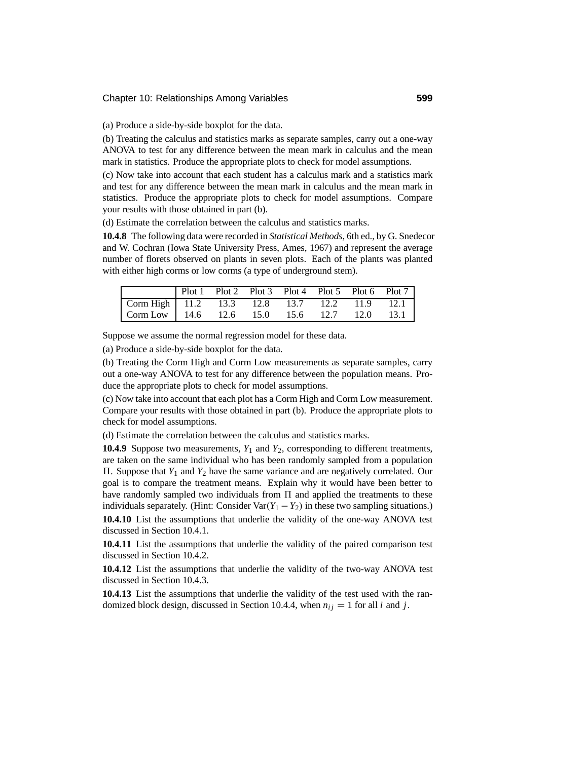(a) Produce a side-by-side boxplot for the data.

(b) Treating the calculus and statistics marks as separate samples, carry out a one-way ANOVA to test for any difference between the mean mark in calculus and the mean mark in statistics. Produce the appropriate plots to check for model assumptions.

(c) Now take into account that each student has a calculus mark and a statistics mark and test for any difference between the mean mark in calculus and the mean mark in statistics. Produce the appropriate plots to check for model assumptions. Compare your results with those obtained in part (b).

(d) Estimate the correlation between the calculus and statistics marks.

**10.4.8** The following data were recorded in *Statistical Methods*, 6th ed., by G. Snedecor and W. Cochran (Iowa State University Press, Ames, 1967) and represent the average number of florets observed on plants in seven plots. Each of the plants was planted with either high corms or low corms (a type of underground stem).

|                                                | $\sqrt{\frac{P}{Q}}$ Plot 1 Plot 2 Plot 3 Plot 4 Plot 5 Plot 6 Plot 7 |  |  |  |
|------------------------------------------------|-----------------------------------------------------------------------|--|--|--|
| Corm High   11.2 13.3 12.8 13.7 12.2 11.9 12.1 |                                                                       |  |  |  |
| Corm Low   14.6 12.6 15.0 15.6 12.7 12.0 13.1  |                                                                       |  |  |  |

Suppose we assume the normal regression model for these data.

(a) Produce a side-by-side boxplot for the data.

(b) Treating the Corm High and Corm Low measurements as separate samples, carry out a one-way ANOVA to test for any difference between the population means. Produce the appropriate plots to check for model assumptions.

(c) Now take into account that each plot has a Corm High and Corm Low measurement. Compare your results with those obtained in part (b). Produce the appropriate plots to check for model assumptions.

(d) Estimate the correlation between the calculus and statistics marks.

**10.4.9** Suppose two measurements, *Y*<sup>1</sup> and *Y*2, corresponding to different treatments, are taken on the same individual who has been randomly sampled from a population  $\Pi$ . Suppose that  $Y_1$  and  $Y_2$  have the same variance and are negatively correlated. Our goal is to compare the treatment means. Explain why it would have been better to have randomly sampled two individuals from  $\Pi$  and applied the treatments to these individuals separately. (Hint: Consider Var $(Y_1 - Y_2)$  in these two sampling situations.)

**10.4.10** List the assumptions that underlie the validity of the one-way ANOVA test discussed in Section 10.4.1.

**10.4.11** List the assumptions that underlie the validity of the paired comparison test discussed in Section 10.4.2.

**10.4.12** List the assumptions that underlie the validity of the two-way ANOVA test discussed in Section 10.4.3.

**10.4.13** List the assumptions that underlie the validity of the test used with the randomized block design, discussed in Section 10.4.4, when  $n_{ij} = 1$  for all *i* and *j*.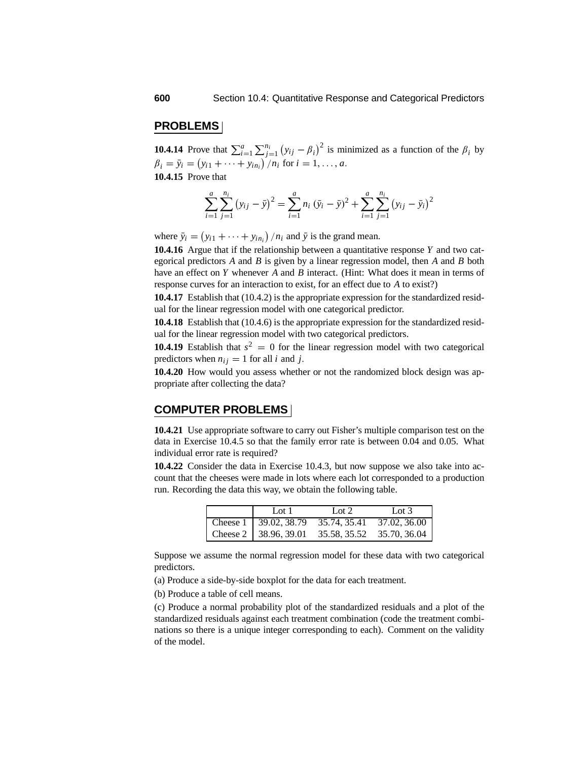# **PROBLEMS**

**10.4.14** Prove that  $\sum_{i=1}^{a} \sum_{j=1}^{n_i} (y_{ij} - \beta_i)^2$  is minimized as a function of the  $\beta_i$  by  $\beta_i = \bar{y}_i = (y_{i1} + \dots + y_{in_i})^T/n_i$  for  $i = 1, ..., a$ . **10.4.15** Prove that

$$
\sum_{i=1}^{a} \sum_{j=1}^{n_i} (y_{ij} - \bar{y})^2 = \sum_{i=1}^{a} n_i (\bar{y}_i - \bar{y})^2 + \sum_{i=1}^{a} \sum_{j=1}^{n_i} (y_{ij} - \bar{y}_i)^2
$$

where  $\bar{y}_i = (y_{i1} + \cdots + y_{in_i})/n_i$  and  $\bar{y}$  is the grand mean.

**10.4.16** Argue that if the relationship between a quantitative response *Y* and two categorical predictors *A* and *B* is given by a linear regression model, then *A* and *B* both have an effect on *Y* whenever *A* and *B* interact. (Hint: What does it mean in terms of response curves for an interaction to exist, for an effect due to *A* to exist?)

**10.4.17** Establish that (10.4.2) is the appropriate expression for the standardized residual for the linear regression model with one categorical predictor.

**10.4.18** Establish that (10.4.6) is the appropriate expression for the standardized residual for the linear regression model with two categorical predictors.

**10.4.19** Establish that  $s^2 = 0$  for the linear regression model with two categorical predictors when  $n_{ij} = 1$  for all *i* and *j*.

**10.4.20** How would you assess whether or not the randomized block design was appropriate after collecting the data?

## **COMPUTER PROBLEMS**

**10.4.21** Use appropriate software to carry out Fisher's multiple comparison test on the data in Exercise 10.4.5 so that the family error rate is between 0.04 and 0.05. What individual error rate is required?

**10.4.22** Consider the data in Exercise 10.4.3, but now suppose we also take into account that the cheeses were made in lots where each lot corresponded to a production run. Recording the data this way, we obtain the following table.

| Lot 1                   | Lot 2                     | Lot 3        |
|-------------------------|---------------------------|--------------|
|                         |                           | 37.02, 36.00 |
| Cheese 2   38.96, 39.01 | 35.58, 35.52 35.70, 36.04 |              |

Suppose we assume the normal regression model for these data with two categorical predictors.

(a) Produce a side-by-side boxplot for the data for each treatment.

(b) Produce a table of cell means.

(c) Produce a normal probability plot of the standardized residuals and a plot of the standardized residuals against each treatment combination (code the treatment combinations so there is a unique integer corresponding to each). Comment on the validity of the model.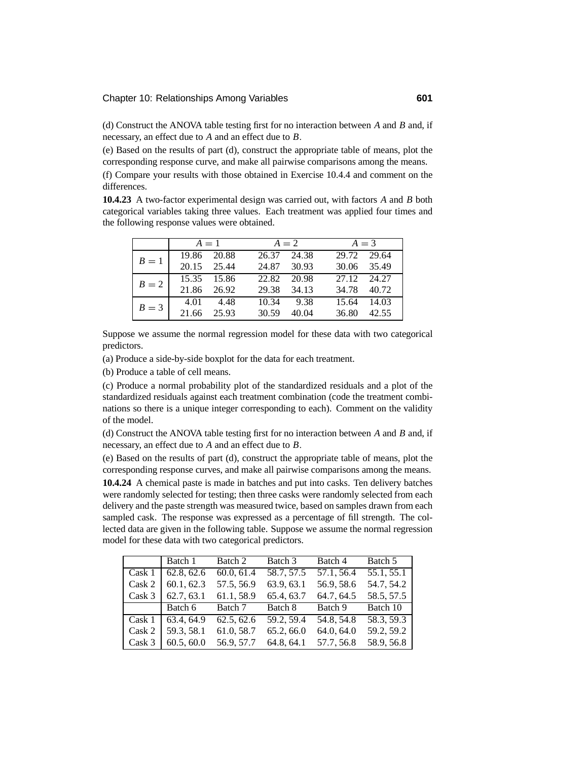(d) Construct the ANOVA table testing first for no interaction between *A* and *B* and, if necessary, an effect due to *A* and an effect due to *B*.

(e) Based on the results of part (d), construct the appropriate table of means, plot the corresponding response curve, and make all pairwise comparisons among the means.

(f) Compare your results with those obtained in Exercise 10.4.4 and comment on the differences.

**10.4.23** A two-factor experimental design was carried out, with factors *A* and *B* both categorical variables taking three values. Each treatment was applied four times and the following response values were obtained.

|       |       | $A=1$   |       | $A = 2$     |       | $A = 3$ |  |  |
|-------|-------|---------|-------|-------------|-------|---------|--|--|
|       | 19.86 | 20.88   |       | 26.37 24.38 | 29.72 | 29.64   |  |  |
| $B=1$ | 20.15 | 25.44   | 24.87 | 30.93       | 30.06 | 35.49   |  |  |
| $B=2$ | 15.35 | - 15.86 | 22.82 | 20.98       | 27.12 | 24 27   |  |  |
|       | 21.86 | 26.92   | 29.38 | 34.13       | 34.78 | 40.72   |  |  |
| $B=3$ | 4.01  | 448     | 10.34 | 9.38        | 15.64 | 14.03   |  |  |
|       | 21.66 | 25.93   | 30.59 | 40.04       | 36.80 | 42.55   |  |  |

Suppose we assume the normal regression model for these data with two categorical predictors.

(a) Produce a side-by-side boxplot for the data for each treatment.

(b) Produce a table of cell means.

(c) Produce a normal probability plot of the standardized residuals and a plot of the standardized residuals against each treatment combination (code the treatment combinations so there is a unique integer corresponding to each). Comment on the validity of the model.

(d) Construct the ANOVA table testing first for no interaction between *A* and *B* and, if necessary, an effect due to *A* and an effect due to *B*.

(e) Based on the results of part (d), construct the appropriate table of means, plot the corresponding response curves, and make all pairwise comparisons among the means.

**10.4.24** A chemical paste is made in batches and put into casks. Ten delivery batches were randomly selected for testing; then three casks were randomly selected from each delivery and the paste strength was measured twice, based on samples drawn from each sampled cask. The response was expressed as a percentage of fill strength. The collected data are given in the following table. Suppose we assume the normal regression model for these data with two categorical predictors.

|        | Batch 1    | Batch 2    | Batch 3    | Batch 4    | Batch 5    |
|--------|------------|------------|------------|------------|------------|
| Cask 1 | 62.8, 62.6 | 60.0, 61.4 | 58.7, 57.5 | 57.1, 56.4 | 55.1, 55.1 |
| Cask 2 | 60.1, 62.3 | 57.5, 56.9 | 63.9, 63.1 | 56.9, 58.6 | 54.7, 54.2 |
| Cask 3 | 62.7, 63.1 | 61.1, 58.9 | 65.4, 63.7 | 64.7, 64.5 | 58.5, 57.5 |
|        | Batch 6    | Batch 7    | Batch 8    | Batch 9    | Batch 10   |
| Cask 1 | 63.4, 64.9 | 62.5, 62.6 | 59.2, 59.4 | 54.8, 54.8 | 58.3, 59.3 |
| Cask 2 | 59.3, 58.1 | 61.0, 58.7 | 65.2, 66.0 | 64.0, 64.0 | 59.2, 59.2 |
| Cask 3 | 60.5, 60.0 | 56.9, 57.7 | 64.8, 64.1 | 57.7, 56.8 | 58.9, 56.8 |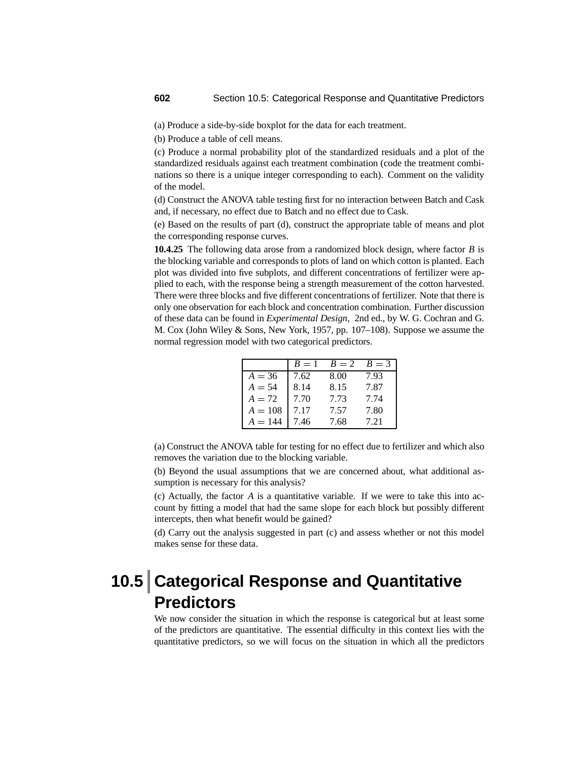(a) Produce a side-by-side boxplot for the data for each treatment.

(b) Produce a table of cell means.

(c) Produce a normal probability plot of the standardized residuals and a plot of the standardized residuals against each treatment combination (code the treatment combinations so there is a unique integer corresponding to each). Comment on the validity of the model.

(d) Construct the ANOVA table testing first for no interaction between Batch and Cask and, if necessary, no effect due to Batch and no effect due to Cask.

(e) Based on the results of part (d), construct the appropriate table of means and plot the corresponding response curves.

**10.4.25** The following data arose from a randomized block design, where factor *B* is the blocking variable and corresponds to plots of land on which cotton is planted. Each plot was divided into five subplots, and different concentrations of fertilizer were applied to each, with the response being a strength measurement of the cotton harvested. There were three blocks and five different concentrations of fertilizer. Note that there is only one observation for each block and concentration combination. Further discussion of these data can be found in *Experimental Design,* 2nd ed., by W. G. Cochran and G. M. Cox (John Wiley & Sons, New York, 1957, pp. 107–108). Suppose we assume the normal regression model with two categorical predictors.

|           | $R=1$ | $B=2$ | $B=3$ |
|-----------|-------|-------|-------|
| $A = 36$  | 7.62  | 8.00  | 7.93  |
| $A = 54$  | 8.14  | 8.15  | 7.87  |
| $A = 72$  | 7.70  | 7.73  | 7.74  |
| $A = 108$ | 7.17  | 7.57  | 7.80  |
| $A = 144$ | 7 46  | 7.68  | 7.21  |

(a) Construct the ANOVA table for testing for no effect due to fertilizer and which also removes the variation due to the blocking variable.

(b) Beyond the usual assumptions that we are concerned about, what additional assumption is necessary for this analysis?

(c) Actually, the factor *A* is a quantitative variable. If we were to take this into account by fitting a model that had the same slope for each block but possibly different intercepts, then what benefit would be gained?

(d) Carry out the analysis suggested in part (c) and assess whether or not this model makes sense for these data.

# **10.5 Categorical Response and Quantitative Predictors**

We now consider the situation in which the response is categorical but at least some of the predictors are quantitative. The essential difficulty in this context lies with the quantitative predictors, so we will focus on the situation in which all the predictors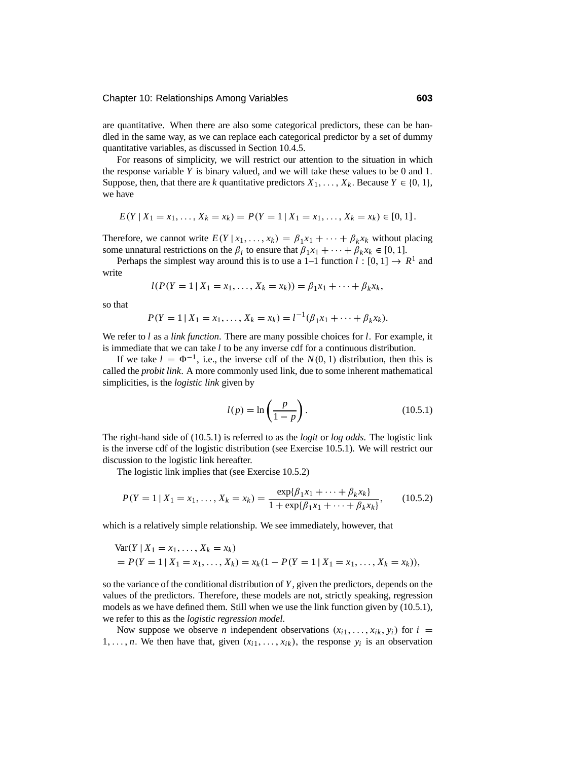are quantitative. When there are also some categorical predictors, these can be handled in the same way, as we can replace each categorical predictor by a set of dummy quantitative variables, as discussed in Section 10.4.5.

For reasons of simplicity, we will restrict our attention to the situation in which the response variable *Y* is binary valued, and we will take these values to be 0 and 1. Suppose, then, that there are *k* quantitative predictors  $X_1, \ldots, X_k$ . Because  $Y \in \{0, 1\}$ , we have

$$
E(Y | X_1 = x_1, ..., X_k = x_k) = P(Y = 1 | X_1 = x_1, ..., X_k = x_k) \in [0, 1].
$$

Therefore, we cannot write  $E(Y | x_1, \ldots, x_k) = \beta_1 x_1 + \cdots + \beta_k x_k$  without placing some unnatural restrictions on the  $\beta_i$  to ensure that  $\beta_1 x_1 + \cdots + \beta_k x_k \in [0, 1]$ .

Perhaps the simplest way around this is to use a 1–1 function  $l : [0, 1] \rightarrow \mathbb{R}^1$  and write

$$
l(P(Y = 1 | X_1 = x_1, ..., X_k = x_k)) = \beta_1 x_1 + \cdots + \beta_k x_k,
$$

so that

$$
P(Y = 1 | X_1 = x_1, ..., X_k = x_k) = l^{-1}(\beta_1 x_1 + \cdots + \beta_k x_k).
$$

We refer to *l* as a *link function*. There are many possible choices for *l*. For example, it is immediate that we can take *l* to be any inverse cdf for a continuous distribution.

If we take  $l = \Phi^{-1}$ , i.e., the inverse cdf of the  $N(0, 1)$  distribution, then this is called the *probit link*. A more commonly used link, due to some inherent mathematical simplicities, is the *logistic link* given by

$$
l(p) = \ln\left(\frac{p}{1-p}\right). \tag{10.5.1}
$$

The right-hand side of (10.5.1) is referred to as the *logit* or *log odds*. The logistic link is the inverse cdf of the logistic distribution (see Exercise 10.5.1). We will restrict our discussion to the logistic link hereafter.

The logistic link implies that (see Exercise 10.5.2)

$$
P(Y = 1 | X_1 = x_1, ..., X_k = x_k) = \frac{\exp{\{\beta_1 x_1 + \dots + \beta_k x_k\}}}{1 + \exp{\{\beta_1 x_1 + \dots + \beta_k x_k\}}},
$$
(10.5.2)

which is a relatively simple relationship. We see immediately, however, that

$$
\begin{aligned} &\text{Var}(Y \mid X_1 = x_1, \dots, X_k = x_k) \\ &= P(Y = 1 \mid X_1 = x_1, \dots, X_k) = x_k(1 - P(Y = 1 \mid X_1 = x_1, \dots, X_k = x_k)), \end{aligned}
$$

so the variance of the conditional distribution of *Y*, given the predictors, depends on the values of the predictors. Therefore, these models are not, strictly speaking, regression models as we have defined them. Still when we use the link function given by (10.5.1), we refer to this as the *logistic regression model*.

Now suppose we observe *n* independent observations  $(x_{i1},...,x_{ik}, y_i)$  for  $i =$ 1,..., *n*. We then have that, given  $(x_{i1},...,x_{ik})$ , the response  $y_i$  is an observation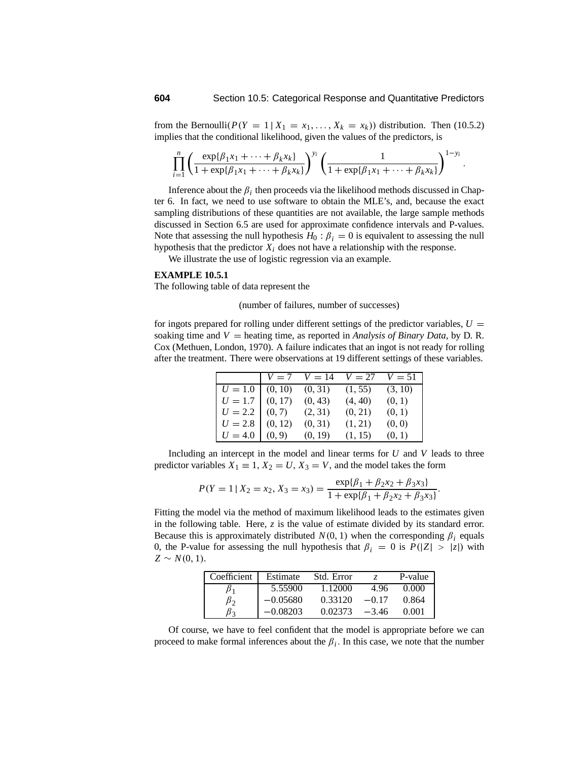.

.

from the Bernoulli( $P(Y = 1 | X_1 = x_1, \ldots, X_k = x_k)$ ) distribution. Then (10.5.2) implies that the conditional likelihood, given the values of the predictors, is

$$
\prod_{i=1}^{n} \left( \frac{\exp\{\beta_1 x_1 + \dots + \beta_k x_k\}}{1 + \exp\{\beta_1 x_1 + \dots + \beta_k x_k\}} \right)^{y_i} \left( \frac{1}{1 + \exp\{\beta_1 x_1 + \dots + \beta_k x_k\}} \right)^{1-y_i}
$$

Inference about the  $\beta_i$  then proceeds via the likelihood methods discussed in Chapter 6. In fact, we need to use software to obtain the MLE's, and, because the exact sampling distributions of these quantities are not available, the large sample methods discussed in Section 6.5 are used for approximate confidence intervals and P-values. Note that assessing the null hypothesis  $H_0: \beta_i = 0$  is equivalent to assessing the null hypothesis that the predictor  $X_i$  does not have a relationship with the response.

We illustrate the use of logistic regression via an example.

#### **EXAMPLE 10.5.1**

The following table of data represent the

(number of failures, number of successes)

for ingots prepared for rolling under different settings of the predictor variables,  $U =$ soaking time and  $V =$  heating time, as reported in *Analysis of Binary Data*, by D. R. Cox (Methuen, London, 1970). A failure indicates that an ingot is not ready for rolling after the treatment. There were observations at 19 different settings of these variables.

|           | $V=7$   | $V = 14$ | $V=27$  | $V = 51$ |
|-----------|---------|----------|---------|----------|
| $U = 1.0$ | (0, 10) | (0, 31)  | (1, 55) | (3, 10)  |
| $U = 1.7$ | (0, 17) | (0, 43)  | (4, 40) | (0, 1)   |
| $U = 2.2$ | (0, 7)  | (2, 31)  | (0, 21) | (0, 1)   |
| $U = 2.8$ | (0, 12) | (0, 31)  | (1, 21) | (0, 0)   |
| $U = 4.0$ | (0, 9)  | (0, 19)  | (1, 15) | (0, 1)   |

Including an intercept in the model and linear terms for *U* and *V* leads to three predictor variables  $X_1 \equiv 1, X_2 = U, X_3 = V$ , and the model takes the form

$$
P(Y = 1 | X_2 = x_2, X_3 = x_3) = \frac{\exp{\{\beta_1 + \beta_2 x_2 + \beta_3 x_3\}}}{1 + \exp{\{\beta_1 + \beta_2 x_2 + \beta_3 x_3\}}}
$$

Fitting the model via the method of maximum likelihood leads to the estimates given in the following table. Here, *z* is the value of estimate divided by its standard error. Because this is approximately distributed  $N(0, 1)$  when the corresponding  $\beta_i$  equals 0, the P-value for assessing the null hypothesis that  $\beta_i = 0$  is  $P(|Z| > |z|)$  with  $Z \sim N(0, 1)$ .

| Coefficient | Estimate   | Std. Error |         | P-value |
|-------------|------------|------------|---------|---------|
|             | 5.55900    | 1 12000    | 4.96    |         |
| p,          | $-0.05680$ | 0.33120    | $-0.17$ | 0.864   |
| Ĵ٦          | $-0.08203$ | 0.02373    | $-3.46$ | 0 001   |

Of course, we have to feel confident that the model is appropriate before we can proceed to make formal inferences about the  $\beta_i$ . In this case, we note that the number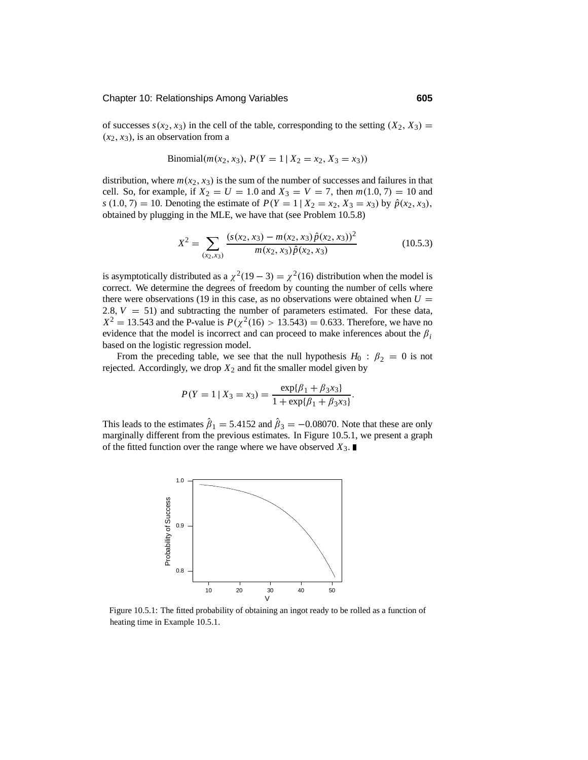of successes  $s(x_2, x_3)$  in the cell of the table, corresponding to the setting  $(X_2, X_3)$  =  $(x_2, x_3)$ , is an observation from a

Binomial
$$
(m(x_2, x_3), P(Y = 1 | X_2 = x_2, X_3 = x_3))
$$

distribution, where  $m(x_2, x_3)$  is the sum of the number of successes and failures in that cell. So, for example, if  $X_2 = U = 1.0$  and  $X_3 = V = 7$ , then  $m(1.0, 7) = 10$  and *s* (1.0, 7) = 10. Denoting the estimate of  $P(Y = 1 | X_2 = x_2, X_3 = x_3)$  by  $\hat{p}(x_2, x_3)$ , obtained by plugging in the MLE, we have that (see Problem 10.5.8)

$$
X^{2} = \sum_{(x_{2},x_{3})} \frac{(s(x_{2},x_{3}) - m(x_{2},x_{3})\hat{p}(x_{2},x_{3}))^{2}}{m(x_{2},x_{3})\hat{p}(x_{2},x_{3})}
$$
(10.5.3)

is asymptotically distributed as a  $\chi^2(19-3) = \chi^2(16)$  distribution when the model is correct. We determine the degrees of freedom by counting the number of cells where there were observations (19 in this case, as no observations were obtained when  $U =$ 2.8,  $V = 51$ ) and subtracting the number of parameters estimated. For these data,  $X^{2} = 13.543$  and the P-value is  $P(\chi^{2}(16) > 13.543) = 0.633$ . Therefore, we have no evidence that the model is incorrect and can proceed to make inferences about the  $\beta_i$ based on the logistic regression model.

From the preceding table, we see that the null hypothesis  $H_0$ :  $\beta_2 = 0$  is not rejected. Accordingly, we drop  $X_2$  and fit the smaller model given by

$$
P(Y = 1 | X_3 = x_3) = \frac{\exp{\{\beta_1 + \beta_3 x_3\}}}{1 + \exp{\{\beta_1 + \beta_3 x_3\}}}.
$$

This leads to the estimates  $\hat{\beta}_1 = 5.4152$  and  $\hat{\beta}_3 = -0.08070$ . Note that these are only marginally different from the previous estimates. In Figure 10.5.1, we present a graph of the fitted function over the range where we have observed  $X_3$ .



Figure 10.5.1: The fitted probability of obtaining an ingot ready to be rolled as a function of heating time in Example 10.5.1.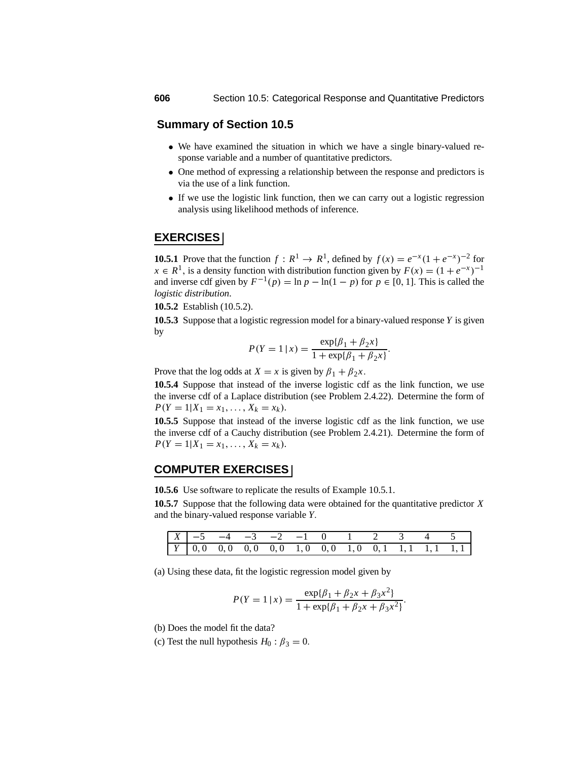## **Summary of Section 10.5**

- We have examined the situation in which we have a single binary-valued response variable and a number of quantitative predictors.
- One method of expressing a relationship between the response and predictors is via the use of a link function.
- If we use the logistic link function, then we can carry out a logistic regression analysis using likelihood methods of inference.

# **EXERCISES**

**10.5.1** Prove that the function  $f: R^1 \to R^1$ , defined by  $f(x) = e^{-x}(1 + e^{-x})^{-2}$  for *x* ∈  $R^1$ , is a density function with distribution function given by  $F(x) = (1 + e^{-x})^{-1}$ and inverse cdf given by  $F^{-1}(p) = \ln p - \ln(1 - p)$  for  $p \in [0, 1]$ . This is called the *logistic distribution*.

**10.5.2** Establish (10.5.2).

**10.5.3** Suppose that a logistic regression model for a binary-valued response *Y* is given by

.

.

$$
P(Y = 1 | x) = \frac{\exp{\{\beta_1 + \beta_2 x\}}}{1 + \exp{\{\beta_1 + \beta_2 x\}}}
$$

Prove that the log odds at *X* = *x* is given by  $\beta_1 + \beta_2 x$ .

**10.5.4** Suppose that instead of the inverse logistic cdf as the link function, we use the inverse cdf of a Laplace distribution (see Problem 2.4.22). Determine the form of  $P(Y = 1 | X_1 = x_1, \ldots, X_k = x_k).$ 

**10.5.5** Suppose that instead of the inverse logistic cdf as the link function, we use the inverse cdf of a Cauchy distribution (see Problem 2.4.21). Determine the form of  $P(Y = 1 | X_1 = x_1, \ldots, X_k = x_k).$ 

# **COMPUTER EXERCISES**

**10.5.6** Use software to replicate the results of Example 10.5.1.

**10.5.7** Suppose that the following data were obtained for the quantitative predictor *X* and the binary-valued response variable *Y*.

(a) Using these data, fit the logistic regression model given by

$$
P(Y = 1 | x) = \frac{\exp{\{\beta_1 + \beta_2 x + \beta_3 x^2\}}}{1 + \exp{\{\beta_1 + \beta_2 x + \beta_3 x^2\}}}
$$

(b) Does the model fit the data?

(c) Test the null hypothesis  $H_0: \beta_3 = 0$ .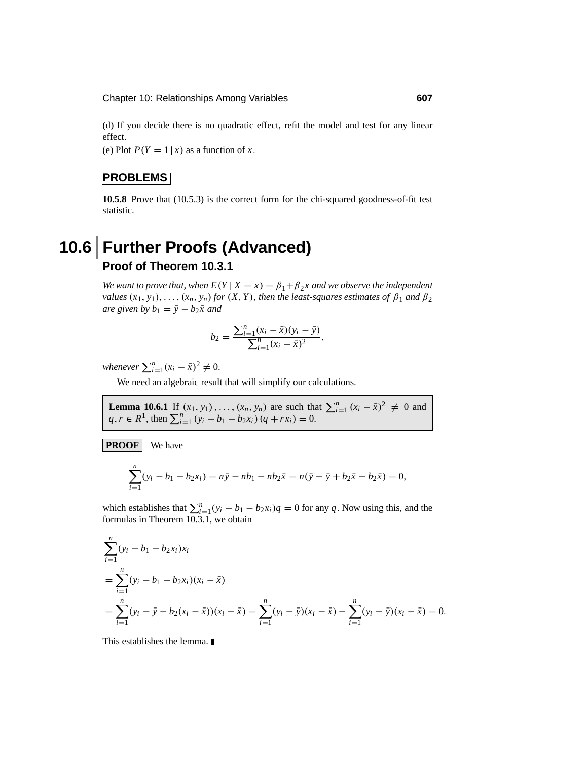Chapter 10: Relationships Among Variables **607**

(d) If you decide there is no quadratic effect, refit the model and test for any linear effect.

(e) Plot  $P(Y = 1 | x)$  as a function of *x*.

### **PROBLEMS**

**10.5.8** Prove that (10.5.3) is the correct form for the chi-squared goodness-of-fit test statistic.

# **10.6 Further Proofs (Advanced) Proof of Theorem 10.3.1**

*We want to prove that, when*  $E(Y | X = x) = \beta_1 + \beta_2 x$  *and we observe the independent values*  $(x_1, y_1), \ldots, (x_n, y_n)$  *for*  $(X, Y)$ *, then the least-squares estimates of*  $\beta_1$  *and*  $\beta_2$ *are given by*  $b_1 = \overline{y} - b_2\overline{x}$  *and* 

$$
b_2 = \frac{\sum_{i=1}^n (x_i - \bar{x})(y_i - \bar{y})}{\sum_{i=1}^n (x_i - \bar{x})^2},
$$

*whenever*  $\sum_{i=1}^{n} (x_i - \bar{x})^2 \neq 0$ .

We need an algebraic result that will simplify our calculations.

**Lemma 10.6.1** If  $(x_1, y_1), \ldots, (x_n, y_n)$  are such that  $\sum_{i=1}^n (x_i - \bar{x})^2 \neq 0$  and  $q, r \in R^1$ , then  $\sum_{i=1}^n (y_i - b_1 - b_2 x_i) (q + rx_i) = 0$ .

**PROOF** We have

$$
\sum_{i=1}^{n} (y_i - b_1 - b_2 x_i) = n\bar{y} - nb_1 - nb_2 \bar{x} = n(\bar{y} - \bar{y} + b_2 \bar{x} - b_2 \bar{x}) = 0,
$$

which establishes that  $\sum_{i=1}^{n} (y_i - b_1 - b_2x_i)q = 0$  for any *q*. Now using this, and the formulas in Theorem 10.3.1, we obtain

$$
\sum_{i=1}^{n} (y_i - b_1 - b_2 x_i)x_i
$$
  
= 
$$
\sum_{i=1}^{n} (y_i - b_1 - b_2 x_i)(x_i - \bar{x})
$$
  
= 
$$
\sum_{i=1}^{n} (y_i - \bar{y} - b_2(x_i - \bar{x}))(x_i - \bar{x}) = \sum_{i=1}^{n} (y_i - \bar{y})(x_i - \bar{x}) - \sum_{i=1}^{n} (y_i - \bar{y})(x_i - \bar{x}) = 0.
$$

This establishes the lemma.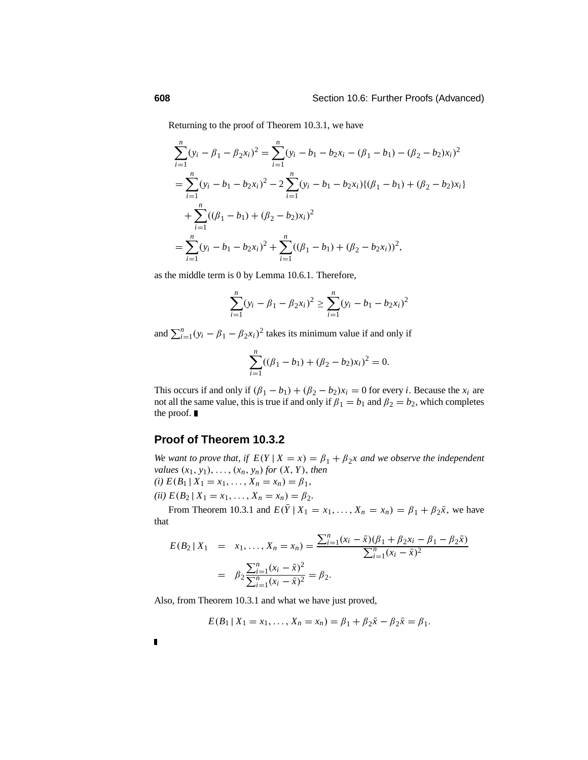Returning to the proof of Theorem 10.3.1, we have

$$
\sum_{i=1}^{n} (y_i - \beta_1 - \beta_2 x_i)^2 = \sum_{i=1}^{n} (y_i - b_1 - b_2 x_i - (\beta_1 - b_1) - (\beta_2 - b_2) x_i)^2
$$
  
= 
$$
\sum_{i=1}^{n} (y_i - b_1 - b_2 x_i)^2 - 2 \sum_{i=1}^{n} (y_i - b_1 - b_2 x_i) ((\beta_1 - b_1) + (\beta_2 - b_2) x_i)
$$
  
+ 
$$
\sum_{i=1}^{n} ((\beta_1 - b_1) + (\beta_2 - b_2) x_i)^2
$$
  
= 
$$
\sum_{i=1}^{n} (y_i - b_1 - b_2 x_i)^2 + \sum_{i=1}^{n} ((\beta_1 - b_1) + (\beta_2 - b_2 x_i))^2,
$$

as the middle term is 0 by Lemma 10.6.1. Therefore,

$$
\sum_{i=1}^{n} (y_i - \beta_1 - \beta_2 x_i)^2 \ge \sum_{i=1}^{n} (y_i - b_1 - b_2 x_i)^2
$$

and  $\sum_{i=1}^{n} (y_i - \beta_1 - \beta_2 x_i)^2$  takes its minimum value if and only if

$$
\sum_{i=1}^{n} ((\beta_1 - b_1) + (\beta_2 - b_2)x_i)^2 = 0.
$$

This occurs if and only if  $(\beta_1 - b_1) + (\beta_2 - b_2)x_i = 0$  for every *i*. Because the  $x_i$  are not all the same value, this is true if and only if  $\beta_1 = b_1$  and  $\beta_2 = b_2$ , which completes the proof.

# **Proof of Theorem 10.3.2**

*We want to prove that, if*  $E(Y | X = x) = \beta_1 + \beta_2 x$  *and we observe the independent values*  $(x_1, y_1), \ldots, (x_n, y_n)$  *for*  $(X, Y)$ *, then* 

 $(i) E(B_1 | X_1 = x_1, \ldots, X_n = x_n) = \beta_1,$ 

(*ii*) 
$$
E(B_2 | X_1 = x_1, ..., X_n = x_n) = \beta_2
$$
.

From Theorem 10.3.1 and  $E(\bar{Y} | X_1 = x_1, ..., X_n = x_n) = \beta_1 + \beta_2 \bar{x}$ , we have that

$$
E(B_2 | X_1 = x_1, ..., X_n = x_n) = \frac{\sum_{i=1}^n (x_i - \bar{x})(\beta_1 + \beta_2 x_i - \beta_1 - \beta_2 \bar{x})}{\sum_{i=1}^n (x_i - \bar{x})^2}
$$
  
=  $\beta_2 \frac{\sum_{i=1}^n (x_i - \bar{x})^2}{\sum_{i=1}^n (x_i - \bar{x})^2} = \beta_2.$ 

Also, from Theorem 10.3.1 and what we have just proved,

$$
E(B_1 | X_1 = x_1, ..., X_n = x_n) = \beta_1 + \beta_2 \bar{x} - \beta_2 \bar{x} = \beta_1.
$$

П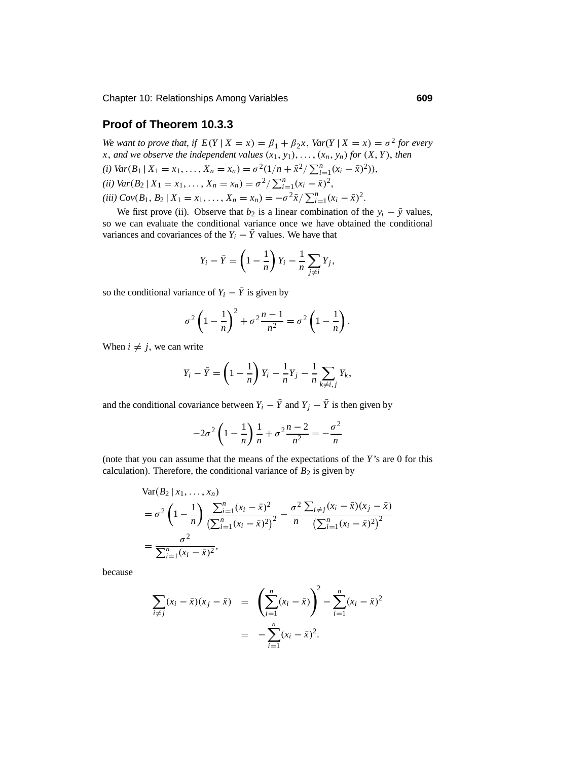Chapter 10: Relationships Among Variables **609**

# **Proof of Theorem 10.3.3**

*We want to prove that, if*  $E(Y | X = x) = \beta_1 + \beta_2 x$ ,  $Var(Y | X = x) = \sigma^2$  for every *x*, and we observe the independent values  $(x_1, y_1), \ldots, (x_n, y_n)$  for  $(X, Y)$ , then  $(i) \text{Var}(B_1 | X_1 = x_1, \ldots, X_n = x_n) = \sigma^2(1/n + \bar{x}^2 / \sum_{i=1}^n (x_i - \bar{x})^2)),$  $(iii) \text{Var}(B_2 | X_1 = x_1, \ldots, X_n = x_n) = \sigma^2 / \sum_{i=1}^n (x_i - \bar{x})^2,$  $(iii) \text{Cov}(B_1, B_2 | X_1 = x_1, \ldots, X_n = x_n) = -\sigma^2 \bar{x} / \sum_{i=1}^n (x_i - \bar{x})^2.$ 

We first prove (ii). Observe that  $b_2$  is a linear combination of the  $y_i - \bar{y}$  values, so we can evaluate the conditional variance once we have obtained the conditional variances and covariances of the  $Y_i - \overline{Y}$  values. We have that

$$
Y_i - \bar{Y} = \left(1 - \frac{1}{n}\right)Y_i - \frac{1}{n}\sum_{j \neq i} Y_j,
$$

so the conditional variance of  $Y_i - \overline{Y}$  is given by

$$
\sigma^{2} \left( 1 - \frac{1}{n} \right)^{2} + \sigma^{2} \frac{n-1}{n^{2}} = \sigma^{2} \left( 1 - \frac{1}{n} \right).
$$

When  $i \neq j$ , we can write

$$
Y_i - \bar{Y} = \left(1 - \frac{1}{n}\right)Y_i - \frac{1}{n}Y_j - \frac{1}{n}\sum_{k \neq i,j} Y_k,
$$

and the conditional covariance between  $Y_i - \bar{Y}$  and  $Y_j - \bar{Y}$  is then given by

$$
-2\sigma^2 \left(1 - \frac{1}{n}\right) \frac{1}{n} + \sigma^2 \frac{n-2}{n^2} = -\frac{\sigma^2}{n}
$$

(note that you can assume that the means of the expectations of the *Y*'s are 0 for this calculation). Therefore, the conditional variance of  $B_2$  is given by

$$
\begin{split} &\text{Var}(B_2 \mid x_1, \dots, x_n) \\ &= \sigma^2 \left( 1 - \frac{1}{n} \right) \frac{\sum_{i=1}^n (x_i - \bar{x})^2}{\left( \sum_{i=1}^n (x_i - \bar{x})^2 \right)^2} - \frac{\sigma^2}{n} \frac{\sum_{i \neq j} (x_i - \bar{x})(x_j - \bar{x})}{\left( \sum_{i=1}^n (x_i - \bar{x})^2 \right)^2} \\ &= \frac{\sigma^2}{\sum_{i=1}^n (x_i - \bar{x})^2}, \end{split}
$$

because

$$
\sum_{i \neq j} (x_i - \bar{x})(x_j - \bar{x}) = \left(\sum_{i=1}^n (x_i - \bar{x})\right)^2 - \sum_{i=1}^n (x_i - \bar{x})^2
$$

$$
= -\sum_{i=1}^n (x_i - \bar{x})^2.
$$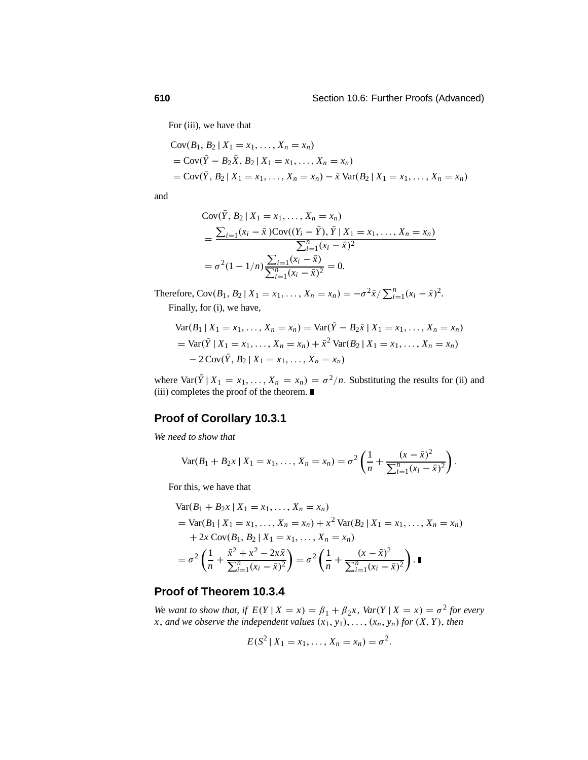For (iii), we have that

Cov
$$
(B_1, B_2 | X_1 = x_1, ..., X_n = x_n)
$$
  
= Cov( $\bar{Y} - B_2 \bar{X}, B_2 | X_1 = x_1, ..., X_n = x_n$ )  
= Cov( $\bar{Y}, B_2 | X_1 = x_1, ..., X_n = x_n$ ) -  $\bar{x}$  Var $(B_2 | X_1 = x_1, ..., X_n = x_n)$ 

and

$$
\begin{aligned} \text{Cov}(\bar{Y}, B_2 \mid X_1 = x_1, \dots, X_n = x_n) \\ &= \frac{\sum_{i=1} (x_i - \bar{x}) \text{Cov}((Y_i - \bar{Y}), \bar{Y} \mid X_1 = x_1, \dots, X_n = x_n)}{\sum_{i=1}^n (x_i - \bar{x})^2} \\ &= \sigma^2 (1 - 1/n) \frac{\sum_{i=1} (x_i - \bar{x})}{\sum_{i=1}^n (x_i - \bar{x})^2} = 0. \end{aligned}
$$

Therefore,  $Cov(B_1, B_2 | X_1 = x_1, ..., X_n = x_n) = -\sigma^2 \bar{x} / \sum_{i=1}^n (x_i - \bar{x})^2$ .

Finally, for (i), we have,

$$
\begin{aligned} \n\text{Var}(B_1 \mid X_1 = x_1, \dots, X_n = x_n) &= \text{Var}(\bar{Y} - B_2 \bar{x} \mid X_1 = x_1, \dots, X_n = x_n) \\ \n&= \text{Var}(\bar{Y} \mid X_1 = x_1, \dots, X_n = x_n) + \bar{x}^2 \text{Var}(B_2 \mid X_1 = x_1, \dots, X_n = x_n) \\ \n&- 2 \text{Cov}(\bar{Y}, B_2 \mid X_1 = x_1, \dots, X_n = x_n) \n\end{aligned}
$$

where  $\text{Var}(\bar{Y} | X_1 = x_1, \ldots, X_n = x_n) = \sigma^2/n$ . Substituting the results for (ii) and (iii) completes the proof of the theorem.

# **Proof of Corollary 10.3.1**

*We need to show that*

$$
\text{Var}(B_1 + B_2x \mid X_1 = x_1, \dots, X_n = x_n) = \sigma^2 \left( \frac{1}{n} + \frac{(x - \bar{x})^2}{\sum_{i=1}^n (x_i - \bar{x})^2} \right).
$$

For this, we have that

$$
\begin{aligned}\n\text{Var}(B_1 + B_2 x \mid X_1 = x_1, \dots, X_n = x_n) \\
&= \text{Var}(B_1 \mid X_1 = x_1, \dots, X_n = x_n) + x^2 \text{Var}(B_2 \mid X_1 = x_1, \dots, X_n = x_n) \\
&+ 2x \text{Cov}(B_1, B_2 \mid X_1 = x_1, \dots, X_n = x_n) \\
&= \sigma^2 \left( \frac{1}{n} + \frac{\bar{x}^2 + x^2 - 2x \bar{x}}{\sum_{i=1}^n (x_i - \bar{x})^2} \right) = \sigma^2 \left( \frac{1}{n} + \frac{(x - \bar{x})^2}{\sum_{i=1}^n (x_i - \bar{x})^2} \right). \blacksquare\n\end{aligned}
$$

# **Proof of Theorem 10.3.4**

*We want to show that, if*  $E(Y | X = x) = \beta_1 + \beta_2 x$ ,  $Var(Y | X = x) = \sigma^2$  *for every x*, *and we observe the independent values*  $(x_1, y_1), \ldots, (x_n, y_n)$  *for*  $(X, Y)$ *, then* 

$$
E(S^2 | X_1 = x_1, ..., X_n = x_n) = \sigma^2.
$$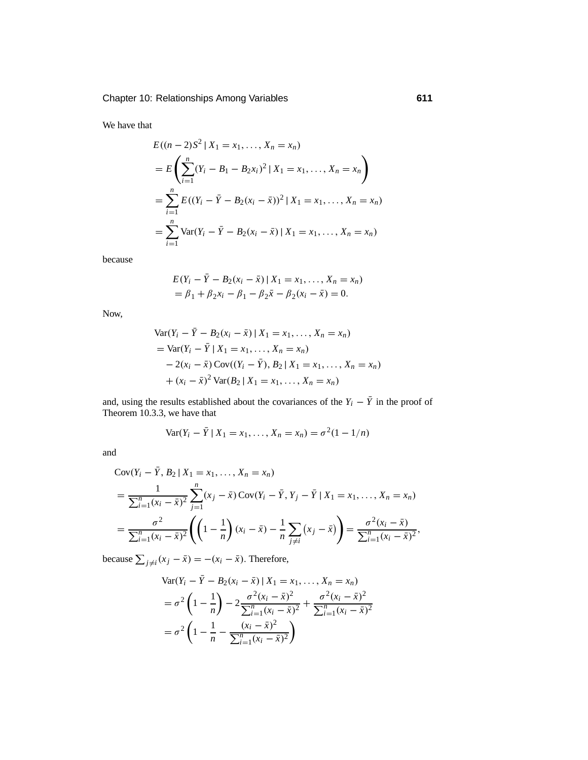We have that

$$
E((n-2)S^2 | X_1 = x_1, ..., X_n = x_n)
$$
  
=  $E\left(\sum_{i=1}^n (Y_i - B_1 - B_2x_i)^2 | X_1 = x_1, ..., X_n = x_n\right)$   
=  $\sum_{i=1}^n E((Y_i - \bar{Y} - B_2(x_i - \bar{x}))^2 | X_1 = x_1, ..., X_n = x_n)$   
=  $\sum_{i=1}^n \text{Var}(Y_i - \bar{Y} - B_2(x_i - \bar{x}) | X_1 = x_1, ..., X_n = x_n)$ 

because

$$
E(Y_i - \bar{Y} - B_2(x_i - \bar{x}) | X_1 = x_1, ..., X_n = x_n)
$$
  
=  $\beta_1 + \beta_2 x_i - \beta_1 - \beta_2 \bar{x} - \beta_2 (x_i - \bar{x}) = 0.$ 

Now,

$$
\begin{aligned} \n\text{Var}(Y_i - \bar{Y} - B_2(x_i - \bar{x}) \mid X_1 = x_1, \dots, X_n = x_n) \\ \n&= \text{Var}(Y_i - \bar{Y} \mid X_1 = x_1, \dots, X_n = x_n) \\ \n&- 2(x_i - \bar{x}) \text{Cov}((Y_i - \bar{Y}), B_2 \mid X_1 = x_1, \dots, X_n = x_n) \\ \n&+ (x_i - \bar{x})^2 \text{Var}(B_2 \mid X_1 = x_1, \dots, X_n = x_n) \n\end{aligned}
$$

and, using the results established about the covariances of the  $Y_i - \overline{Y}$  in the proof of Theorem 10.3.3, we have that

$$
Var(Y_i - \bar{Y} | X_1 = x_1, ..., X_n = x_n) = \sigma^2 (1 - 1/n)
$$

and

$$
\begin{split} &\text{Cov}(Y_i - \bar{Y}, B_2 \mid X_1 = x_1, \dots, X_n = x_n) \\ &= \frac{1}{\sum_{i=1}^n (x_i - \bar{x})^2} \sum_{j=1}^n (x_j - \bar{x}) \, \text{Cov}(Y_i - \bar{Y}, Y_j - \bar{Y} \mid X_1 = x_1, \dots, X_n = x_n) \\ &= \frac{\sigma^2}{\sum_{i=1}^n (x_i - \bar{x})^2} \left( \left( 1 - \frac{1}{n} \right) (x_i - \bar{x}) - \frac{1}{n} \sum_{j \neq i} (x_j - \bar{x}) \right) = \frac{\sigma^2 (x_i - \bar{x})}{\sum_{i=1}^n (x_i - \bar{x})^2}, \end{split}
$$

because  $\sum_{j \neq i} (x_j - \bar{x}) = -(x_i - \bar{x})$ . Therefore,

$$
\begin{aligned} \text{Var}(Y_i - Y - B_2(x_i - \bar{x}) \mid X_1 = x_1, \dots, X_n = x_n) \\ &= \sigma^2 \left( 1 - \frac{1}{n} \right) - 2 \frac{\sigma^2 (x_i - \bar{x})^2}{\sum_{i=1}^n (x_i - \bar{x})^2} + \frac{\sigma^2 (x_i - \bar{x})^2}{\sum_{i=1}^n (x_i - \bar{x})^2} \\ &= \sigma^2 \left( 1 - \frac{1}{n} - \frac{(x_i - \bar{x})^2}{\sum_{i=1}^n (x_i - \bar{x})^2} \right) \end{aligned}
$$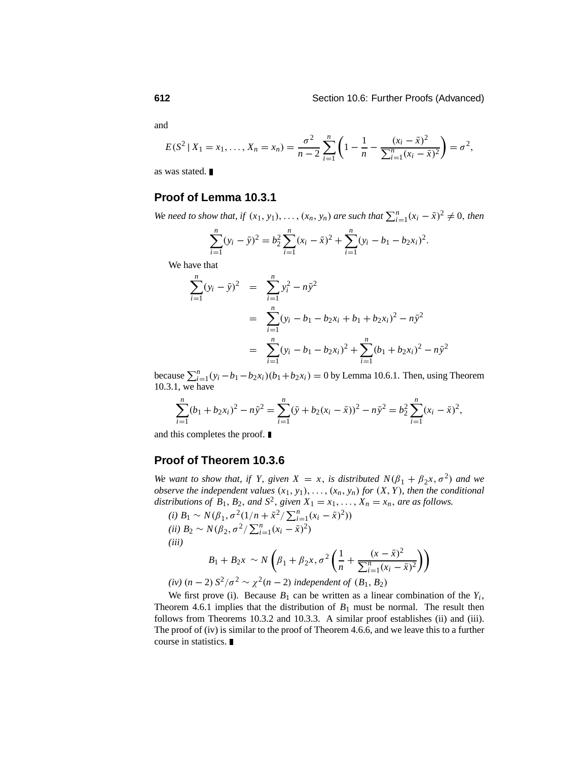and

$$
E(S^2 | X_1 = x_1, ..., X_n = x_n) = \frac{\sigma^2}{n-2} \sum_{i=1}^n \left(1 - \frac{1}{n} - \frac{(x_i - \bar{x})^2}{\sum_{i=1}^n (x_i - \bar{x})^2}\right) = \sigma^2,
$$

as was stated.

# **Proof of Lemma 10.3.1**

*We need to show that, if*  $(x_1, y_1), \ldots, (x_n, y_n)$  *are such that*  $\sum_{i=1}^n (x_i - \bar{x})^2 \neq 0$ , *then* 

$$
\sum_{i=1}^{n} (y_i - \bar{y})^2 = b_2^2 \sum_{i=1}^{n} (x_i - \bar{x})^2 + \sum_{i=1}^{n} (y_i - b_1 - b_2 x_i)^2.
$$

We have that

$$
\sum_{i=1}^{n} (y_i - \bar{y})^2 = \sum_{i=1}^{n} y_i^2 - n\bar{y}^2
$$
  
= 
$$
\sum_{i=1}^{n} (y_i - b_1 - b_2x_i + b_1 + b_2x_i)^2 - n\bar{y}^2
$$
  
= 
$$
\sum_{i=1}^{n} (y_i - b_1 - b_2x_i)^2 + \sum_{i=1}^{n} (b_1 + b_2x_i)^2 - n\bar{y}^2
$$

because  $\sum_{i=1}^{n} (y_i - b_1 - b_2 x_i)(b_1 + b_2 x_i) = 0$  by Lemma 10.6.1. Then, using Theorem 10.3.1, we have

$$
\sum_{i=1}^{n} (b_1 + b_2 x_i)^2 - n\bar{y}^2 = \sum_{i=1}^{n} (\bar{y} + b_2 (x_i - \bar{x}))^2 - n\bar{y}^2 = b_2^2 \sum_{i=1}^{n} (x_i - \bar{x})^2,
$$

and this completes the proof.

# **Proof of Theorem 10.3.6**

*We want to show that, if Y, given*  $X = x$ *, is distributed*  $N(\beta_1 + \beta_2 x, \sigma^2)$  *and we observe the independent values*  $(x_1, y_1), \ldots, (x_n, y_n)$  *for*  $(X, Y)$ *, then the conditional distributions of*  $B_1$ ,  $B_2$ , *and*  $S^2$ , *given*  $X_1 = x_1, \ldots, X_n = x_n$ , *are as follows.* 

(i) 
$$
B_1 \sim N(\beta_1, \sigma^2(1/n + \bar{x}^2/\sum_{i=1}^n (x_i - \bar{x})^2))
$$
  
\n(ii)  $B_2 \sim N(\beta_2, \sigma^2/\sum_{i=1}^n (x_i - \bar{x})^2)$   
\n(iii)  
\n $B_1 + B_2x \sim N\left(\beta_1 + \beta_2x, \sigma^2\left(\frac{1}{n} + \frac{(x - \bar{x})^2}{\sum_{i=1}^n (x_i - \bar{x})^2}\right)\right)$   
\n(iv)  $(n-2) S^2/\sigma^2 \sim \chi^2(n-2)$  independent of  $(B_1, B_2)$ 

We first prove (i). Because  $B_1$  can be written as a linear combination of the  $Y_i$ , Theorem 4.6.1 implies that the distribution of  $B_1$  must be normal. The result then follows from Theorems 10.3.2 and 10.3.3. A similar proof establishes (ii) and (iii). The proof of (iv) is similar to the proof of Theorem 4.6.6, and we leave this to a further course in statistics.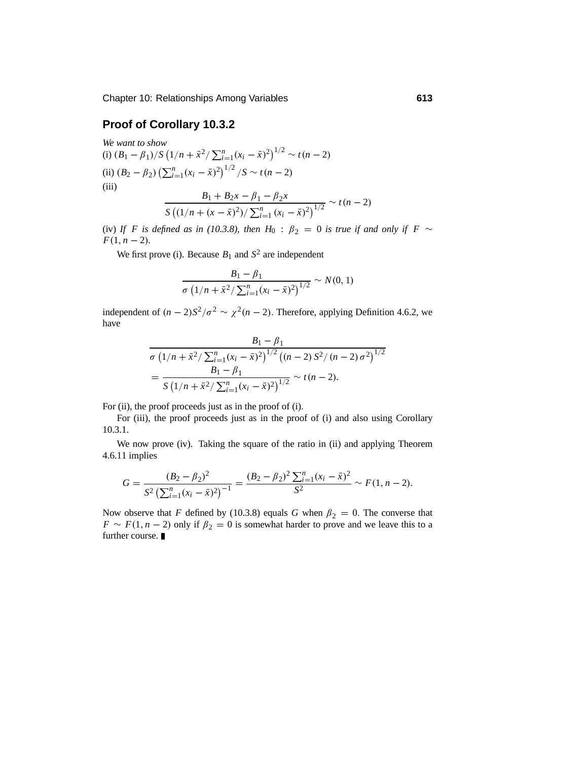Chapter 10: Relationships Among Variables **613**

## **Proof of Corollary 10.3.2**

*We want to show* (i)  $(B_1 - \beta_1)/S \left(1/n + \bar{x}^2 / \sum_{i=1}^n (x_i - \bar{x})^2\right)^{1/2} \sim t(n-2)$ (ii)  $(B_2 - \beta_2) \left( \sum_{i=1}^n (x_i - \bar{x})^2 \right)^{1/2} / S \sim t(n-2)$ (iii)  $B_1 + B_2x - \beta_1 - \beta_2x$  $S((1/n + (x - \bar{x})^2)/\sum_{i=1}^n (x_i - \bar{x})^2)^{1/2}$  ∼ *t*(*n* − 2)

(iv) *If F is defined as in (10.3.8), then*  $H_0$  :  $\beta_2 = 0$  *is true if and only if*  $F \sim$  $F(1, n-2)$ .

We first prove (i). Because  $B_1$  and  $S^2$  are independent

$$
\frac{B_1 - \beta_1}{\sigma \left(1/n + \bar{x}^2 / \sum_{i=1}^n (x_i - \bar{x})^2\right)^{1/2}} \sim N(0, 1)
$$

independent of  $(n-2)S^2/\sigma^2 \sim \chi^2(n-2)$ . Therefore, applying Definition 4.6.2, we have

$$
\frac{B_1 - \beta_1}{\sigma \left(1/n + \bar{x}^2 / \sum_{i=1}^n (x_i - \bar{x})^2\right)^{1/2} \left((n-2) S^2 / (n-2) \sigma^2\right)^{1/2}}
$$
\n
$$
= \frac{B_1 - \beta_1}{S \left(1/n + \bar{x}^2 / \sum_{i=1}^n (x_i - \bar{x})^2\right)^{1/2}} \sim t(n-2).
$$

For (ii), the proof proceeds just as in the proof of (i).

For (iii), the proof proceeds just as in the proof of (i) and also using Corollary 10.3.1.

We now prove (iv). Taking the square of the ratio in (ii) and applying Theorem 4.6.11 implies

$$
G = \frac{(B_2 - \beta_2)^2}{S^2 \left(\sum_{i=1}^n (x_i - \bar{x})^2\right)^{-1}} = \frac{(B_2 - \beta_2)^2 \sum_{i=1}^n (x_i - \bar{x})^2}{S^2} \sim F(1, n - 2).
$$

Now observe that *F* defined by (10.3.8) equals *G* when  $\beta_2 = 0$ . The converse that *F* ∼ *F*(1, *n* − 2) only if  $\beta_2 = 0$  is somewhat harder to prove and we leave this to a further course.